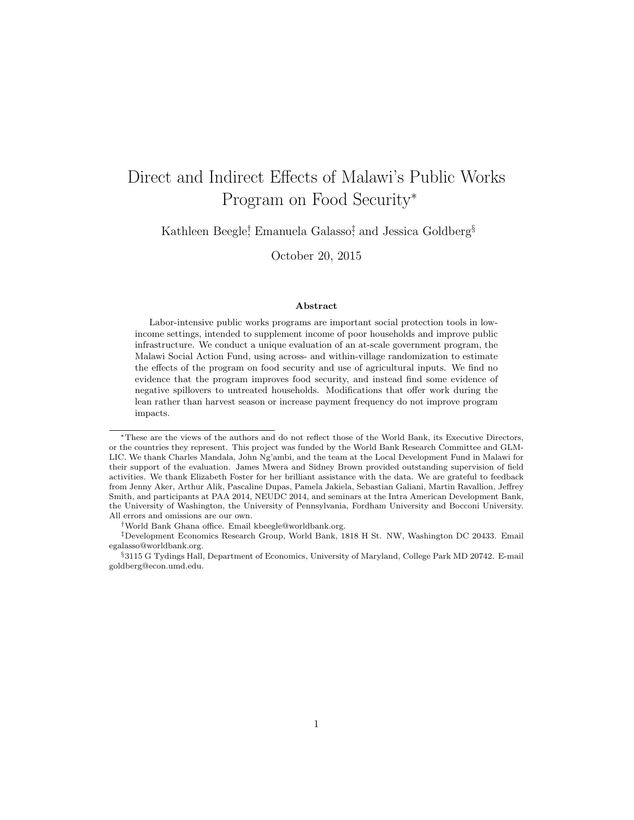# Direct and Indirect Effects of Malawi's Public Works Program on Food Security<sup>∗</sup>

Kathleen Beegle<sup>†</sup>, Emanuela Galasso<sup>‡</sup>, and Jessica Goldberg<sup>§</sup>

October 20, 2015

#### Abstract

Labor-intensive public works programs are important social protection tools in lowincome settings, intended to supplement income of poor households and improve public infrastructure. We conduct a unique evaluation of an at-scale government program, the Malawi Social Action Fund, using across- and within-village randomization to estimate the effects of the program on food security and use of agricultural inputs. We find no evidence that the program improves food security, and instead find some evidence of negative spillovers to untreated households. Modifications that offer work during the lean rather than harvest season or increase payment frequency do not improve program impacts.

<sup>∗</sup>These are the views of the authors and do not reflect those of the World Bank, its Executive Directors, or the countries they represent. This project was funded by the World Bank Research Committee and GLM-LIC. We thank Charles Mandala, John Ng'ambi, and the team at the Local Development Fund in Malawi for their support of the evaluation. James Mwera and Sidney Brown provided outstanding supervision of field activities. We thank Elizabeth Foster for her brilliant assistance with the data. We are grateful to feedback from Jenny Aker, Arthur Alik, Pascaline Dupas, Pamela Jakiela, Sebastian Galiani, Martin Ravallion, Jeffrey Smith, and participants at PAA 2014, NEUDC 2014, and seminars at the Intra American Development Bank, the University of Washington, the University of Pennsylvania, Fordham University and Bocconi University. All errors and omissions are our own.

<sup>†</sup>World Bank Ghana office. Email kbeegle@worldbank.org.

<sup>‡</sup>Development Economics Research Group, World Bank, 1818 H St. NW, Washington DC 20433. Email egalasso@worldbank.org.

<sup>§</sup>3115 G Tydings Hall, Department of Economics, University of Maryland, College Park MD 20742. E-mail goldberg@econ.umd.edu.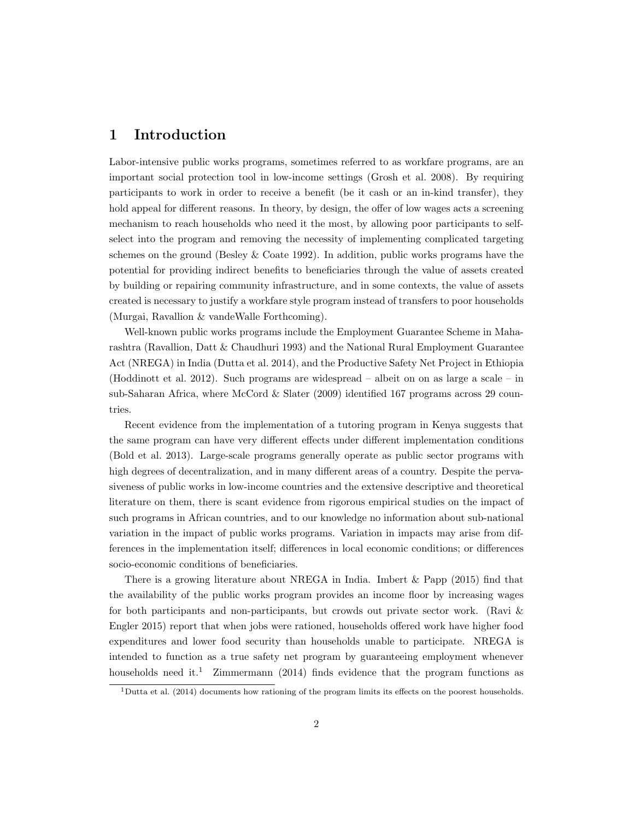# 1 Introduction

Labor-intensive public works programs, sometimes referred to as workfare programs, are an important social protection tool in low-income settings (Grosh et al. 2008). By requiring participants to work in order to receive a benefit (be it cash or an in-kind transfer), they hold appeal for different reasons. In theory, by design, the offer of low wages acts a screening mechanism to reach households who need it the most, by allowing poor participants to selfselect into the program and removing the necessity of implementing complicated targeting schemes on the ground (Besley  $\&$  Coate 1992). In addition, public works programs have the potential for providing indirect benefits to beneficiaries through the value of assets created by building or repairing community infrastructure, and in some contexts, the value of assets created is necessary to justify a workfare style program instead of transfers to poor households (Murgai, Ravallion & vandeWalle Forthcoming).

Well-known public works programs include the Employment Guarantee Scheme in Maharashtra (Ravallion, Datt & Chaudhuri 1993) and the National Rural Employment Guarantee Act (NREGA) in India (Dutta et al. 2014), and the Productive Safety Net Project in Ethiopia (Hoddinott et al. 2012). Such programs are widespread – albeit on on as large a scale – in sub-Saharan Africa, where McCord & Slater (2009) identified 167 programs across 29 countries.

Recent evidence from the implementation of a tutoring program in Kenya suggests that the same program can have very different effects under different implementation conditions (Bold et al. 2013). Large-scale programs generally operate as public sector programs with high degrees of decentralization, and in many different areas of a country. Despite the pervasiveness of public works in low-income countries and the extensive descriptive and theoretical literature on them, there is scant evidence from rigorous empirical studies on the impact of such programs in African countries, and to our knowledge no information about sub-national variation in the impact of public works programs. Variation in impacts may arise from differences in the implementation itself; differences in local economic conditions; or differences socio-economic conditions of beneficiaries.

There is a growing literature about NREGA in India. Imbert & Papp (2015) find that the availability of the public works program provides an income floor by increasing wages for both participants and non-participants, but crowds out private sector work. (Ravi & Engler 2015) report that when jobs were rationed, households offered work have higher food expenditures and lower food security than households unable to participate. NREGA is intended to function as a true safety net program by guaranteeing employment whenever households need it.<sup>1</sup> Zimmermann (2014) finds evidence that the program functions as

<sup>&</sup>lt;sup>1</sup>Dutta et al. (2014) documents how rationing of the program limits its effects on the poorest households.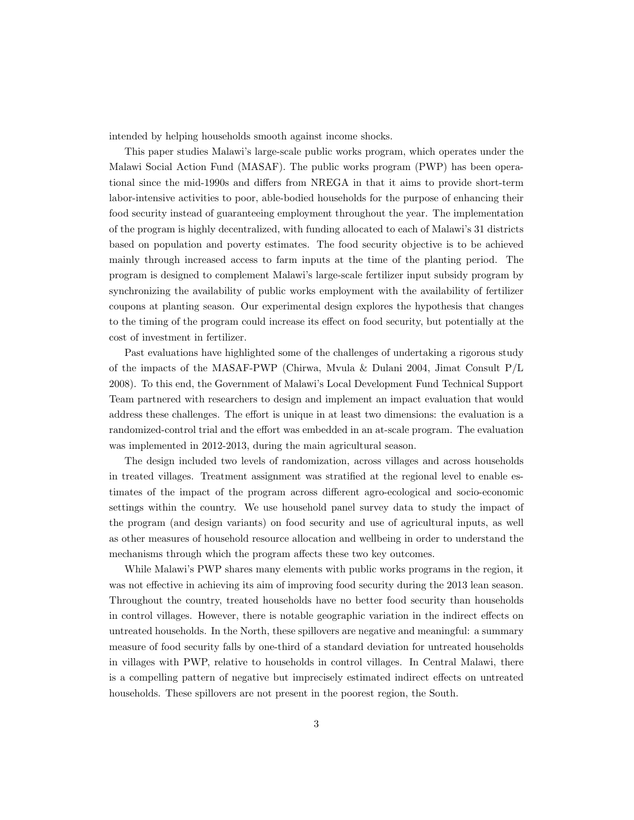intended by helping households smooth against income shocks.

This paper studies Malawi's large-scale public works program, which operates under the Malawi Social Action Fund (MASAF). The public works program (PWP) has been operational since the mid-1990s and differs from NREGA in that it aims to provide short-term labor-intensive activities to poor, able-bodied households for the purpose of enhancing their food security instead of guaranteeing employment throughout the year. The implementation of the program is highly decentralized, with funding allocated to each of Malawi's 31 districts based on population and poverty estimates. The food security objective is to be achieved mainly through increased access to farm inputs at the time of the planting period. The program is designed to complement Malawi's large-scale fertilizer input subsidy program by synchronizing the availability of public works employment with the availability of fertilizer coupons at planting season. Our experimental design explores the hypothesis that changes to the timing of the program could increase its effect on food security, but potentially at the cost of investment in fertilizer.

Past evaluations have highlighted some of the challenges of undertaking a rigorous study of the impacts of the MASAF-PWP (Chirwa, Mvula & Dulani 2004, Jimat Consult P/L 2008). To this end, the Government of Malawi's Local Development Fund Technical Support Team partnered with researchers to design and implement an impact evaluation that would address these challenges. The effort is unique in at least two dimensions: the evaluation is a randomized-control trial and the effort was embedded in an at-scale program. The evaluation was implemented in 2012-2013, during the main agricultural season.

The design included two levels of randomization, across villages and across households in treated villages. Treatment assignment was stratified at the regional level to enable estimates of the impact of the program across different agro-ecological and socio-economic settings within the country. We use household panel survey data to study the impact of the program (and design variants) on food security and use of agricultural inputs, as well as other measures of household resource allocation and wellbeing in order to understand the mechanisms through which the program affects these two key outcomes.

While Malawi's PWP shares many elements with public works programs in the region, it was not effective in achieving its aim of improving food security during the 2013 lean season. Throughout the country, treated households have no better food security than households in control villages. However, there is notable geographic variation in the indirect effects on untreated households. In the North, these spillovers are negative and meaningful: a summary measure of food security falls by one-third of a standard deviation for untreated households in villages with PWP, relative to households in control villages. In Central Malawi, there is a compelling pattern of negative but imprecisely estimated indirect effects on untreated households. These spillovers are not present in the poorest region, the South.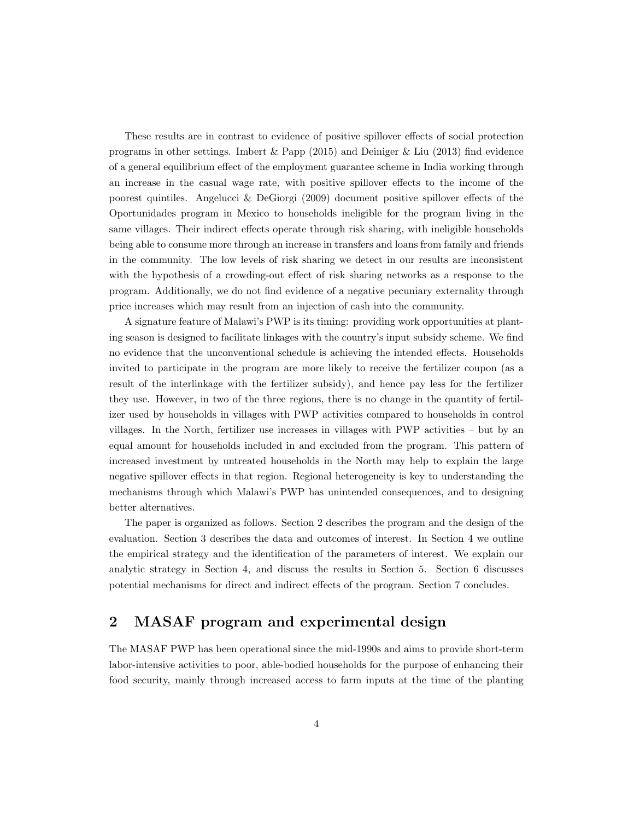These results are in contrast to evidence of positive spillover effects of social protection programs in other settings. Imbert & Papp (2015) and Deiniger & Liu (2013) find evidence of a general equilibrium effect of the employment guarantee scheme in India working through an increase in the casual wage rate, with positive spillover effects to the income of the poorest quintiles. Angelucci & DeGiorgi (2009) document positive spillover effects of the Oportunidades program in Mexico to households ineligible for the program living in the same villages. Their indirect effects operate through risk sharing, with ineligible households being able to consume more through an increase in transfers and loans from family and friends in the community. The low levels of risk sharing we detect in our results are inconsistent with the hypothesis of a crowding-out effect of risk sharing networks as a response to the program. Additionally, we do not find evidence of a negative pecuniary externality through price increases which may result from an injection of cash into the community.

A signature feature of Malawi's PWP is its timing: providing work opportunities at planting season is designed to facilitate linkages with the country's input subsidy scheme. We find no evidence that the unconventional schedule is achieving the intended effects. Households invited to participate in the program are more likely to receive the fertilizer coupon (as a result of the interlinkage with the fertilizer subsidy), and hence pay less for the fertilizer they use. However, in two of the three regions, there is no change in the quantity of fertilizer used by households in villages with PWP activities compared to households in control villages. In the North, fertilizer use increases in villages with PWP activities – but by an equal amount for households included in and excluded from the program. This pattern of increased investment by untreated households in the North may help to explain the large negative spillover effects in that region. Regional heterogeneity is key to understanding the mechanisms through which Malawi's PWP has unintended consequences, and to designing better alternatives.

The paper is organized as follows. Section 2 describes the program and the design of the evaluation. Section 3 describes the data and outcomes of interest. In Section 4 we outline the empirical strategy and the identification of the parameters of interest. We explain our analytic strategy in Section 4, and discuss the results in Section 5. Section 6 discusses potential mechanisms for direct and indirect effects of the program. Section 7 concludes.

# 2 MASAF program and experimental design

The MASAF PWP has been operational since the mid-1990s and aims to provide short-term labor-intensive activities to poor, able-bodied households for the purpose of enhancing their food security, mainly through increased access to farm inputs at the time of the planting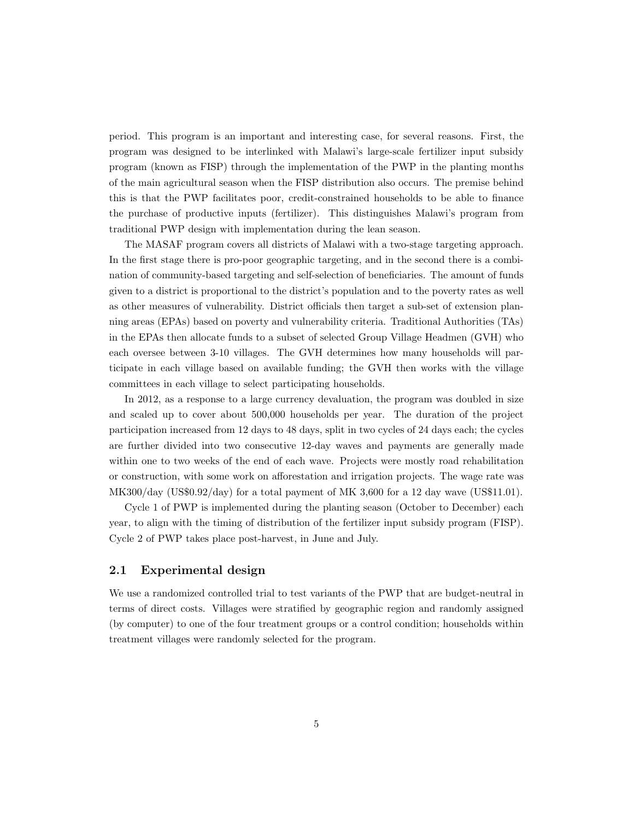period. This program is an important and interesting case, for several reasons. First, the program was designed to be interlinked with Malawi's large-scale fertilizer input subsidy program (known as FISP) through the implementation of the PWP in the planting months of the main agricultural season when the FISP distribution also occurs. The premise behind this is that the PWP facilitates poor, credit-constrained households to be able to finance the purchase of productive inputs (fertilizer). This distinguishes Malawi's program from traditional PWP design with implementation during the lean season.

The MASAF program covers all districts of Malawi with a two-stage targeting approach. In the first stage there is pro-poor geographic targeting, and in the second there is a combination of community-based targeting and self-selection of beneficiaries. The amount of funds given to a district is proportional to the district's population and to the poverty rates as well as other measures of vulnerability. District officials then target a sub-set of extension planning areas (EPAs) based on poverty and vulnerability criteria. Traditional Authorities (TAs) in the EPAs then allocate funds to a subset of selected Group Village Headmen (GVH) who each oversee between 3-10 villages. The GVH determines how many households will participate in each village based on available funding; the GVH then works with the village committees in each village to select participating households.

In 2012, as a response to a large currency devaluation, the program was doubled in size and scaled up to cover about 500,000 households per year. The duration of the project participation increased from 12 days to 48 days, split in two cycles of 24 days each; the cycles are further divided into two consecutive 12-day waves and payments are generally made within one to two weeks of the end of each wave. Projects were mostly road rehabilitation or construction, with some work on afforestation and irrigation projects. The wage rate was MK300/day (US\$0.92/day) for a total payment of MK 3,600 for a 12 day wave (US\$11.01).

Cycle 1 of PWP is implemented during the planting season (October to December) each year, to align with the timing of distribution of the fertilizer input subsidy program (FISP). Cycle 2 of PWP takes place post-harvest, in June and July.

### 2.1 Experimental design

We use a randomized controlled trial to test variants of the PWP that are budget-neutral in terms of direct costs. Villages were stratified by geographic region and randomly assigned (by computer) to one of the four treatment groups or a control condition; households within treatment villages were randomly selected for the program.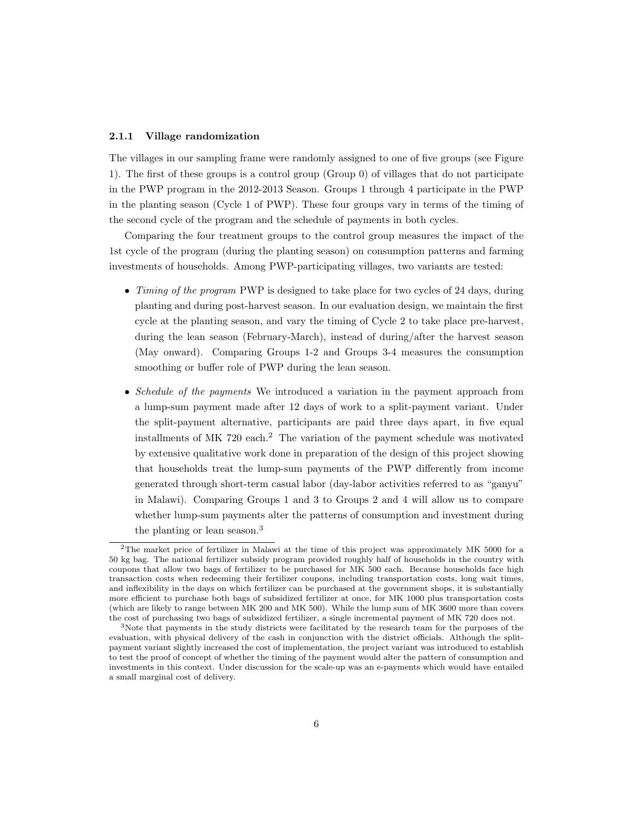#### 2.1.1 Village randomization

The villages in our sampling frame were randomly assigned to one of five groups (see Figure 1). The first of these groups is a control group (Group 0) of villages that do not participate in the PWP program in the 2012-2013 Season. Groups 1 through 4 participate in the PWP in the planting season (Cycle 1 of PWP). These four groups vary in terms of the timing of the second cycle of the program and the schedule of payments in both cycles.

Comparing the four treatment groups to the control group measures the impact of the 1st cycle of the program (during the planting season) on consumption patterns and farming investments of households. Among PWP-participating villages, two variants are tested:

- Timing of the program PWP is designed to take place for two cycles of 24 days, during planting and during post-harvest season. In our evaluation design, we maintain the first cycle at the planting season, and vary the timing of Cycle 2 to take place pre-harvest, during the lean season (February-March), instead of during/after the harvest season (May onward). Comparing Groups 1-2 and Groups 3-4 measures the consumption smoothing or buffer role of PWP during the lean season.
- Schedule of the payments We introduced a variation in the payment approach from a lump-sum payment made after 12 days of work to a split-payment variant. Under the split-payment alternative, participants are paid three days apart, in five equal installments of MK 720 each.<sup>2</sup> The variation of the payment schedule was motivated by extensive qualitative work done in preparation of the design of this project showing that households treat the lump-sum payments of the PWP differently from income generated through short-term casual labor (day-labor activities referred to as "ganyu" in Malawi). Comparing Groups 1 and 3 to Groups 2 and 4 will allow us to compare whether lump-sum payments alter the patterns of consumption and investment during the planting or lean season.<sup>3</sup>

<sup>2</sup>The market price of fertilizer in Malawi at the time of this project was approximately MK 5000 for a 50 kg bag. The national fertilizer subsidy program provided roughly half of households in the country with coupons that allow two bags of fertilizer to be purchased for MK 500 each. Because households face high transaction costs when redeeming their fertilizer coupons, including transportation costs, long wait times, and inflexibility in the days on which fertilizer can be purchased at the government shops, it is substantially more efficient to purchase both bags of subsidized fertilizer at once, for MK 1000 plus transportation costs (which are likely to range between MK 200 and MK 500). While the lump sum of MK 3600 more than covers the cost of purchasing two bags of subsidized fertilizer, a single incremental payment of MK 720 does not.

<sup>3</sup>Note that payments in the study districts were facilitated by the research team for the purposes of the evaluation, with physical delivery of the cash in conjunction with the district officials. Although the splitpayment variant slightly increased the cost of implementation, the project variant was introduced to establish to test the proof of concept of whether the timing of the payment would alter the pattern of consumption and investments in this context. Under discussion for the scale-up was an e-payments which would have entailed a small marginal cost of delivery.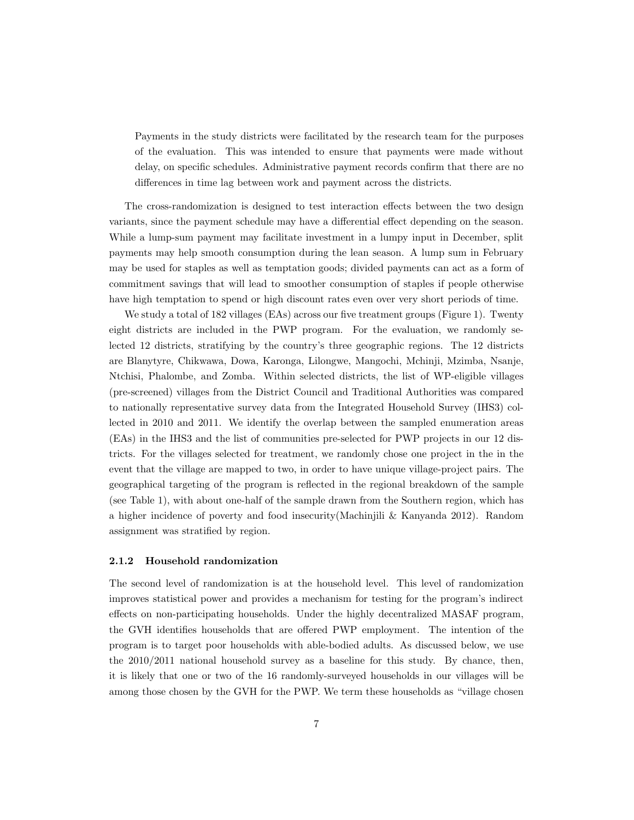Payments in the study districts were facilitated by the research team for the purposes of the evaluation. This was intended to ensure that payments were made without delay, on specific schedules. Administrative payment records confirm that there are no differences in time lag between work and payment across the districts.

The cross-randomization is designed to test interaction effects between the two design variants, since the payment schedule may have a differential effect depending on the season. While a lump-sum payment may facilitate investment in a lumpy input in December, split payments may help smooth consumption during the lean season. A lump sum in February may be used for staples as well as temptation goods; divided payments can act as a form of commitment savings that will lead to smoother consumption of staples if people otherwise have high temptation to spend or high discount rates even over very short periods of time.

We study a total of 182 villages (EAs) across our five treatment groups (Figure 1). Twenty eight districts are included in the PWP program. For the evaluation, we randomly selected 12 districts, stratifying by the country's three geographic regions. The 12 districts are Blanytyre, Chikwawa, Dowa, Karonga, Lilongwe, Mangochi, Mchinji, Mzimba, Nsanje, Ntchisi, Phalombe, and Zomba. Within selected districts, the list of WP-eligible villages (pre-screened) villages from the District Council and Traditional Authorities was compared to nationally representative survey data from the Integrated Household Survey (IHS3) collected in 2010 and 2011. We identify the overlap between the sampled enumeration areas (EAs) in the IHS3 and the list of communities pre-selected for PWP projects in our 12 districts. For the villages selected for treatment, we randomly chose one project in the in the event that the village are mapped to two, in order to have unique village-project pairs. The geographical targeting of the program is reflected in the regional breakdown of the sample (see Table 1), with about one-half of the sample drawn from the Southern region, which has a higher incidence of poverty and food insecurity(Machinjili & Kanyanda 2012). Random assignment was stratified by region.

#### 2.1.2 Household randomization

The second level of randomization is at the household level. This level of randomization improves statistical power and provides a mechanism for testing for the program's indirect effects on non-participating households. Under the highly decentralized MASAF program, the GVH identifies households that are offered PWP employment. The intention of the program is to target poor households with able-bodied adults. As discussed below, we use the 2010/2011 national household survey as a baseline for this study. By chance, then, it is likely that one or two of the 16 randomly-surveyed households in our villages will be among those chosen by the GVH for the PWP. We term these households as "village chosen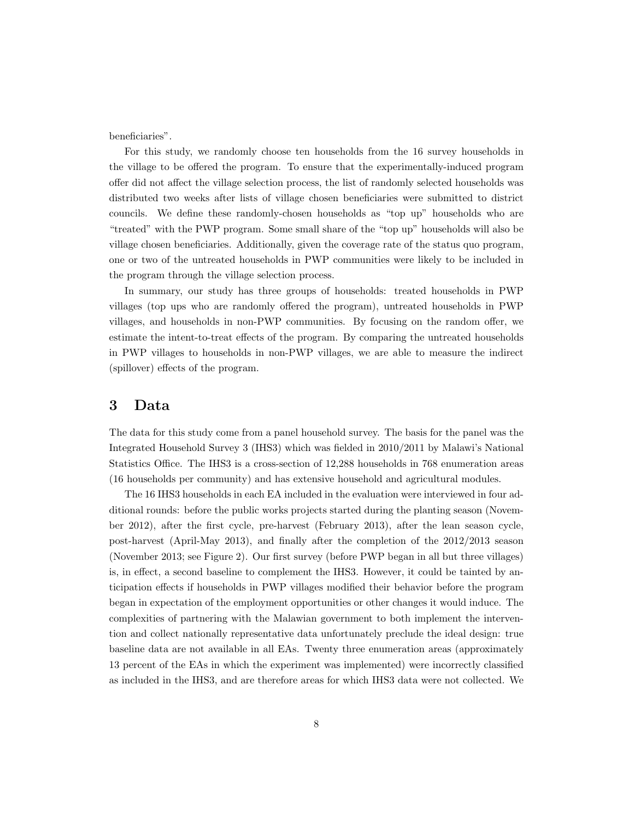beneficiaries".

For this study, we randomly choose ten households from the 16 survey households in the village to be offered the program. To ensure that the experimentally-induced program offer did not affect the village selection process, the list of randomly selected households was distributed two weeks after lists of village chosen beneficiaries were submitted to district councils. We define these randomly-chosen households as "top up" households who are "treated" with the PWP program. Some small share of the "top up" households will also be village chosen beneficiaries. Additionally, given the coverage rate of the status quo program, one or two of the untreated households in PWP communities were likely to be included in the program through the village selection process.

In summary, our study has three groups of households: treated households in PWP villages (top ups who are randomly offered the program), untreated households in PWP villages, and households in non-PWP communities. By focusing on the random offer, we estimate the intent-to-treat effects of the program. By comparing the untreated households in PWP villages to households in non-PWP villages, we are able to measure the indirect (spillover) effects of the program.

# 3 Data

The data for this study come from a panel household survey. The basis for the panel was the Integrated Household Survey 3 (IHS3) which was fielded in 2010/2011 by Malawi's National Statistics Office. The IHS3 is a cross-section of 12,288 households in 768 enumeration areas (16 households per community) and has extensive household and agricultural modules.

The 16 IHS3 households in each EA included in the evaluation were interviewed in four additional rounds: before the public works projects started during the planting season (November 2012), after the first cycle, pre-harvest (February 2013), after the lean season cycle, post-harvest (April-May 2013), and finally after the completion of the 2012/2013 season (November 2013; see Figure 2). Our first survey (before PWP began in all but three villages) is, in effect, a second baseline to complement the IHS3. However, it could be tainted by anticipation effects if households in PWP villages modified their behavior before the program began in expectation of the employment opportunities or other changes it would induce. The complexities of partnering with the Malawian government to both implement the intervention and collect nationally representative data unfortunately preclude the ideal design: true baseline data are not available in all EAs. Twenty three enumeration areas (approximately 13 percent of the EAs in which the experiment was implemented) were incorrectly classified as included in the IHS3, and are therefore areas for which IHS3 data were not collected. We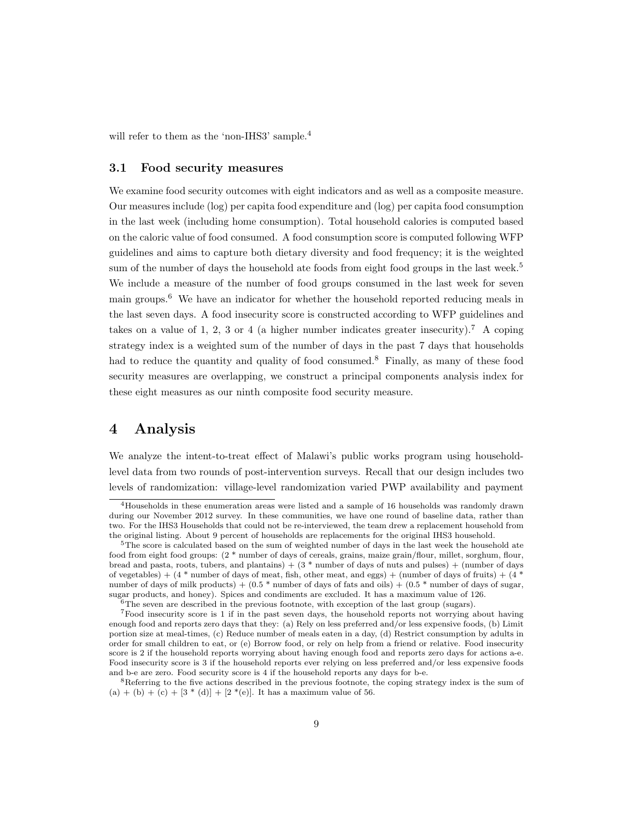will refer to them as the 'non-IHS3' sample.<sup>4</sup>

#### 3.1 Food security measures

We examine food security outcomes with eight indicators and as well as a composite measure. Our measures include (log) per capita food expenditure and (log) per capita food consumption in the last week (including home consumption). Total household calories is computed based on the caloric value of food consumed. A food consumption score is computed following WFP guidelines and aims to capture both dietary diversity and food frequency; it is the weighted sum of the number of days the household ate foods from eight food groups in the last week.<sup>5</sup> We include a measure of the number of food groups consumed in the last week for seven main groups.<sup>6</sup> We have an indicator for whether the household reported reducing meals in the last seven days. A food insecurity score is constructed according to WFP guidelines and takes on a value of 1, 2, 3 or 4 (a higher number indicates greater insecurity).<sup>7</sup> A coping strategy index is a weighted sum of the number of days in the past 7 days that households had to reduce the quantity and quality of food consumed.<sup>8</sup> Finally, as many of these food security measures are overlapping, we construct a principal components analysis index for these eight measures as our ninth composite food security measure.

# 4 Analysis

We analyze the intent-to-treat effect of Malawi's public works program using householdlevel data from two rounds of post-intervention surveys. Recall that our design includes two levels of randomization: village-level randomization varied PWP availability and payment

<sup>4</sup>Households in these enumeration areas were listed and a sample of 16 households was randomly drawn during our November 2012 survey. In these communities, we have one round of baseline data, rather than two. For the IHS3 Households that could not be re-interviewed, the team drew a replacement household from the original listing. About 9 percent of households are replacements for the original IHS3 household.

 $5$ The score is calculated based on the sum of weighted number of days in the last week the household ate food from eight food groups: (2 \* number of days of cereals, grains, maize grain/flour, millet, sorghum, flour, bread and pasta, roots, tubers, and plantains)  $+$  (3  $*$  number of days of nuts and pulses)  $+$  (number of days of vegetables) +  $(4 *$  number of days of meat, fish, other meat, and eggs) + (number of days of fruits) +  $(4 *$ number of days of milk products) +  $(0.5 *$  number of days of fats and oils) +  $(0.5 *$  number of days of sugar, sugar products, and honey). Spices and condiments are excluded. It has a maximum value of 126.

 $6$ The seven are described in the previous footnote, with exception of the last group (sugars).

<sup>7</sup>Food insecurity score is 1 if in the past seven days, the household reports not worrying about having enough food and reports zero days that they: (a) Rely on less preferred and/or less expensive foods, (b) Limit portion size at meal-times, (c) Reduce number of meals eaten in a day, (d) Restrict consumption by adults in order for small children to eat, or (e) Borrow food, or rely on help from a friend or relative. Food insecurity score is 2 if the household reports worrying about having enough food and reports zero days for actions a-e. Food insecurity score is 3 if the household reports ever relying on less preferred and/or less expensive foods and b-e are zero. Food security score is 4 if the household reports any days for b-e.

<sup>&</sup>lt;sup>8</sup>Referring to the five actions described in the previous footnote, the coping strategy index is the sum of  $(a) + (b) + (c) + [3 * (d)] + [2 * (e)]$ . It has a maximum value of 56.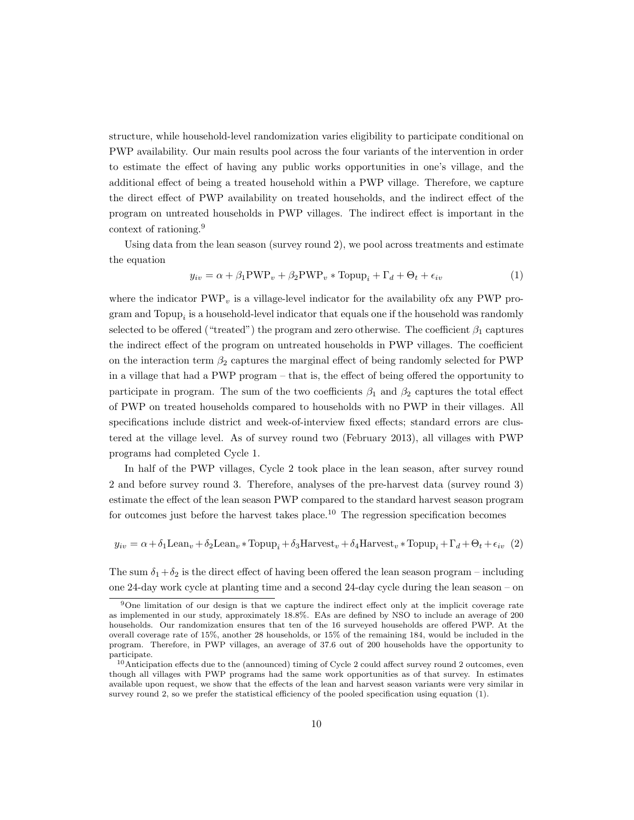structure, while household-level randomization varies eligibility to participate conditional on PWP availability. Our main results pool across the four variants of the intervention in order to estimate the effect of having any public works opportunities in one's village, and the additional effect of being a treated household within a PWP village. Therefore, we capture the direct effect of PWP availability on treated households, and the indirect effect of the program on untreated households in PWP villages. The indirect effect is important in the context of rationing.<sup>9</sup>

Using data from the lean season (survey round 2), we pool across treatments and estimate the equation

$$
y_{iv} = \alpha + \beta_1 \text{PWP}_v + \beta_2 \text{PWP}_v * \text{Topup}_i + \Gamma_d + \Theta_t + \epsilon_{iv}
$$
 (1)

where the indicator  $\text{PWP}_v$  is a village-level indicator for the availability of x any PWP program and  $\text{Topup}_i$  is a household-level indicator that equals one if the household was randomly selected to be offered ("treated") the program and zero otherwise. The coefficient  $\beta_1$  captures the indirect effect of the program on untreated households in PWP villages. The coefficient on the interaction term  $\beta_2$  captures the marginal effect of being randomly selected for PWP in a village that had a PWP program – that is, the effect of being offered the opportunity to participate in program. The sum of the two coefficients  $\beta_1$  and  $\beta_2$  captures the total effect of PWP on treated households compared to households with no PWP in their villages. All specifications include district and week-of-interview fixed effects; standard errors are clustered at the village level. As of survey round two (February 2013), all villages with PWP programs had completed Cycle 1.

In half of the PWP villages, Cycle 2 took place in the lean season, after survey round 2 and before survey round 3. Therefore, analyses of the pre-harvest data (survey round 3) estimate the effect of the lean season PWP compared to the standard harvest season program for outcomes just before the harvest takes place.<sup>10</sup> The regression specification becomes

 $y_{iv} = \alpha + \delta_1 \text{Lean}_v + \delta_2 \text{Lean}_v * \text{Topup}_i + \delta_3 \text{Harvest}_v + \delta_4 \text{Harvest}_v * \text{Topup}_i + \Gamma_d + \Theta_t + \epsilon_{iv}$  (2)

The sum  $\delta_1+\delta_2$  is the direct effect of having been offered the lean season program – including one 24-day work cycle at planting time and a second 24-day cycle during the lean season – on

<sup>9</sup>One limitation of our design is that we capture the indirect effect only at the implicit coverage rate as implemented in our study, approximately 18.8%. EAs are defined by NSO to include an average of 200 households. Our randomization ensures that ten of the 16 surveyed households are offered PWP. At the overall coverage rate of 15%, another 28 households, or 15% of the remaining 184, would be included in the program. Therefore, in PWP villages, an average of 37.6 out of 200 households have the opportunity to participate.

<sup>10</sup>Anticipation effects due to the (announced) timing of Cycle 2 could affect survey round 2 outcomes, even though all villages with PWP programs had the same work opportunities as of that survey. In estimates available upon request, we show that the effects of the lean and harvest season variants were very similar in survey round 2, so we prefer the statistical efficiency of the pooled specification using equation (1).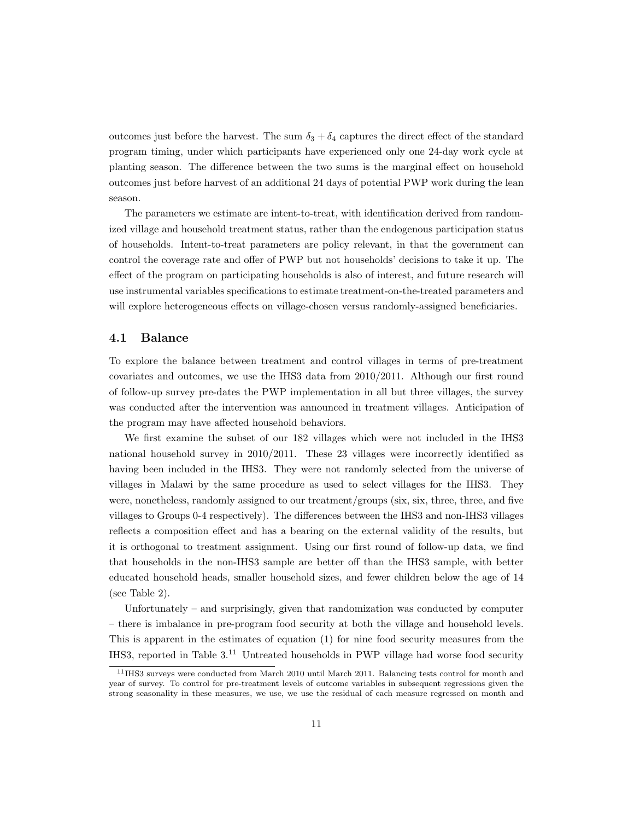outcomes just before the harvest. The sum  $\delta_3 + \delta_4$  captures the direct effect of the standard program timing, under which participants have experienced only one 24-day work cycle at planting season. The difference between the two sums is the marginal effect on household outcomes just before harvest of an additional 24 days of potential PWP work during the lean season.

The parameters we estimate are intent-to-treat, with identification derived from randomized village and household treatment status, rather than the endogenous participation status of households. Intent-to-treat parameters are policy relevant, in that the government can control the coverage rate and offer of PWP but not households' decisions to take it up. The effect of the program on participating households is also of interest, and future research will use instrumental variables specifications to estimate treatment-on-the-treated parameters and will explore heterogeneous effects on village-chosen versus randomly-assigned beneficiaries.

### 4.1 Balance

To explore the balance between treatment and control villages in terms of pre-treatment covariates and outcomes, we use the IHS3 data from 2010/2011. Although our first round of follow-up survey pre-dates the PWP implementation in all but three villages, the survey was conducted after the intervention was announced in treatment villages. Anticipation of the program may have affected household behaviors.

We first examine the subset of our 182 villages which were not included in the IHS3 national household survey in 2010/2011. These 23 villages were incorrectly identified as having been included in the IHS3. They were not randomly selected from the universe of villages in Malawi by the same procedure as used to select villages for the IHS3. They were, nonetheless, randomly assigned to our treatment/groups (six, six, three, three, and five villages to Groups 0-4 respectively). The differences between the IHS3 and non-IHS3 villages reflects a composition effect and has a bearing on the external validity of the results, but it is orthogonal to treatment assignment. Using our first round of follow-up data, we find that households in the non-IHS3 sample are better off than the IHS3 sample, with better educated household heads, smaller household sizes, and fewer children below the age of 14 (see Table 2).

Unfortunately – and surprisingly, given that randomization was conducted by computer – there is imbalance in pre-program food security at both the village and household levels. This is apparent in the estimates of equation (1) for nine food security measures from the IHS3, reported in Table 3.<sup>11</sup> Untreated households in PWP village had worse food security

<sup>11</sup>IHS3 surveys were conducted from March 2010 until March 2011. Balancing tests control for month and year of survey. To control for pre-treatment levels of outcome variables in subsequent regressions given the strong seasonality in these measures, we use, we use the residual of each measure regressed on month and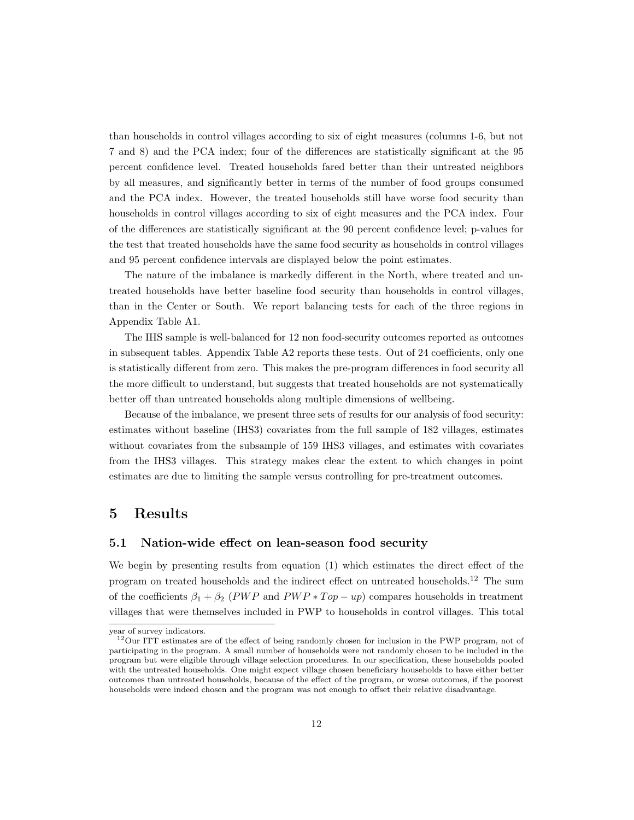than households in control villages according to six of eight measures (columns 1-6, but not 7 and 8) and the PCA index; four of the differences are statistically significant at the 95 percent confidence level. Treated households fared better than their untreated neighbors by all measures, and significantly better in terms of the number of food groups consumed and the PCA index. However, the treated households still have worse food security than households in control villages according to six of eight measures and the PCA index. Four of the differences are statistically significant at the 90 percent confidence level; p-values for the test that treated households have the same food security as households in control villages and 95 percent confidence intervals are displayed below the point estimates.

The nature of the imbalance is markedly different in the North, where treated and untreated households have better baseline food security than households in control villages, than in the Center or South. We report balancing tests for each of the three regions in Appendix Table A1.

The IHS sample is well-balanced for 12 non food-security outcomes reported as outcomes in subsequent tables. Appendix Table A2 reports these tests. Out of 24 coefficients, only one is statistically different from zero. This makes the pre-program differences in food security all the more difficult to understand, but suggests that treated households are not systematically better off than untreated households along multiple dimensions of wellbeing.

Because of the imbalance, we present three sets of results for our analysis of food security: estimates without baseline (IHS3) covariates from the full sample of 182 villages, estimates without covariates from the subsample of 159 IHS3 villages, and estimates with covariates from the IHS3 villages. This strategy makes clear the extent to which changes in point estimates are due to limiting the sample versus controlling for pre-treatment outcomes.

# 5 Results

### 5.1 Nation-wide effect on lean-season food security

We begin by presenting results from equation (1) which estimates the direct effect of the program on treated households and the indirect effect on untreated households.<sup>12</sup> The sum of the coefficients  $\beta_1 + \beta_2$  (PWP and PWP \* Top – up) compares households in treatment villages that were themselves included in PWP to households in control villages. This total

year of survey indicators.

<sup>&</sup>lt;sup>12</sup>Our ITT estimates are of the effect of being randomly chosen for inclusion in the PWP program, not of participating in the program. A small number of households were not randomly chosen to be included in the program but were eligible through village selection procedures. In our specification, these households pooled with the untreated households. One might expect village chosen beneficiary households to have either better outcomes than untreated households, because of the effect of the program, or worse outcomes, if the poorest households were indeed chosen and the program was not enough to offset their relative disadvantage.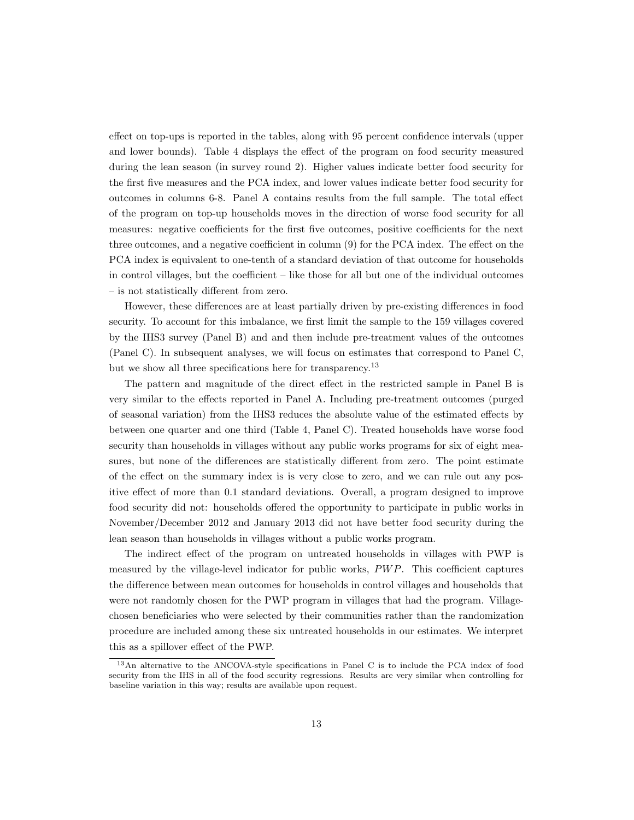effect on top-ups is reported in the tables, along with 95 percent confidence intervals (upper and lower bounds). Table 4 displays the effect of the program on food security measured during the lean season (in survey round 2). Higher values indicate better food security for the first five measures and the PCA index, and lower values indicate better food security for outcomes in columns 6-8. Panel A contains results from the full sample. The total effect of the program on top-up households moves in the direction of worse food security for all measures: negative coefficients for the first five outcomes, positive coefficients for the next three outcomes, and a negative coefficient in column (9) for the PCA index. The effect on the PCA index is equivalent to one-tenth of a standard deviation of that outcome for households in control villages, but the coefficient – like those for all but one of the individual outcomes – is not statistically different from zero.

However, these differences are at least partially driven by pre-existing differences in food security. To account for this imbalance, we first limit the sample to the 159 villages covered by the IHS3 survey (Panel B) and and then include pre-treatment values of the outcomes (Panel C). In subsequent analyses, we will focus on estimates that correspond to Panel C, but we show all three specifications here for transparency.<sup>13</sup>

The pattern and magnitude of the direct effect in the restricted sample in Panel B is very similar to the effects reported in Panel A. Including pre-treatment outcomes (purged of seasonal variation) from the IHS3 reduces the absolute value of the estimated effects by between one quarter and one third (Table 4, Panel C). Treated households have worse food security than households in villages without any public works programs for six of eight measures, but none of the differences are statistically different from zero. The point estimate of the effect on the summary index is is very close to zero, and we can rule out any positive effect of more than 0.1 standard deviations. Overall, a program designed to improve food security did not: households offered the opportunity to participate in public works in November/December 2012 and January 2013 did not have better food security during the lean season than households in villages without a public works program.

The indirect effect of the program on untreated households in villages with PWP is measured by the village-level indicator for public works, PW P. This coefficient captures the difference between mean outcomes for households in control villages and households that were not randomly chosen for the PWP program in villages that had the program. Villagechosen beneficiaries who were selected by their communities rather than the randomization procedure are included among these six untreated households in our estimates. We interpret this as a spillover effect of the PWP.

<sup>13</sup>An alternative to the ANCOVA-style specifications in Panel C is to include the PCA index of food security from the IHS in all of the food security regressions. Results are very similar when controlling for baseline variation in this way; results are available upon request.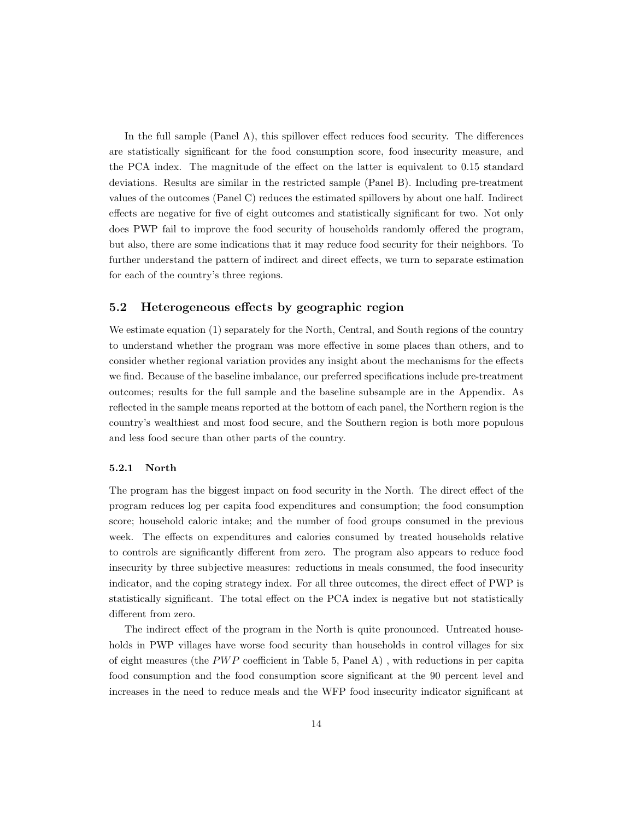In the full sample (Panel A), this spillover effect reduces food security. The differences are statistically significant for the food consumption score, food insecurity measure, and the PCA index. The magnitude of the effect on the latter is equivalent to 0.15 standard deviations. Results are similar in the restricted sample (Panel B). Including pre-treatment values of the outcomes (Panel C) reduces the estimated spillovers by about one half. Indirect effects are negative for five of eight outcomes and statistically significant for two. Not only does PWP fail to improve the food security of households randomly offered the program, but also, there are some indications that it may reduce food security for their neighbors. To further understand the pattern of indirect and direct effects, we turn to separate estimation for each of the country's three regions.

## 5.2 Heterogeneous effects by geographic region

We estimate equation (1) separately for the North, Central, and South regions of the country to understand whether the program was more effective in some places than others, and to consider whether regional variation provides any insight about the mechanisms for the effects we find. Because of the baseline imbalance, our preferred specifications include pre-treatment outcomes; results for the full sample and the baseline subsample are in the Appendix. As reflected in the sample means reported at the bottom of each panel, the Northern region is the country's wealthiest and most food secure, and the Southern region is both more populous and less food secure than other parts of the country.

#### 5.2.1 North

The program has the biggest impact on food security in the North. The direct effect of the program reduces log per capita food expenditures and consumption; the food consumption score; household caloric intake; and the number of food groups consumed in the previous week. The effects on expenditures and calories consumed by treated households relative to controls are significantly different from zero. The program also appears to reduce food insecurity by three subjective measures: reductions in meals consumed, the food insecurity indicator, and the coping strategy index. For all three outcomes, the direct effect of PWP is statistically significant. The total effect on the PCA index is negative but not statistically different from zero.

The indirect effect of the program in the North is quite pronounced. Untreated households in PWP villages have worse food security than households in control villages for six of eight measures (the  $PWP$  coefficient in Table 5, Panel A), with reductions in per capita food consumption and the food consumption score significant at the 90 percent level and increases in the need to reduce meals and the WFP food insecurity indicator significant at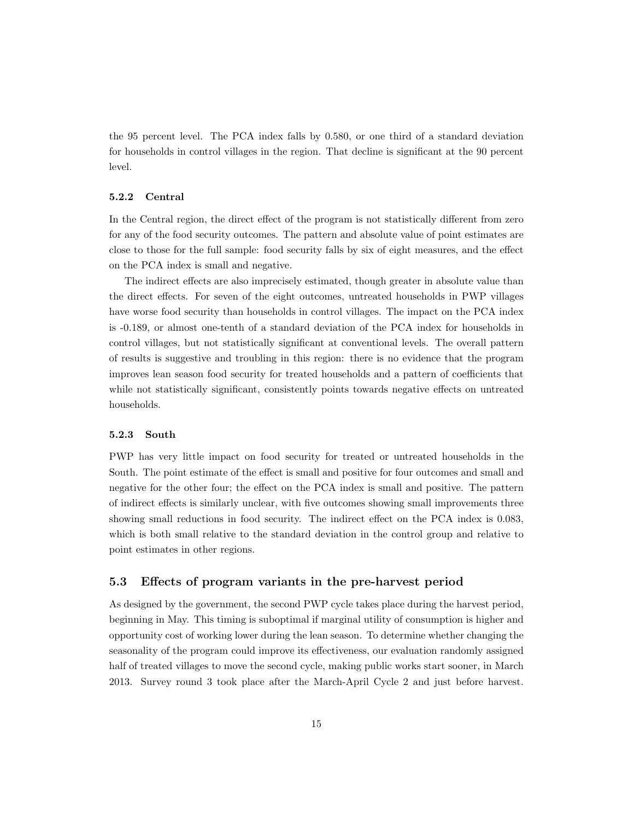the 95 percent level. The PCA index falls by 0.580, or one third of a standard deviation for households in control villages in the region. That decline is significant at the 90 percent level.

#### 5.2.2 Central

In the Central region, the direct effect of the program is not statistically different from zero for any of the food security outcomes. The pattern and absolute value of point estimates are close to those for the full sample: food security falls by six of eight measures, and the effect on the PCA index is small and negative.

The indirect effects are also imprecisely estimated, though greater in absolute value than the direct effects. For seven of the eight outcomes, untreated households in PWP villages have worse food security than households in control villages. The impact on the PCA index is -0.189, or almost one-tenth of a standard deviation of the PCA index for households in control villages, but not statistically significant at conventional levels. The overall pattern of results is suggestive and troubling in this region: there is no evidence that the program improves lean season food security for treated households and a pattern of coefficients that while not statistically significant, consistently points towards negative effects on untreated households.

#### 5.2.3 South

PWP has very little impact on food security for treated or untreated households in the South. The point estimate of the effect is small and positive for four outcomes and small and negative for the other four; the effect on the PCA index is small and positive. The pattern of indirect effects is similarly unclear, with five outcomes showing small improvements three showing small reductions in food security. The indirect effect on the PCA index is 0.083, which is both small relative to the standard deviation in the control group and relative to point estimates in other regions.

### 5.3 Effects of program variants in the pre-harvest period

As designed by the government, the second PWP cycle takes place during the harvest period, beginning in May. This timing is suboptimal if marginal utility of consumption is higher and opportunity cost of working lower during the lean season. To determine whether changing the seasonality of the program could improve its effectiveness, our evaluation randomly assigned half of treated villages to move the second cycle, making public works start sooner, in March 2013. Survey round 3 took place after the March-April Cycle 2 and just before harvest.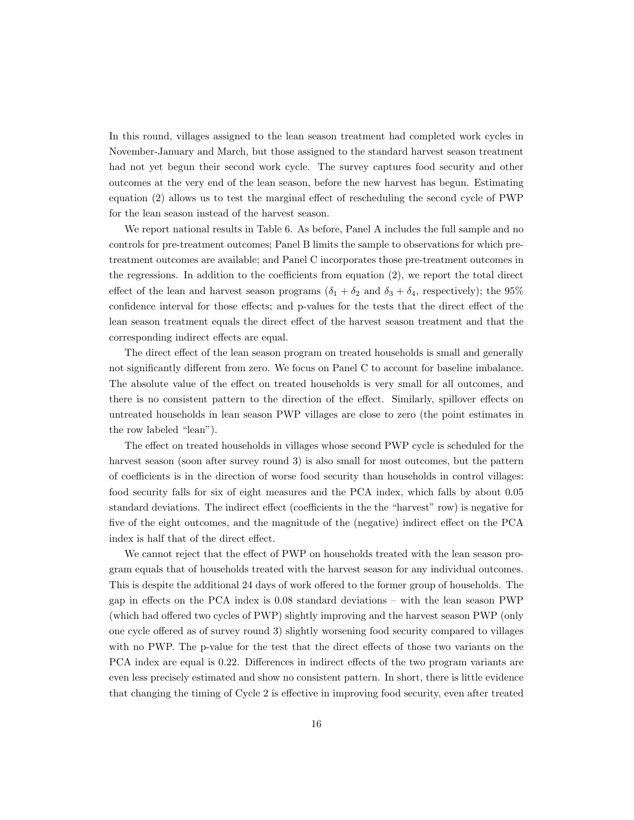In this round, villages assigned to the lean season treatment had completed work cycles in November-January and March, but those assigned to the standard harvest season treatment had not yet begun their second work cycle. The survey captures food security and other outcomes at the very end of the lean season, before the new harvest has begun. Estimating equation (2) allows us to test the marginal effect of rescheduling the second cycle of PWP for the lean season instead of the harvest season.

We report national results in Table 6. As before, Panel A includes the full sample and no controls for pre-treatment outcomes; Panel B limits the sample to observations for which pretreatment outcomes are available; and Panel C incorporates those pre-treatment outcomes in the regressions. In addition to the coefficients from equation (2), we report the total direct effect of the lean and harvest season programs  $(\delta_1 + \delta_2 \text{ and } \delta_3 + \delta_4 \text{, respectively})$ ; the 95% confidence interval for those effects; and p-values for the tests that the direct effect of the lean season treatment equals the direct effect of the harvest season treatment and that the corresponding indirect effects are equal.

The direct effect of the lean season program on treated households is small and generally not significantly different from zero. We focus on Panel C to account for baseline imbalance. The absolute value of the effect on treated households is very small for all outcomes, and there is no consistent pattern to the direction of the effect. Similarly, spillover effects on untreated households in lean season PWP villages are close to zero (the point estimates in the row labeled "lean").

The effect on treated households in villages whose second PWP cycle is scheduled for the harvest season (soon after survey round 3) is also small for most outcomes, but the pattern of coefficients is in the direction of worse food security than households in control villages: food security falls for six of eight measures and the PCA index, which falls by about 0.05 standard deviations. The indirect effect (coefficients in the the "harvest" row) is negative for five of the eight outcomes, and the magnitude of the (negative) indirect effect on the PCA index is half that of the direct effect.

We cannot reject that the effect of PWP on households treated with the lean season program equals that of households treated with the harvest season for any individual outcomes. This is despite the additional 24 days of work offered to the former group of households. The gap in effects on the PCA index is 0.08 standard deviations – with the lean season PWP (which had offered two cycles of PWP) slightly improving and the harvest season PWP (only one cycle offered as of survey round 3) slightly worsening food security compared to villages with no PWP. The p-value for the test that the direct effects of those two variants on the PCA index are equal is 0.22. Differences in indirect effects of the two program variants are even less precisely estimated and show no consistent pattern. In short, there is little evidence that changing the timing of Cycle 2 is effective in improving food security, even after treated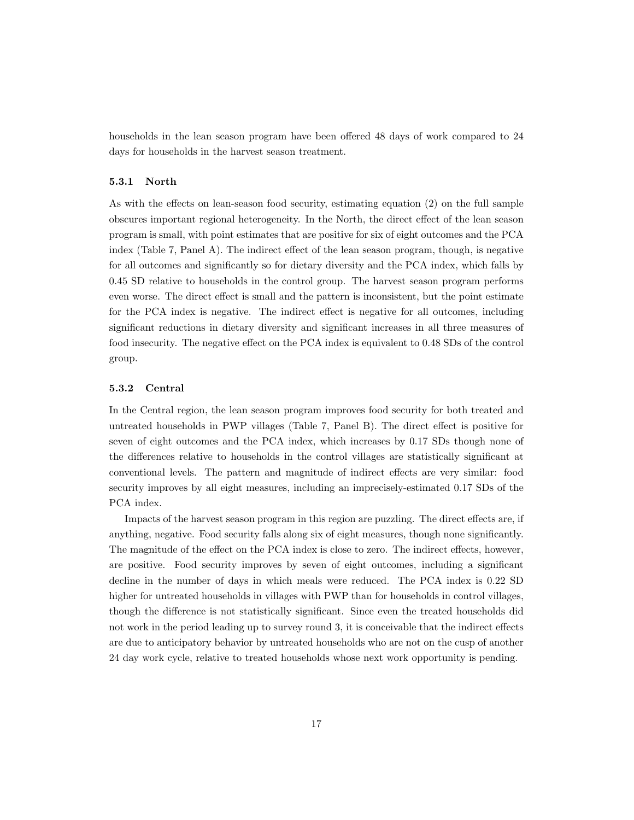households in the lean season program have been offered 48 days of work compared to 24 days for households in the harvest season treatment.

#### 5.3.1 North

As with the effects on lean-season food security, estimating equation (2) on the full sample obscures important regional heterogeneity. In the North, the direct effect of the lean season program is small, with point estimates that are positive for six of eight outcomes and the PCA index (Table 7, Panel A). The indirect effect of the lean season program, though, is negative for all outcomes and significantly so for dietary diversity and the PCA index, which falls by 0.45 SD relative to households in the control group. The harvest season program performs even worse. The direct effect is small and the pattern is inconsistent, but the point estimate for the PCA index is negative. The indirect effect is negative for all outcomes, including significant reductions in dietary diversity and significant increases in all three measures of food insecurity. The negative effect on the PCA index is equivalent to 0.48 SDs of the control group.

#### 5.3.2 Central

In the Central region, the lean season program improves food security for both treated and untreated households in PWP villages (Table 7, Panel B). The direct effect is positive for seven of eight outcomes and the PCA index, which increases by 0.17 SDs though none of the differences relative to households in the control villages are statistically significant at conventional levels. The pattern and magnitude of indirect effects are very similar: food security improves by all eight measures, including an imprecisely-estimated 0.17 SDs of the PCA index.

Impacts of the harvest season program in this region are puzzling. The direct effects are, if anything, negative. Food security falls along six of eight measures, though none significantly. The magnitude of the effect on the PCA index is close to zero. The indirect effects, however, are positive. Food security improves by seven of eight outcomes, including a significant decline in the number of days in which meals were reduced. The PCA index is 0.22 SD higher for untreated households in villages with PWP than for households in control villages, though the difference is not statistically significant. Since even the treated households did not work in the period leading up to survey round 3, it is conceivable that the indirect effects are due to anticipatory behavior by untreated households who are not on the cusp of another 24 day work cycle, relative to treated households whose next work opportunity is pending.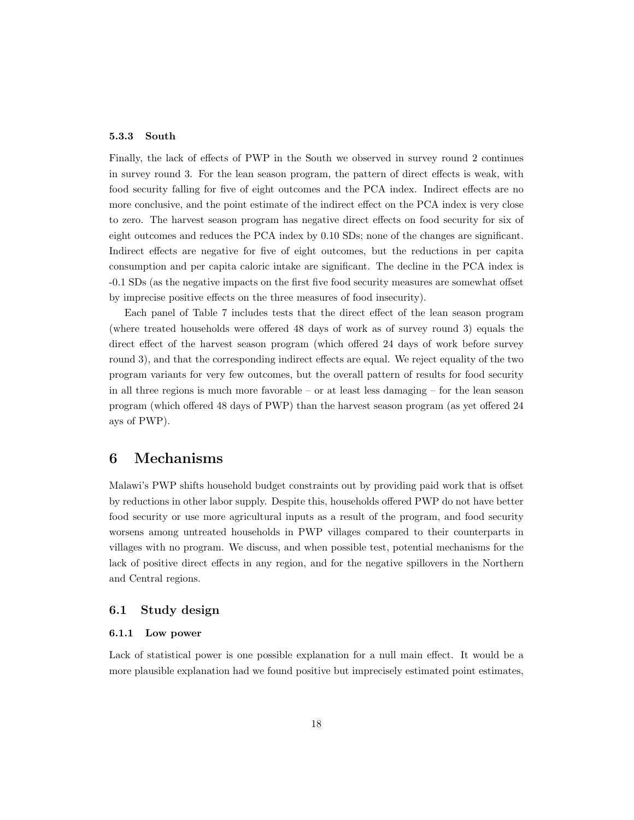#### 5.3.3 South

Finally, the lack of effects of PWP in the South we observed in survey round 2 continues in survey round 3. For the lean season program, the pattern of direct effects is weak, with food security falling for five of eight outcomes and the PCA index. Indirect effects are no more conclusive, and the point estimate of the indirect effect on the PCA index is very close to zero. The harvest season program has negative direct effects on food security for six of eight outcomes and reduces the PCA index by 0.10 SDs; none of the changes are significant. Indirect effects are negative for five of eight outcomes, but the reductions in per capita consumption and per capita caloric intake are significant. The decline in the PCA index is -0.1 SDs (as the negative impacts on the first five food security measures are somewhat offset by imprecise positive effects on the three measures of food insecurity).

Each panel of Table 7 includes tests that the direct effect of the lean season program (where treated households were offered 48 days of work as of survey round 3) equals the direct effect of the harvest season program (which offered 24 days of work before survey round 3), and that the corresponding indirect effects are equal. We reject equality of the two program variants for very few outcomes, but the overall pattern of results for food security in all three regions is much more favorable – or at least less damaging – for the lean season program (which offered 48 days of PWP) than the harvest season program (as yet offered 24 ays of PWP).

# 6 Mechanisms

Malawi's PWP shifts household budget constraints out by providing paid work that is offset by reductions in other labor supply. Despite this, households offered PWP do not have better food security or use more agricultural inputs as a result of the program, and food security worsens among untreated households in PWP villages compared to their counterparts in villages with no program. We discuss, and when possible test, potential mechanisms for the lack of positive direct effects in any region, and for the negative spillovers in the Northern and Central regions.

### 6.1 Study design

#### 6.1.1 Low power

Lack of statistical power is one possible explanation for a null main effect. It would be a more plausible explanation had we found positive but imprecisely estimated point estimates,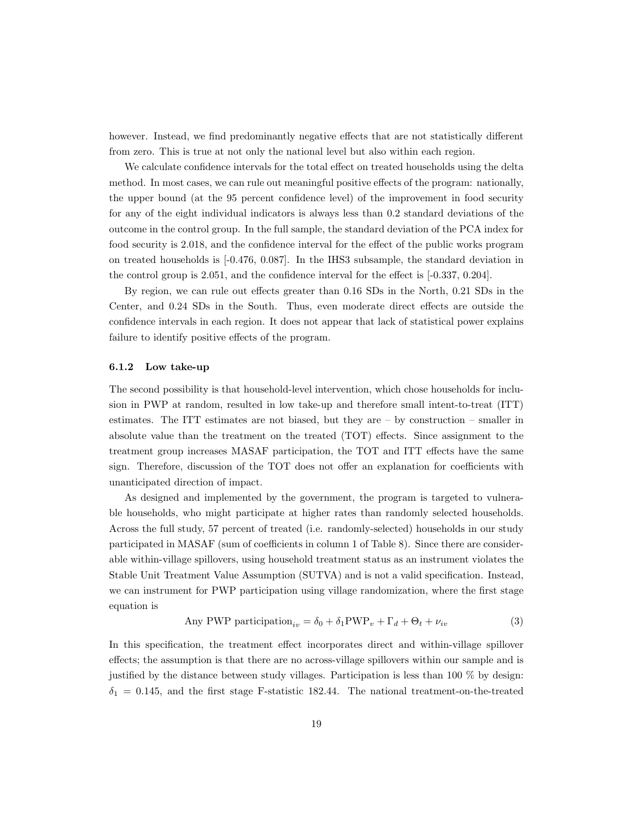however. Instead, we find predominantly negative effects that are not statistically different from zero. This is true at not only the national level but also within each region.

We calculate confidence intervals for the total effect on treated households using the delta method. In most cases, we can rule out meaningful positive effects of the program: nationally, the upper bound (at the 95 percent confidence level) of the improvement in food security for any of the eight individual indicators is always less than 0.2 standard deviations of the outcome in the control group. In the full sample, the standard deviation of the PCA index for food security is 2.018, and the confidence interval for the effect of the public works program on treated households is [-0.476, 0.087]. In the IHS3 subsample, the standard deviation in the control group is 2.051, and the confidence interval for the effect is [-0.337, 0.204].

By region, we can rule out effects greater than 0.16 SDs in the North, 0.21 SDs in the Center, and 0.24 SDs in the South. Thus, even moderate direct effects are outside the confidence intervals in each region. It does not appear that lack of statistical power explains failure to identify positive effects of the program.

#### 6.1.2 Low take-up

The second possibility is that household-level intervention, which chose households for inclusion in PWP at random, resulted in low take-up and therefore small intent-to-treat (ITT) estimates. The ITT estimates are not biased, but they are – by construction – smaller in absolute value than the treatment on the treated (TOT) effects. Since assignment to the treatment group increases MASAF participation, the TOT and ITT effects have the same sign. Therefore, discussion of the TOT does not offer an explanation for coefficients with unanticipated direction of impact.

As designed and implemented by the government, the program is targeted to vulnerable households, who might participate at higher rates than randomly selected households. Across the full study, 57 percent of treated (i.e. randomly-selected) households in our study participated in MASAF (sum of coefficients in column 1 of Table 8). Since there are considerable within-village spillovers, using household treatment status as an instrument violates the Stable Unit Treatment Value Assumption (SUTVA) and is not a valid specification. Instead, we can instrument for PWP participation using village randomization, where the first stage equation is

Any PWP participation<sub>iv</sub> = 
$$
\delta_0 + \delta_1 PWP_v + \Gamma_d + \Theta_t + \nu_{iv}
$$
 (3)

In this specification, the treatment effect incorporates direct and within-village spillover effects; the assumption is that there are no across-village spillovers within our sample and is justified by the distance between study villages. Participation is less than  $100\%$  by design:  $\delta_1 = 0.145$ , and the first stage F-statistic 182.44. The national treatment-on-the-treated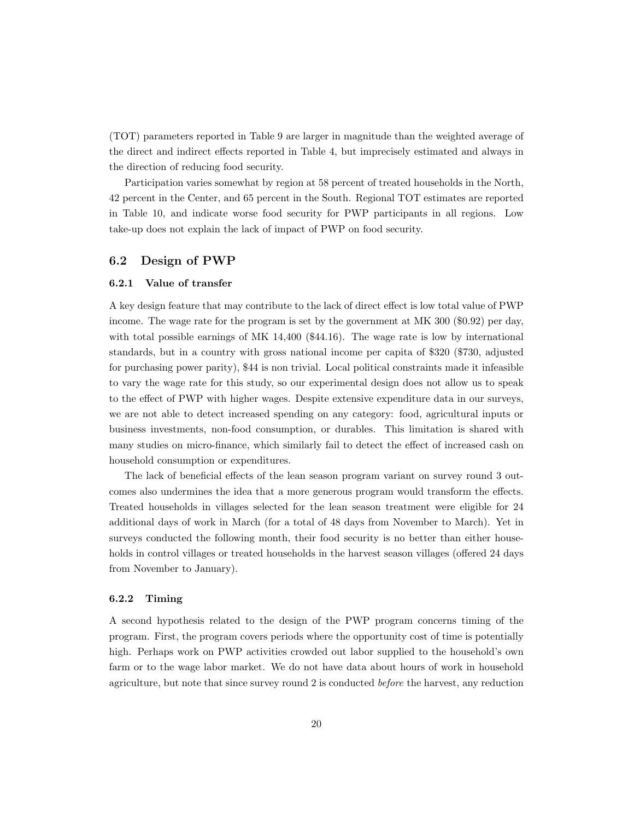(TOT) parameters reported in Table 9 are larger in magnitude than the weighted average of the direct and indirect effects reported in Table 4, but imprecisely estimated and always in the direction of reducing food security.

Participation varies somewhat by region at 58 percent of treated households in the North, 42 percent in the Center, and 65 percent in the South. Regional TOT estimates are reported in Table 10, and indicate worse food security for PWP participants in all regions. Low take-up does not explain the lack of impact of PWP on food security.

## 6.2 Design of PWP

#### 6.2.1 Value of transfer

A key design feature that may contribute to the lack of direct effect is low total value of PWP income. The wage rate for the program is set by the government at MK 300 (\$0.92) per day, with total possible earnings of MK 14,400 (\$44.16). The wage rate is low by international standards, but in a country with gross national income per capita of \$320 (\$730, adjusted for purchasing power parity), \$44 is non trivial. Local political constraints made it infeasible to vary the wage rate for this study, so our experimental design does not allow us to speak to the effect of PWP with higher wages. Despite extensive expenditure data in our surveys, we are not able to detect increased spending on any category: food, agricultural inputs or business investments, non-food consumption, or durables. This limitation is shared with many studies on micro-finance, which similarly fail to detect the effect of increased cash on household consumption or expenditures.

The lack of beneficial effects of the lean season program variant on survey round 3 outcomes also undermines the idea that a more generous program would transform the effects. Treated households in villages selected for the lean season treatment were eligible for 24 additional days of work in March (for a total of 48 days from November to March). Yet in surveys conducted the following month, their food security is no better than either households in control villages or treated households in the harvest season villages (offered 24 days from November to January).

#### 6.2.2 Timing

A second hypothesis related to the design of the PWP program concerns timing of the program. First, the program covers periods where the opportunity cost of time is potentially high. Perhaps work on PWP activities crowded out labor supplied to the household's own farm or to the wage labor market. We do not have data about hours of work in household agriculture, but note that since survey round 2 is conducted before the harvest, any reduction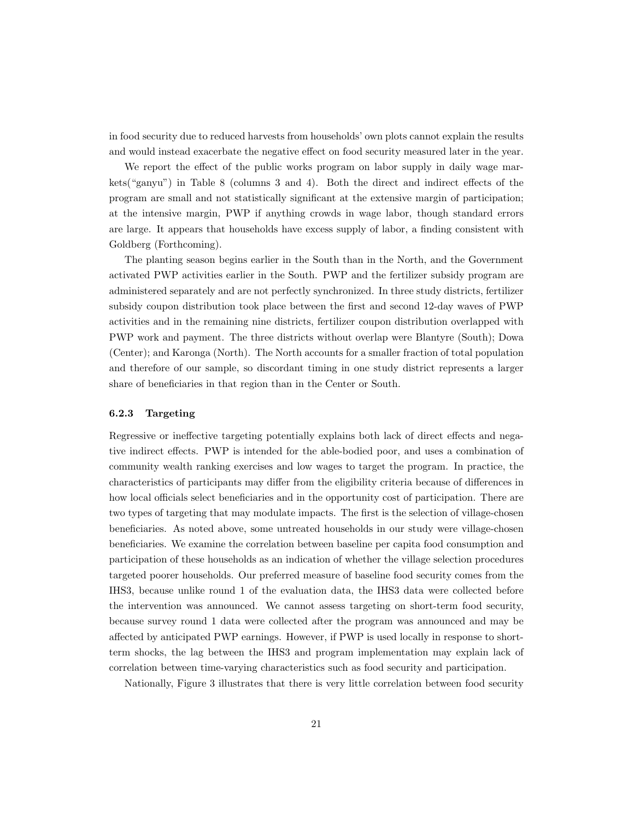in food security due to reduced harvests from households' own plots cannot explain the results and would instead exacerbate the negative effect on food security measured later in the year.

We report the effect of the public works program on labor supply in daily wage markets("ganyu") in Table 8 (columns 3 and 4). Both the direct and indirect effects of the program are small and not statistically significant at the extensive margin of participation; at the intensive margin, PWP if anything crowds in wage labor, though standard errors are large. It appears that households have excess supply of labor, a finding consistent with Goldberg (Forthcoming).

The planting season begins earlier in the South than in the North, and the Government activated PWP activities earlier in the South. PWP and the fertilizer subsidy program are administered separately and are not perfectly synchronized. In three study districts, fertilizer subsidy coupon distribution took place between the first and second 12-day waves of PWP activities and in the remaining nine districts, fertilizer coupon distribution overlapped with PWP work and payment. The three districts without overlap were Blantyre (South); Dowa (Center); and Karonga (North). The North accounts for a smaller fraction of total population and therefore of our sample, so discordant timing in one study district represents a larger share of beneficiaries in that region than in the Center or South.

#### 6.2.3 Targeting

Regressive or ineffective targeting potentially explains both lack of direct effects and negative indirect effects. PWP is intended for the able-bodied poor, and uses a combination of community wealth ranking exercises and low wages to target the program. In practice, the characteristics of participants may differ from the eligibility criteria because of differences in how local officials select beneficiaries and in the opportunity cost of participation. There are two types of targeting that may modulate impacts. The first is the selection of village-chosen beneficiaries. As noted above, some untreated households in our study were village-chosen beneficiaries. We examine the correlation between baseline per capita food consumption and participation of these households as an indication of whether the village selection procedures targeted poorer households. Our preferred measure of baseline food security comes from the IHS3, because unlike round 1 of the evaluation data, the IHS3 data were collected before the intervention was announced. We cannot assess targeting on short-term food security, because survey round 1 data were collected after the program was announced and may be affected by anticipated PWP earnings. However, if PWP is used locally in response to shortterm shocks, the lag between the IHS3 and program implementation may explain lack of correlation between time-varying characteristics such as food security and participation.

Nationally, Figure 3 illustrates that there is very little correlation between food security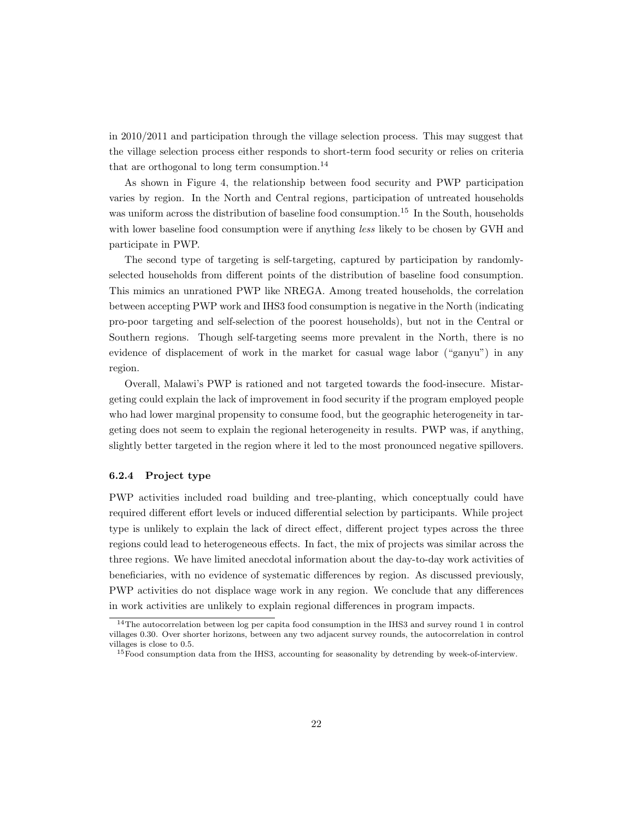in 2010/2011 and participation through the village selection process. This may suggest that the village selection process either responds to short-term food security or relies on criteria that are orthogonal to long term consumption.<sup>14</sup>

As shown in Figure 4, the relationship between food security and PWP participation varies by region. In the North and Central regions, participation of untreated households was uniform across the distribution of baseline food consumption.<sup>15</sup> In the South, households with lower baseline food consumption were if anything *less* likely to be chosen by GVH and participate in PWP.

The second type of targeting is self-targeting, captured by participation by randomlyselected households from different points of the distribution of baseline food consumption. This mimics an unrationed PWP like NREGA. Among treated households, the correlation between accepting PWP work and IHS3 food consumption is negative in the North (indicating pro-poor targeting and self-selection of the poorest households), but not in the Central or Southern regions. Though self-targeting seems more prevalent in the North, there is no evidence of displacement of work in the market for casual wage labor ("ganyu") in any region.

Overall, Malawi's PWP is rationed and not targeted towards the food-insecure. Mistargeting could explain the lack of improvement in food security if the program employed people who had lower marginal propensity to consume food, but the geographic heterogeneity in targeting does not seem to explain the regional heterogeneity in results. PWP was, if anything, slightly better targeted in the region where it led to the most pronounced negative spillovers.

#### 6.2.4 Project type

PWP activities included road building and tree-planting, which conceptually could have required different effort levels or induced differential selection by participants. While project type is unlikely to explain the lack of direct effect, different project types across the three regions could lead to heterogeneous effects. In fact, the mix of projects was similar across the three regions. We have limited anecdotal information about the day-to-day work activities of beneficiaries, with no evidence of systematic differences by region. As discussed previously, PWP activities do not displace wage work in any region. We conclude that any differences in work activities are unlikely to explain regional differences in program impacts.

<sup>14</sup>The autocorrelation between log per capita food consumption in the IHS3 and survey round 1 in control villages 0.30. Over shorter horizons, between any two adjacent survey rounds, the autocorrelation in control villages is close to 0.5.

<sup>&</sup>lt;sup>15</sup> Food consumption data from the IHS3, accounting for seasonality by detrending by week-of-interview.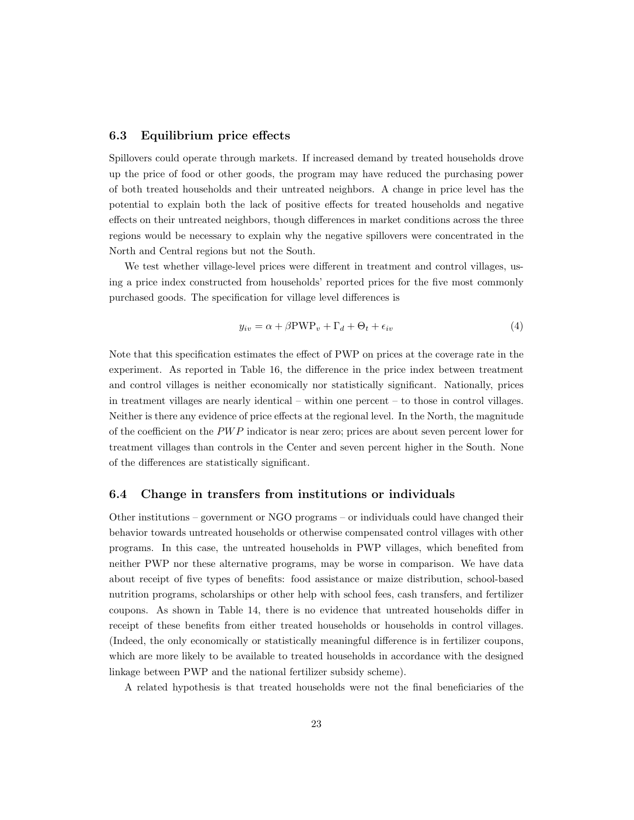### 6.3 Equilibrium price effects

Spillovers could operate through markets. If increased demand by treated households drove up the price of food or other goods, the program may have reduced the purchasing power of both treated households and their untreated neighbors. A change in price level has the potential to explain both the lack of positive effects for treated households and negative effects on their untreated neighbors, though differences in market conditions across the three regions would be necessary to explain why the negative spillovers were concentrated in the North and Central regions but not the South.

We test whether village-level prices were different in treatment and control villages, using a price index constructed from households' reported prices for the five most commonly purchased goods. The specification for village level differences is

$$
y_{iv} = \alpha + \beta \text{PWP}_v + \Gamma_d + \Theta_t + \epsilon_{iv}
$$
\n<sup>(4)</sup>

Note that this specification estimates the effect of PWP on prices at the coverage rate in the experiment. As reported in Table 16, the difference in the price index between treatment and control villages is neither economically nor statistically significant. Nationally, prices in treatment villages are nearly identical – within one percent – to those in control villages. Neither is there any evidence of price effects at the regional level. In the North, the magnitude of the coefficient on the  $PWP$  indicator is near zero; prices are about seven percent lower for treatment villages than controls in the Center and seven percent higher in the South. None of the differences are statistically significant.

### 6.4 Change in transfers from institutions or individuals

Other institutions – government or NGO programs – or individuals could have changed their behavior towards untreated households or otherwise compensated control villages with other programs. In this case, the untreated households in PWP villages, which benefited from neither PWP nor these alternative programs, may be worse in comparison. We have data about receipt of five types of benefits: food assistance or maize distribution, school-based nutrition programs, scholarships or other help with school fees, cash transfers, and fertilizer coupons. As shown in Table 14, there is no evidence that untreated households differ in receipt of these benefits from either treated households or households in control villages. (Indeed, the only economically or statistically meaningful difference is in fertilizer coupons, which are more likely to be available to treated households in accordance with the designed linkage between PWP and the national fertilizer subsidy scheme).

A related hypothesis is that treated households were not the final beneficiaries of the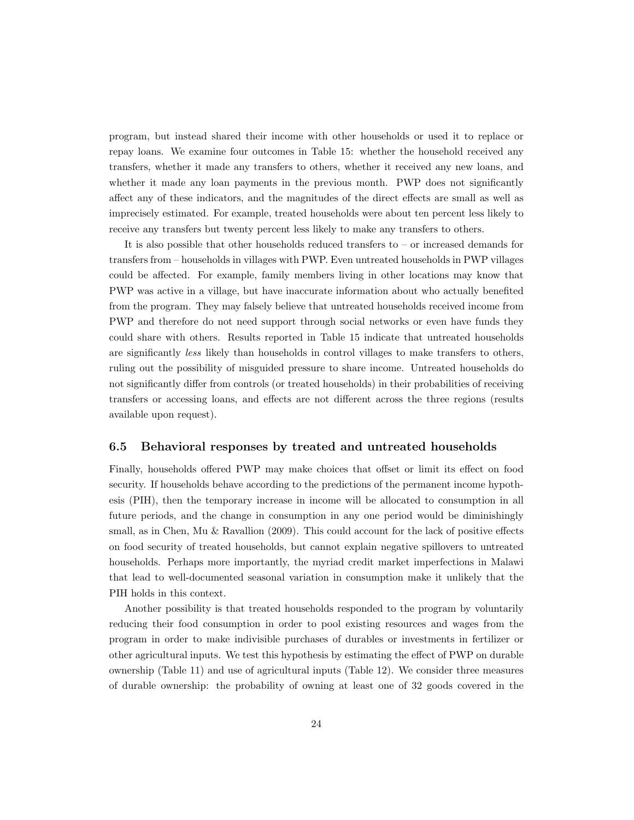program, but instead shared their income with other households or used it to replace or repay loans. We examine four outcomes in Table 15: whether the household received any transfers, whether it made any transfers to others, whether it received any new loans, and whether it made any loan payments in the previous month. PWP does not significantly affect any of these indicators, and the magnitudes of the direct effects are small as well as imprecisely estimated. For example, treated households were about ten percent less likely to receive any transfers but twenty percent less likely to make any transfers to others.

It is also possible that other households reduced transfers to – or increased demands for transfers from – households in villages with PWP. Even untreated households in PWP villages could be affected. For example, family members living in other locations may know that PWP was active in a village, but have inaccurate information about who actually benefited from the program. They may falsely believe that untreated households received income from PWP and therefore do not need support through social networks or even have funds they could share with others. Results reported in Table 15 indicate that untreated households are significantly less likely than households in control villages to make transfers to others, ruling out the possibility of misguided pressure to share income. Untreated households do not significantly differ from controls (or treated households) in their probabilities of receiving transfers or accessing loans, and effects are not different across the three regions (results available upon request).

### 6.5 Behavioral responses by treated and untreated households

Finally, households offered PWP may make choices that offset or limit its effect on food security. If households behave according to the predictions of the permanent income hypothesis (PIH), then the temporary increase in income will be allocated to consumption in all future periods, and the change in consumption in any one period would be diminishingly small, as in Chen, Mu & Ravallion (2009). This could account for the lack of positive effects on food security of treated households, but cannot explain negative spillovers to untreated households. Perhaps more importantly, the myriad credit market imperfections in Malawi that lead to well-documented seasonal variation in consumption make it unlikely that the PIH holds in this context.

Another possibility is that treated households responded to the program by voluntarily reducing their food consumption in order to pool existing resources and wages from the program in order to make indivisible purchases of durables or investments in fertilizer or other agricultural inputs. We test this hypothesis by estimating the effect of PWP on durable ownership (Table 11) and use of agricultural inputs (Table 12). We consider three measures of durable ownership: the probability of owning at least one of 32 goods covered in the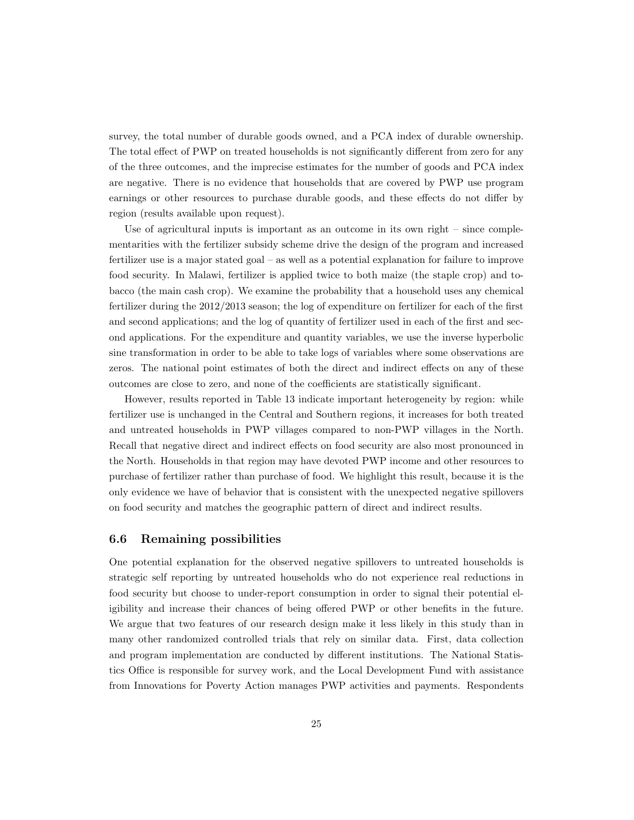survey, the total number of durable goods owned, and a PCA index of durable ownership. The total effect of PWP on treated households is not significantly different from zero for any of the three outcomes, and the imprecise estimates for the number of goods and PCA index are negative. There is no evidence that households that are covered by PWP use program earnings or other resources to purchase durable goods, and these effects do not differ by region (results available upon request).

Use of agricultural inputs is important as an outcome in its own right – since complementarities with the fertilizer subsidy scheme drive the design of the program and increased fertilizer use is a major stated goal – as well as a potential explanation for failure to improve food security. In Malawi, fertilizer is applied twice to both maize (the staple crop) and tobacco (the main cash crop). We examine the probability that a household uses any chemical fertilizer during the 2012/2013 season; the log of expenditure on fertilizer for each of the first and second applications; and the log of quantity of fertilizer used in each of the first and second applications. For the expenditure and quantity variables, we use the inverse hyperbolic sine transformation in order to be able to take logs of variables where some observations are zeros. The national point estimates of both the direct and indirect effects on any of these outcomes are close to zero, and none of the coefficients are statistically significant.

However, results reported in Table 13 indicate important heterogeneity by region: while fertilizer use is unchanged in the Central and Southern regions, it increases for both treated and untreated households in PWP villages compared to non-PWP villages in the North. Recall that negative direct and indirect effects on food security are also most pronounced in the North. Households in that region may have devoted PWP income and other resources to purchase of fertilizer rather than purchase of food. We highlight this result, because it is the only evidence we have of behavior that is consistent with the unexpected negative spillovers on food security and matches the geographic pattern of direct and indirect results.

### 6.6 Remaining possibilities

One potential explanation for the observed negative spillovers to untreated households is strategic self reporting by untreated households who do not experience real reductions in food security but choose to under-report consumption in order to signal their potential eligibility and increase their chances of being offered PWP or other benefits in the future. We argue that two features of our research design make it less likely in this study than in many other randomized controlled trials that rely on similar data. First, data collection and program implementation are conducted by different institutions. The National Statistics Office is responsible for survey work, and the Local Development Fund with assistance from Innovations for Poverty Action manages PWP activities and payments. Respondents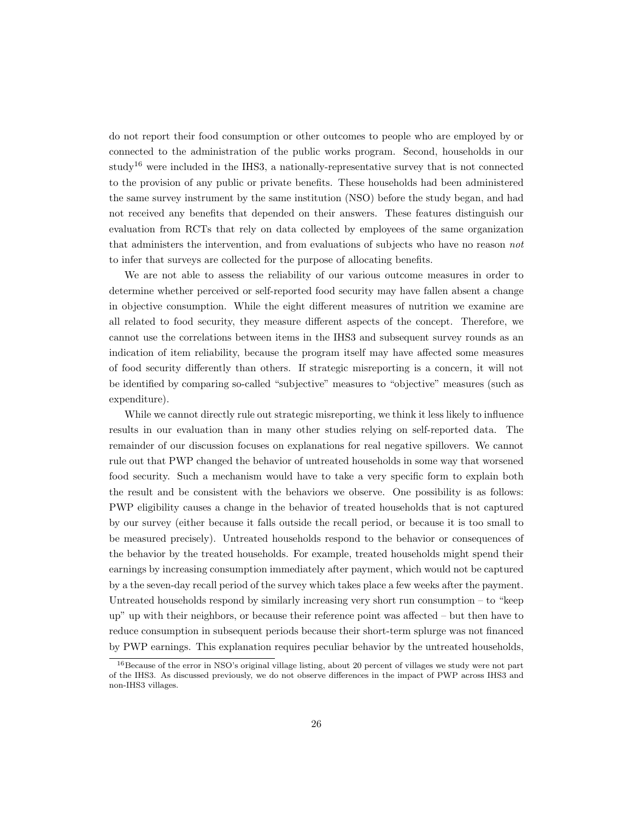do not report their food consumption or other outcomes to people who are employed by or connected to the administration of the public works program. Second, households in our study<sup>16</sup> were included in the IHS3, a nationally-representative survey that is not connected to the provision of any public or private benefits. These households had been administered the same survey instrument by the same institution (NSO) before the study began, and had not received any benefits that depended on their answers. These features distinguish our evaluation from RCTs that rely on data collected by employees of the same organization that administers the intervention, and from evaluations of subjects who have no reason not to infer that surveys are collected for the purpose of allocating benefits.

We are not able to assess the reliability of our various outcome measures in order to determine whether perceived or self-reported food security may have fallen absent a change in objective consumption. While the eight different measures of nutrition we examine are all related to food security, they measure different aspects of the concept. Therefore, we cannot use the correlations between items in the IHS3 and subsequent survey rounds as an indication of item reliability, because the program itself may have affected some measures of food security differently than others. If strategic misreporting is a concern, it will not be identified by comparing so-called "subjective" measures to "objective" measures (such as expenditure).

While we cannot directly rule out strategic misreporting, we think it less likely to influence results in our evaluation than in many other studies relying on self-reported data. The remainder of our discussion focuses on explanations for real negative spillovers. We cannot rule out that PWP changed the behavior of untreated households in some way that worsened food security. Such a mechanism would have to take a very specific form to explain both the result and be consistent with the behaviors we observe. One possibility is as follows: PWP eligibility causes a change in the behavior of treated households that is not captured by our survey (either because it falls outside the recall period, or because it is too small to be measured precisely). Untreated households respond to the behavior or consequences of the behavior by the treated households. For example, treated households might spend their earnings by increasing consumption immediately after payment, which would not be captured by a the seven-day recall period of the survey which takes place a few weeks after the payment. Untreated households respond by similarly increasing very short run consumption – to "keep up" up with their neighbors, or because their reference point was affected – but then have to reduce consumption in subsequent periods because their short-term splurge was not financed by PWP earnings. This explanation requires peculiar behavior by the untreated households,

<sup>16</sup>Because of the error in NSO's original village listing, about 20 percent of villages we study were not part of the IHS3. As discussed previously, we do not observe differences in the impact of PWP across IHS3 and non-IHS3 villages.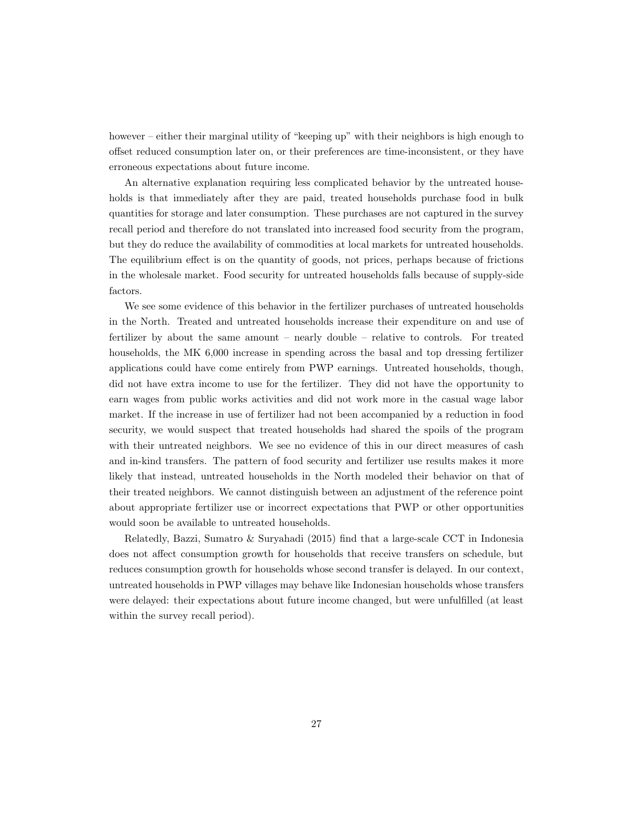however – either their marginal utility of "keeping up" with their neighbors is high enough to offset reduced consumption later on, or their preferences are time-inconsistent, or they have erroneous expectations about future income.

An alternative explanation requiring less complicated behavior by the untreated households is that immediately after they are paid, treated households purchase food in bulk quantities for storage and later consumption. These purchases are not captured in the survey recall period and therefore do not translated into increased food security from the program, but they do reduce the availability of commodities at local markets for untreated households. The equilibrium effect is on the quantity of goods, not prices, perhaps because of frictions in the wholesale market. Food security for untreated households falls because of supply-side factors.

We see some evidence of this behavior in the fertilizer purchases of untreated households in the North. Treated and untreated households increase their expenditure on and use of fertilizer by about the same amount – nearly double – relative to controls. For treated households, the MK 6,000 increase in spending across the basal and top dressing fertilizer applications could have come entirely from PWP earnings. Untreated households, though, did not have extra income to use for the fertilizer. They did not have the opportunity to earn wages from public works activities and did not work more in the casual wage labor market. If the increase in use of fertilizer had not been accompanied by a reduction in food security, we would suspect that treated households had shared the spoils of the program with their untreated neighbors. We see no evidence of this in our direct measures of cash and in-kind transfers. The pattern of food security and fertilizer use results makes it more likely that instead, untreated households in the North modeled their behavior on that of their treated neighbors. We cannot distinguish between an adjustment of the reference point about appropriate fertilizer use or incorrect expectations that PWP or other opportunities would soon be available to untreated households.

Relatedly, Bazzi, Sumatro & Suryahadi (2015) find that a large-scale CCT in Indonesia does not affect consumption growth for households that receive transfers on schedule, but reduces consumption growth for households whose second transfer is delayed. In our context, untreated households in PWP villages may behave like Indonesian households whose transfers were delayed: their expectations about future income changed, but were unfulfilled (at least within the survey recall period).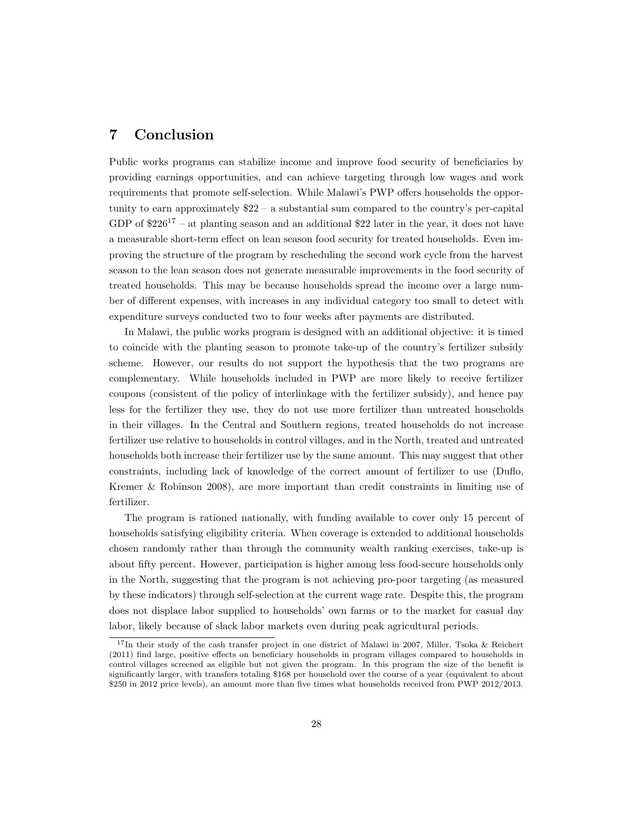# 7 Conclusion

Public works programs can stabilize income and improve food security of beneficiaries by providing earnings opportunities, and can achieve targeting through low wages and work requirements that promote self-selection. While Malawi's PWP offers households the opportunity to earn approximately \$22 – a substantial sum compared to the country's per-capital GDP of  $226^{17}$  – at planting season and an additional  $22$  later in the year, it does not have a measurable short-term effect on lean season food security for treated households. Even improving the structure of the program by rescheduling the second work cycle from the harvest season to the lean season does not generate measurable improvements in the food security of treated households. This may be because households spread the income over a large number of different expenses, with increases in any individual category too small to detect with expenditure surveys conducted two to four weeks after payments are distributed.

In Malawi, the public works program is designed with an additional objective: it is timed to coincide with the planting season to promote take-up of the country's fertilizer subsidy scheme. However, our results do not support the hypothesis that the two programs are complementary. While households included in PWP are more likely to receive fertilizer coupons (consistent of the policy of interlinkage with the fertilizer subsidy), and hence pay less for the fertilizer they use, they do not use more fertilizer than untreated households in their villages. In the Central and Southern regions, treated households do not increase fertilizer use relative to households in control villages, and in the North, treated and untreated households both increase their fertilizer use by the same amount. This may suggest that other constraints, including lack of knowledge of the correct amount of fertilizer to use (Duflo, Kremer & Robinson 2008), are more important than credit constraints in limiting use of fertilizer.

The program is rationed nationally, with funding available to cover only 15 percent of households satisfying eligibility criteria. When coverage is extended to additional households chosen randomly rather than through the community wealth ranking exercises, take-up is about fifty percent. However, participation is higher among less food-secure households only in the North, suggesting that the program is not achieving pro-poor targeting (as measured by these indicators) through self-selection at the current wage rate. Despite this, the program does not displace labor supplied to households' own farms or to the market for casual day labor, likely because of slack labor markets even during peak agricultural periods.

<sup>&</sup>lt;sup>17</sup>In their study of the cash transfer project in one district of Malawi in 2007, Miller, Tsoka & Reichert (2011) find large, positive effects on beneficiary households in program villages compared to households in control villages screened as eligible but not given the program. In this program the size of the benefit is significantly larger, with transfers totaling \$168 per household over the course of a year (equivalent to about \$250 in 2012 price levels), an amount more than five times what households received from PWP 2012/2013.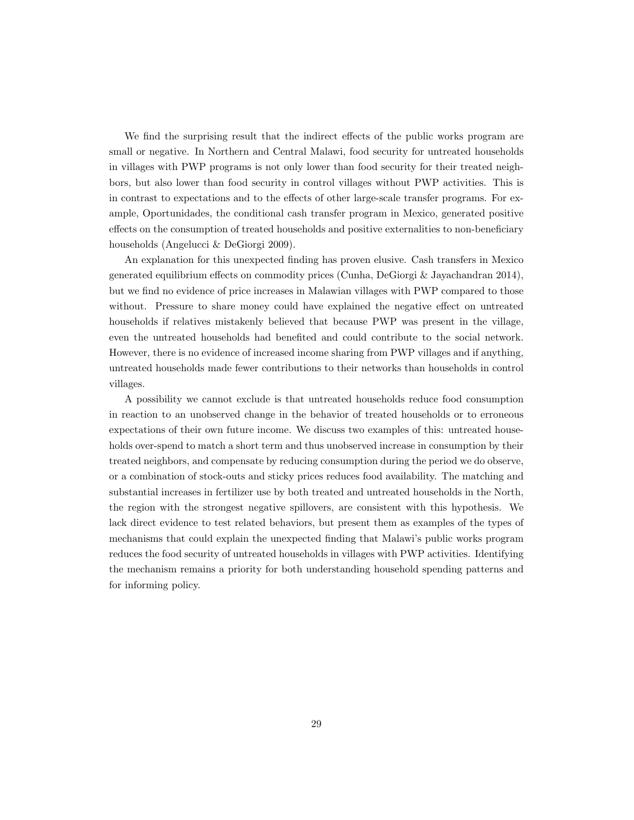We find the surprising result that the indirect effects of the public works program are small or negative. In Northern and Central Malawi, food security for untreated households in villages with PWP programs is not only lower than food security for their treated neighbors, but also lower than food security in control villages without PWP activities. This is in contrast to expectations and to the effects of other large-scale transfer programs. For example, Oportunidades, the conditional cash transfer program in Mexico, generated positive effects on the consumption of treated households and positive externalities to non-beneficiary households (Angelucci & DeGiorgi 2009).

An explanation for this unexpected finding has proven elusive. Cash transfers in Mexico generated equilibrium effects on commodity prices (Cunha, DeGiorgi & Jayachandran 2014), but we find no evidence of price increases in Malawian villages with PWP compared to those without. Pressure to share money could have explained the negative effect on untreated households if relatives mistakenly believed that because PWP was present in the village, even the untreated households had benefited and could contribute to the social network. However, there is no evidence of increased income sharing from PWP villages and if anything, untreated households made fewer contributions to their networks than households in control villages.

A possibility we cannot exclude is that untreated households reduce food consumption in reaction to an unobserved change in the behavior of treated households or to erroneous expectations of their own future income. We discuss two examples of this: untreated households over-spend to match a short term and thus unobserved increase in consumption by their treated neighbors, and compensate by reducing consumption during the period we do observe, or a combination of stock-outs and sticky prices reduces food availability. The matching and substantial increases in fertilizer use by both treated and untreated households in the North, the region with the strongest negative spillovers, are consistent with this hypothesis. We lack direct evidence to test related behaviors, but present them as examples of the types of mechanisms that could explain the unexpected finding that Malawi's public works program reduces the food security of untreated households in villages with PWP activities. Identifying the mechanism remains a priority for both understanding household spending patterns and for informing policy.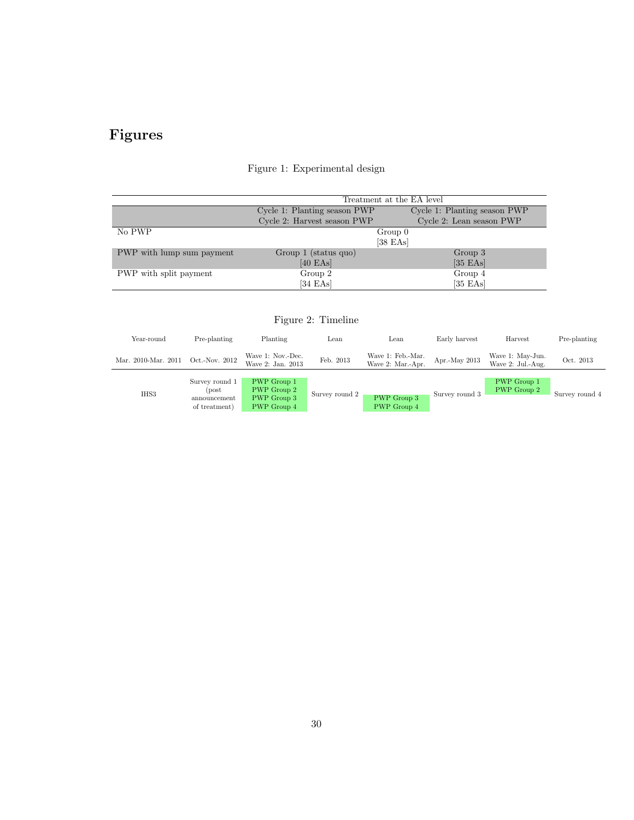# Figures

|                           |                              | Treatment at the EA level    |
|---------------------------|------------------------------|------------------------------|
|                           | Cycle 1: Planting season PWP | Cycle 1: Planting season PWP |
|                           | Cycle 2: Harvest season PWP  | Cycle 2: Lean season PWP     |
| No PWP                    |                              | $Group\;0$                   |
|                           |                              | $[38$ EAs                    |
| PWP with lump sum payment | Group 1 (status quo)         | Group 3                      |
|                           | $[40$ EAs $]$                | $[35$ EAs]                   |
| PWP with split payment    | Group 2                      | Group 4                      |
|                           | $[34$ EAs $]$                | $[35$ EAs $]$                |

# Figure 1: Experimental design

# Figure 2: Timeline

| Year-round          | Pre-planting                                             | Planting                                                 | Lean           | Lean                                   | Early harvest  | Harvest                               | Pre-planting   |
|---------------------|----------------------------------------------------------|----------------------------------------------------------|----------------|----------------------------------------|----------------|---------------------------------------|----------------|
| Mar. 2010-Mar. 2011 | Oct.-Nov. 2012                                           | Wave 1: Nov.-Dec.<br>Wave 2: Jan. 2013                   | Feb. 2013      | Wave 1: Feb.-Mar.<br>Wave 2: Mar.-Apr. | Apr.-May 2013  | Wave 1: May-Jun.<br>Wave 2: Jul.-Aug. | Oct. 2013      |
| IHS3                | Survey round 1<br>(post<br>announcement<br>of treatment) | PWP Group 1<br>PWP Group 2<br>PWP Group 3<br>PWP Group 4 | Survey round 2 | PWP Group 3<br>PWP Group 4             | Survey round 3 | PWP Group 1<br>PWP Group 2            | Survey round 4 |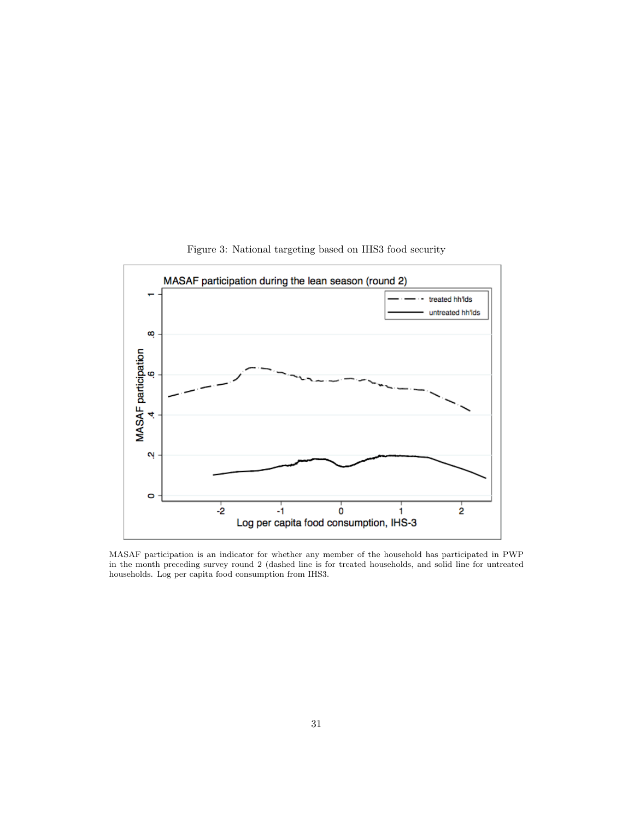

Figure 3: National targeting based on IHS3 food security

MASAF participation is an indicator for whether any member of the household has participated in PWP in the month preceding survey round 2 (dashed line is for treated households, and solid line for untreated households. Log per capita food consumption from IHS3.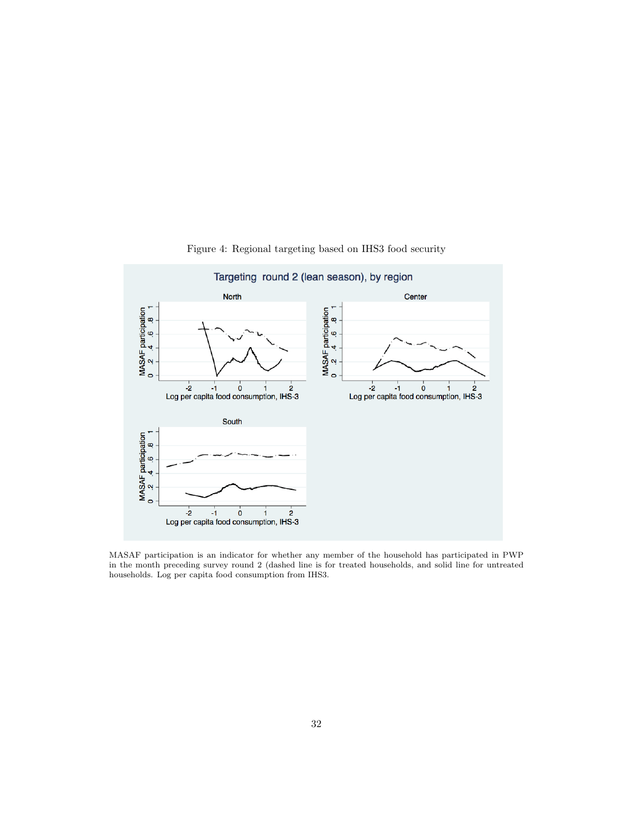

Figure 4: Regional targeting based on IHS3 food security

MASAF participation is an indicator for whether any member of the household has participated in PWP in the month preceding survey round 2 (dashed line is for treated households, and solid line for untreated households. Log per capita food consumption from IHS3.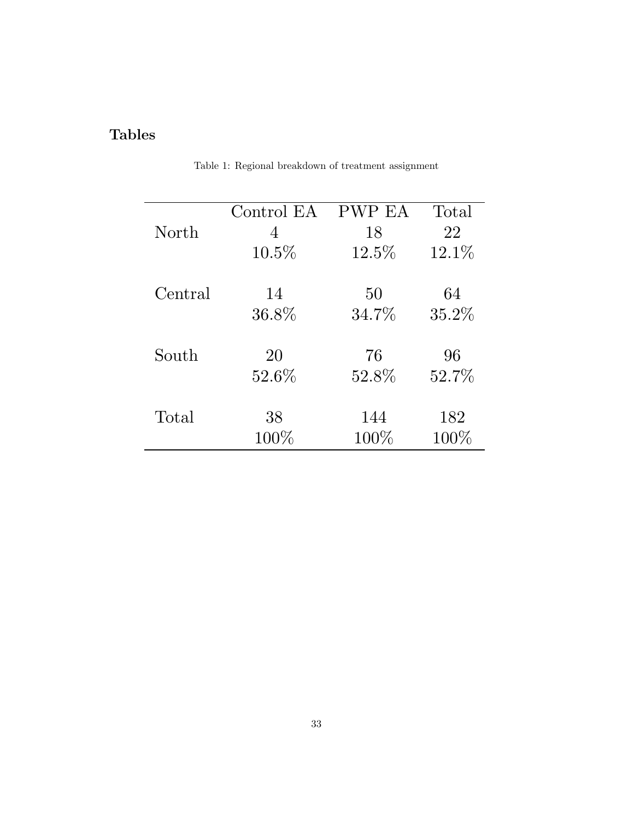# Tables

| North   | Control EA | PWP EA   | Total    |
|---------|------------|----------|----------|
|         | 4          | 18       | 22       |
|         | $10.5\%$   | $12.5\%$ | $12.1\%$ |
| Central | 14         | 50       | 64       |
|         | $36.8\%$   | $34.7\%$ | 35.2%    |
| South   | 20         | 76       | 96       |
|         | $52.6\%$   | 52.8%    | 52.7%    |
| Total   | 38         | 144      | 182      |
|         | $100\%$    | $100\%$  | $100\%$  |

Table 1: Regional breakdown of treatment assignment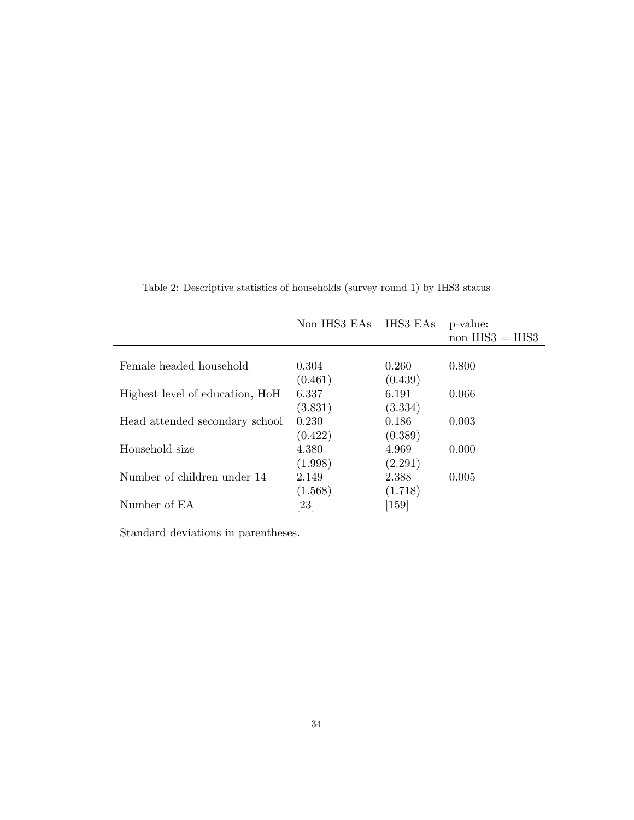|                                 | Non IHS3 EAs | IHS3 EAs           | p-value:<br>non $IHS3 = IHS3$ |
|---------------------------------|--------------|--------------------|-------------------------------|
| Female headed household         | 0.304        | 0.260              | 0.800                         |
|                                 | (0.461)      | (0.439)            |                               |
| Highest level of education, HoH | 6.337        | 6.191              | 0.066                         |
|                                 | (3.831)      | (3.334)            |                               |
| Head attended secondary school  | 0.230        | 0.186              | 0.003                         |
|                                 | (0.422)      | (0.389)            |                               |
| Household size                  | 4.380        | 4.969              | 0.000                         |
|                                 | (1.998)      | (2.291)            |                               |
| Number of children under 14     | 2.149        | 2.388              | 0.005                         |
|                                 | (1.568)      | (1.718)            |                               |
| Number of EA                    | [23]         | $\left[159\right]$ |                               |
|                                 |              |                    |                               |

Table 2: Descriptive statistics of households (survey round 1) by IHS3 status

Standard deviations in parentheses.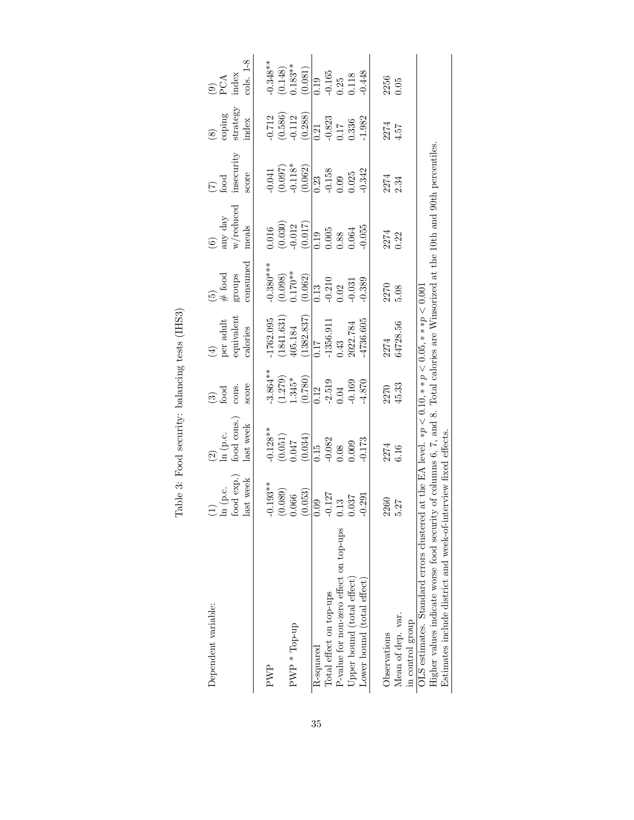| Dependent variable:                                                                                                                                                                                                                                                                                                                      | $\begin{array}{l} \hbox{ln (p.c.}\\ \hbox{food exp.)} \end{array}$<br>last week | $\begin{array}{l} (2)\\ \ln\ (\text{p.c.}\\ \text{food cons.}) \end{array}$<br>last week | score<br>cons.<br>$\begin{array}{c} \textcircled{\scriptsize a} \\ \text{food} \end{array}$ | $\mathop{\mathrm{per}}\limits_{\mathrm{equivalent}}$<br>calories | consumed<br>$\#$ food<br>groups                     | any day $\frac{1}{w$ /reduced<br>meals<br>$\widehat{\mathbf{c}}$ | insecurity<br>score<br>$\sum_{i=1}^{10}$                      | strategy<br>coping<br>index                                         | cols. 1-8<br>$90A$<br>PCA<br>index                              |
|------------------------------------------------------------------------------------------------------------------------------------------------------------------------------------------------------------------------------------------------------------------------------------------------------------------------------------------|---------------------------------------------------------------------------------|------------------------------------------------------------------------------------------|---------------------------------------------------------------------------------------------|------------------------------------------------------------------|-----------------------------------------------------|------------------------------------------------------------------|---------------------------------------------------------------|---------------------------------------------------------------------|-----------------------------------------------------------------|
| PWP                                                                                                                                                                                                                                                                                                                                      | $-0.193**$                                                                      | $-0.128**$                                                                               | $-3.864**$                                                                                  | $-1762.095$                                                      | $0.380***$                                          | 0.016                                                            | 0.041                                                         |                                                                     | $0.348**$                                                       |
| PWP * Top-up                                                                                                                                                                                                                                                                                                                             | (0.089)<br>(0.053)<br>0.066                                                     | $\begin{array}{c} (0.051) \\ 0.047 \end{array}$<br>(0.034)                               | $(1.279)$<br>$1.345*$<br>(0.780)                                                            | $(1841.631)$<br>405.184<br>$(1382.837)$                          | $(0.098)$<br>$0.170**$<br>(0.062)                   | $(0.030)$<br>$-0.012$<br>$(0.017)$                               | $\begin{array}{c} (0.097) \\ -0.118^* \\ (0.062) \end{array}$ | $\begin{array}{c} 0.712 \\ (0.586) \\ 0.112 \\ (0.288) \end{array}$ | $\begin{array}{c} (0.148) \\ 0.183^{**} \\ (0.081) \end{array}$ |
| Total effect on top-ups<br>R-squared                                                                                                                                                                                                                                                                                                     | $-0.127$<br>0.09                                                                | $\overline{0.15}$<br>$\overline{0.082}$<br>$\overline{0.009}$                            | $\overline{0.12}$                                                                           | $\frac{0.17}{-1356.911}$<br>-1356.911                            | $\overline{0.13}$<br>$-0.210$<br>$0.02$<br>$-0.031$ | $\frac{19}{0.005}$<br>0.005<br>0.064                             | $\overline{0.23}$<br>$-0.158$<br>$0.09$<br>$0.025$            | $\overline{0.21}$<br>$-0.823$<br>$0.17$<br>0.336                    | $\overline{0.19}$<br>$-0.165$<br>$0.25$<br>$0.118$              |
| P-value for non-zero effect on top-ups                                                                                                                                                                                                                                                                                                   | 0.13                                                                            |                                                                                          | $-2.519$<br>0.04                                                                            |                                                                  |                                                     |                                                                  |                                                               |                                                                     |                                                                 |
| Upper bound (total effect)                                                                                                                                                                                                                                                                                                               | 0.037                                                                           |                                                                                          | 0.169                                                                                       | 2022.784                                                         |                                                     |                                                                  |                                                               |                                                                     |                                                                 |
| Lower bound (total effect)                                                                                                                                                                                                                                                                                                               | $-0.291$                                                                        | 0.173                                                                                    | 4.870                                                                                       | 4736.605                                                         | 0.389                                               | $-0.055$                                                         | $-0.342$                                                      | $-1.982$                                                            | $-0.448$                                                        |
| Observations                                                                                                                                                                                                                                                                                                                             | 2260                                                                            | 2274<br>6.16                                                                             | 2270<br>45.33                                                                               |                                                                  | 2270<br>5.08                                        | 2274<br>0.22                                                     | $2274$<br>$2.34$                                              | $\frac{274}{4.57}$                                                  | 2256<br>0.05                                                    |
| Mean of dep. var.<br>in control group                                                                                                                                                                                                                                                                                                    | 5.27                                                                            |                                                                                          |                                                                                             | 2274<br>64728.56                                                 |                                                     |                                                                  |                                                               |                                                                     |                                                                 |
| Higher values indicate worse food security of columns 6, $7$ , and 8. Total calories are Winsorized at the 10th and 90th percentiles.<br>LS estimates. Standard errors clustered at the EA level. $\ast p \lt 0.10, \ast \ast p \lt 0.05, \ast \ast \ast p \lt 0.001$<br>Estimates include district and week-of-interview fixed effects. |                                                                                 |                                                                                          |                                                                                             |                                                                  |                                                     |                                                                  |                                                               |                                                                     |                                                                 |

Table 3: Food security: balancing tests (IHS3) Table 3: Food security: balancing tests (IHS3)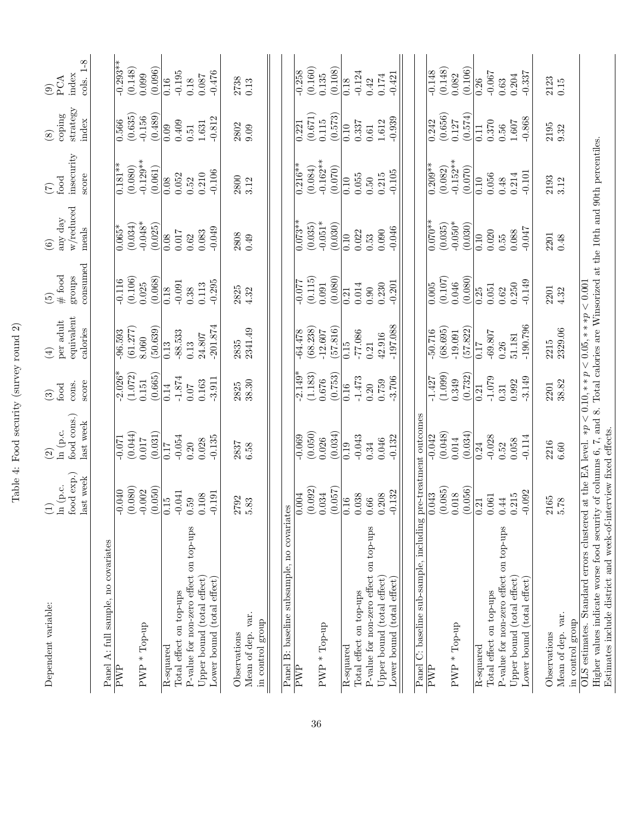| Dependent variable:                                                                                                                                                                                                                                           | food exp.)<br>last week<br>ln (p.c.<br>$\bigoplus$ | food cons.)<br>last week<br>ln (p.c.<br>$\widehat{\Omega}$ | score<br>cons.<br>food<br>$\widehat{\mathcal{E}}$ | equivalent<br>per adult<br>calories<br>$\bigoplus$ | consumed<br>$#$ food<br>groups<br>$\widetilde{\mathbf{e}}$ | w/reduced<br>any day<br>meals<br>$\odot$ | insecurity<br>score<br>food<br>$(\zeta)$ | $strategy$<br>coping<br>index<br>$\circled{s}$ | $1-8$<br>index<br>PCA<br>cols.<br>$\odot$ |
|---------------------------------------------------------------------------------------------------------------------------------------------------------------------------------------------------------------------------------------------------------------|----------------------------------------------------|------------------------------------------------------------|---------------------------------------------------|----------------------------------------------------|------------------------------------------------------------|------------------------------------------|------------------------------------------|------------------------------------------------|-------------------------------------------|
| A: full sample, no covariates<br>Panel                                                                                                                                                                                                                        |                                                    |                                                            |                                                   |                                                    |                                                            |                                          |                                          |                                                |                                           |
| PWP                                                                                                                                                                                                                                                           | $-0.040$                                           | $-0.071$                                                   | $-2.026*$                                         | $-96.593$                                          | $-0.116$                                                   | $0.065*$                                 | $0.181**$                                | 0.566                                          | $-0.293**$                                |
| PWP * Top-up                                                                                                                                                                                                                                                  | (0.080)<br>$-0.002$                                | (0.044)<br>0.017                                           | (1.072)<br>0.151                                  | (61.277)<br>8.060                                  | (0.106)<br>0.025                                           | $-0.048*$<br>(0.034)                     | $-0.129**$<br>(0.080)                    | (0.635)<br>$-0.156$                            | (0.148)<br>0.099                          |
|                                                                                                                                                                                                                                                               | (0.050)                                            | (0.031)                                                    | (0.665)                                           | (50.639)                                           | (0.068)                                                    | (0.025)                                  | (0.061)                                  | (0.489)                                        | (0.096)                                   |
| R-squared                                                                                                                                                                                                                                                     | 0.15                                               | 0.17                                                       | 0.14                                              | 0.13                                               | 0.18                                                       | $\overline{0.08}$                        | 0.08                                     | 0.09                                           | 0.16                                      |
| Total effect on top-ups                                                                                                                                                                                                                                       | $-0.041$                                           | $-0.054$                                                   | $-1.874$                                          | $-88.533$                                          | $-0.091$                                                   | 0.017                                    | 0.052                                    | 0.409                                          | $-0.195$                                  |
| P-value for non-zero effect on top-ups                                                                                                                                                                                                                        | 0.59                                               | 0.20                                                       | 0.07                                              | 0.13                                               | 0.38                                                       | $0.62\,$                                 | 0.52                                     | 0.51                                           | 0.18                                      |
| Upper bound (total effect)<br>Lower bound (total effect)                                                                                                                                                                                                      | $-0.191$<br>0.108                                  | $-0.135$<br>0.028                                          | $-3.911$<br>0.163                                 | $-201.874$<br>24.807                               | $-0.295$<br>0.113                                          | $-0.049$<br>0.083                        | $-0.106$<br>0.210                        | $-0.812$<br>$1.631\,$                          | $-0.476$<br>0.087                         |
| Observations                                                                                                                                                                                                                                                  | 2792                                               | 2837                                                       | 2825                                              | 2835                                               | 2825                                                       | 2808                                     | 2800                                     | 2802                                           | 2738                                      |
| Mean of dep. var.<br>in control group                                                                                                                                                                                                                         | 5.83                                               | 6.58                                                       | 38.30                                             | 2341.49                                            | 4.32                                                       | 0.49                                     | 3.12                                     | 0.09                                           | 0.13                                      |
| Panel B: baseline subsample, no covariates                                                                                                                                                                                                                    |                                                    |                                                            |                                                   |                                                    |                                                            |                                          |                                          |                                                |                                           |
| PWP                                                                                                                                                                                                                                                           | 0.004                                              | $-0.069$                                                   | $-2.149*$                                         | $-64.478$                                          | $-0.077$                                                   | $\overline{0.073}^{**}$                  | $\overline{0.216}$ **                    | 0.221                                          | $-0.258$                                  |
|                                                                                                                                                                                                                                                               | (0.092)                                            | (0.050)                                                    | (1.183)                                           | (68.238)                                           | (0.115)                                                    | (0.035)                                  | (0.084)                                  | (0.671)                                        | (0.160)                                   |
| $PWP * Top-up$                                                                                                                                                                                                                                                | 0.034                                              | 0.026                                                      | 0.676                                             | $-12.607$                                          | 0.091                                                      | $-0.051*$                                | $-0.162**$                               | $0.115$                                        | 0.135                                     |
|                                                                                                                                                                                                                                                               | (0.057)                                            | (0.034)                                                    | (0.753)                                           | (57.816)                                           | (0.080)                                                    | (0.030)                                  | (0.070)                                  | (0.573)                                        | (0.108)                                   |
| R-squared                                                                                                                                                                                                                                                     | 0.16                                               | 0.19                                                       | 0.16                                              | 0.15                                               | 0.21                                                       | 0.10                                     | 0.10                                     | 0.10                                           | 0.18                                      |
| Total effect on top-ups                                                                                                                                                                                                                                       | 0.038                                              | $-0.043$                                                   | $-1.473$                                          | $-77.086$                                          | 0.014                                                      | 0.022                                    | 0.055                                    | 0.337                                          | $-0.124$                                  |
| P-value for non-zero effect on top-ups                                                                                                                                                                                                                        | $0.66\,$                                           | 0.34                                                       | 0.20                                              | 0.21                                               | 0.90                                                       | 0.53                                     | 0.50                                     | $0.61\,$                                       | 0.42                                      |
| Upper bound (total effect)                                                                                                                                                                                                                                    | 0.208                                              | 0.046                                                      | 0.759                                             | 42.916                                             | 0.230                                                      | 0.090                                    | 0.215                                    | 1.612                                          | $0.174\,$                                 |
| Lower bound (total effect)                                                                                                                                                                                                                                    | $-0.132$                                           | $-0.132$                                                   | $-3.706$                                          | $-197.088$                                         | $-0.201$                                                   | $-0.046$                                 | $-0.105$                                 | $-0.939$                                       | $-0.421$                                  |
|                                                                                                                                                                                                                                                               |                                                    |                                                            |                                                   |                                                    |                                                            |                                          |                                          |                                                |                                           |
| Panel C: baseline sub-sample, including                                                                                                                                                                                                                       |                                                    | pre-treatment outcomes                                     |                                                   |                                                    |                                                            |                                          |                                          |                                                |                                           |
| PWP                                                                                                                                                                                                                                                           | (0.085)<br>0.043                                   | (0.048)<br>$-0.042$                                        | (1.099)<br>$-1.427$                               | (68.695)<br>50.716                                 | (0.107)<br>0.005                                           | $0.070**$<br>(0.035)                     | $0.209**$<br>(0.082)                     | (0.656)<br>0.242                               | (0.148)<br>$-0.148$                       |
| PWP * Top-up                                                                                                                                                                                                                                                  | $0.018\,$                                          | 0.014                                                      | 0.349                                             | $-19.091$                                          | 0.046                                                      | $-0.050*$                                | $-0.152**$                               | 0.127                                          | 0.082                                     |
|                                                                                                                                                                                                                                                               | (0.056)                                            | (0.034)                                                    | (0.732)                                           | (57.822)                                           | (0.080)                                                    | (0.030)                                  | (0.070)                                  | (0.574)                                        | (0.106)                                   |
| R-squared                                                                                                                                                                                                                                                     | $\sqrt{\frac{21}{}}$                               | $\overline{0.24}$                                          | $\overline{0.21}$                                 | 0.17                                               | $\overline{0.25}$                                          | $\overline{0.10}$                        | $\sqrt{0.10}$                            | $\sqrt{11}$                                    | $\overline{0.26}$                         |
| Total effect on top-ups                                                                                                                                                                                                                                       | 0.061                                              | $-0.028$                                                   | $-1.079$                                          | $-69.807$                                          | 0.051                                                      | 0.020                                    | 0.056                                    | 0.370                                          | $-0.067$                                  |
| P-value for non-zero effect on top-ups                                                                                                                                                                                                                        | 0.44                                               | 0.52                                                       | 0.31                                              | 0.26                                               | 0.62                                                       | 0.55                                     | 0.48                                     | $0.56\,$                                       | 0.63                                      |
| Upper bound (total effect)<br>Lower bound (total effect)                                                                                                                                                                                                      | $-0.092$<br>0.215                                  | $-0.114$<br>0.058                                          | $-3.149$<br>0.992                                 | $-190.796$<br>51.181                               | $-0.149$<br>0.250                                          | $-0.047$<br>0.088                        | $-0.101$<br>0.214                        | $-0.868$<br>1.607                              | $-0.337$<br>0.204                         |
|                                                                                                                                                                                                                                                               |                                                    |                                                            |                                                   |                                                    |                                                            |                                          |                                          |                                                |                                           |
| Observations                                                                                                                                                                                                                                                  | 2165                                               | 2216                                                       | 2201                                              | 2215                                               | 2201                                                       | 2201                                     | 2193                                     | 2195                                           | 2123                                      |
| Mean of dep. var.                                                                                                                                                                                                                                             | 5.78                                               | $6.60\,$                                                   | 38.82                                             | 2329.06                                            | 4.32                                                       | 0.48                                     | 3.12                                     | 9.32                                           | 0.15                                      |
| in control group                                                                                                                                                                                                                                              |                                                    |                                                            |                                                   |                                                    |                                                            |                                          |                                          |                                                |                                           |
| Higher values indicate worse food security of columns 6, 7, and 8. Total calories are Winsorized at the 10th and 90th percentiles.<br>OLS estimates. Standard errors clustered at the EA level. $\ast p < 0.10, \ast \ast p < 0.05, \ast \ast \ast p < 0.001$ |                                                    |                                                            |                                                   |                                                    |                                                            |                                          |                                          |                                                |                                           |
| Estimates include district and week-of-interview fixed effects.                                                                                                                                                                                               |                                                    |                                                            |                                                   |                                                    |                                                            |                                          |                                          |                                                |                                           |

Table 4: Food security (survey round 2) Table 4: Food security (survey round 2)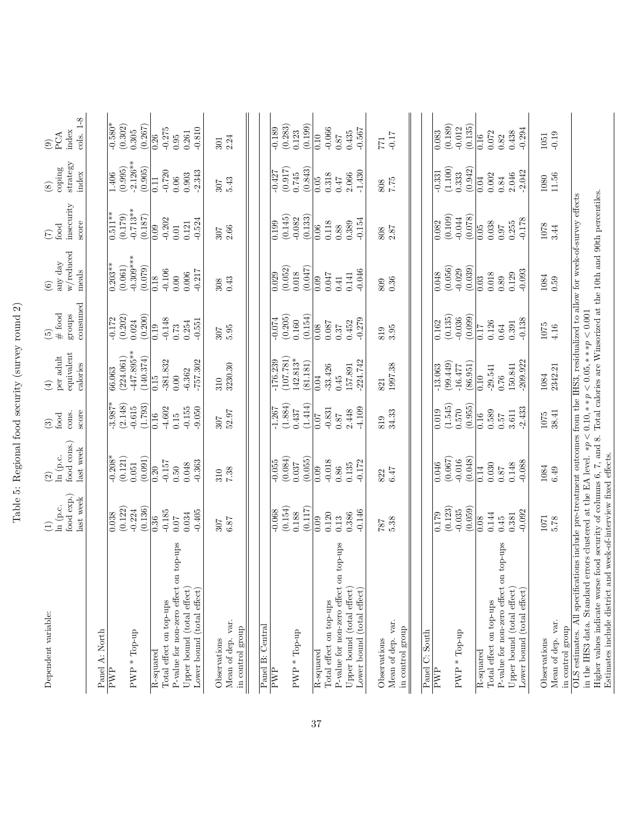| Dependent variable:                                                                                                                                                                                                                                                                                                                 | food exp.)<br>last week<br>ln (p.c.<br>Ξ           | food cons.)<br>last week<br>ln (p.c.<br>$\odot$ | score<br>cons.<br>food<br>$\odot$                | equivalent<br>per adult<br>calories<br>$\bigoplus$             | consumed<br>$\#$ food<br>${\rm groups}$<br>$\widetilde{\omega}$ | w/reduced<br>any day<br>meals<br>$\odot$       | insequently<br>score<br>$_{\rm food}$<br>$\widehat{C}$ | $strategy$<br>coping<br>index<br>$\circled{s}$ | $cols. 1-8$<br>index<br>PCA<br>$\widehat{e}$      |
|-------------------------------------------------------------------------------------------------------------------------------------------------------------------------------------------------------------------------------------------------------------------------------------------------------------------------------------|----------------------------------------------------|-------------------------------------------------|--------------------------------------------------|----------------------------------------------------------------|-----------------------------------------------------------------|------------------------------------------------|--------------------------------------------------------|------------------------------------------------|---------------------------------------------------|
| Panel A: North<br>$PWP * Top-up$<br>PWP                                                                                                                                                                                                                                                                                             | (0.122)<br>(0.136)<br>$-0.224$<br>0.038            | $-0.208*$<br>(0.121)<br>(0.091)<br>0.051        | $-3.987*$<br>(2.148)<br>(1.793)<br>$-0.615$      | -447.895**<br>(224.061)<br>(140.374)<br>66.063                 | (0.202)<br>(0.200)<br>$-0.172$<br>0.024                         | $-0.309***$<br>$0.203**$<br>(0.061)<br>(0.079) | $-0.713**$<br>$0.511**$<br>(0.179)<br>(0.187)          | $-2.126**$<br>(0.995)<br>(0.905)<br>1.406      | $-0.580*$<br>(0.302)<br>(0.267)<br>0.305          |
| top-ups<br>P-value for non-zero effect on<br>Upper bound (total effect)<br>Lower bound (total effect)<br>Total effect on top-ups<br>R-squared                                                                                                                                                                                       | $-0.185$<br>$-0.405$<br>0.034<br>0.36<br>0.07      | $-0.157$<br>$-0.363$<br>0.048<br>0.50<br>0.20   | $-4.602$<br>$-0.155$<br>$-9.050$<br>0.16<br>0.15 | $-381.832$<br>$-757.302$<br>$-6.362$<br>0.15<br>0.00           | $-0.148$<br>$-0.551$<br>0.254<br>0.73<br>0.19                   | $-0.106$<br>$-0.217$<br>0.006<br>0.00<br>0.18  | $-0.202$<br>$-0.524$<br>0.121<br>0.09<br>$0.01$        | $-0.720$<br>$-2.343$<br>0.903<br>0.06<br>0.11  | $-0.275$<br>$-0.810$<br>0.261<br>0.26<br>0.95     |
| Mean of dep. var.<br>in control group<br>Observations                                                                                                                                                                                                                                                                               | 6.87<br>307                                        | 7.38<br>310                                     | $52.97$<br>307                                   | 3230.30<br>310                                                 | 5.95<br>307                                                     | 0.43<br>308                                    | 2.66<br>307                                            | 5.43<br>307                                    | 2.24<br>301                                       |
| Panel B: Central<br>PWP * Top-up<br>PWP                                                                                                                                                                                                                                                                                             | (0.154)<br>(0.117)<br>$-0.068$<br>0.188            | (0.084)<br>(0.055)<br>$-0.055$<br>0.037         | (1.884)<br>(1.414)<br>$-1.267$<br>0.437          | (107.781)<br>142.813*<br>$-176.239$                            | (0.205)<br>(0.154)<br>$-0.074$<br>0.160                         | (0.052)<br>(0.047)<br>0.018<br>0.029           | (0.133)<br>(0.145)<br>$-0.082$<br>0.199                | (0.843)<br>(0.917)<br>$-0.427$<br>0.745        | (0.283)<br>(0.199)<br>$-0.189$<br>0.123           |
| top-ups<br>P-value for non-zero effect on<br>Upper bound (total effect)<br>Lower bound (total effect)<br>Total effect on top-ups<br>R-squared                                                                                                                                                                                       | $-0.146$<br>0.120<br>0.386<br>0.13<br>0.09         | $-0.018$<br>$-0.172$<br>0.135<br>0.86<br>0.09   | $-4.109$<br>$-0.831$<br>2.448<br>0.87<br>0.07    | $-224.742$<br>(81.181)<br>157.891<br>$-33.426$<br>0.45<br>0.04 | $-0.279$<br>0.452<br>0.087<br>0.08<br>0.37                      | $-0.046$<br>0.047<br>0.141<br>0.09<br>0.41     | $-0.154$<br>0.118<br>0.389<br>0.88<br>0.06             | $-1.430$<br>2.066<br>0.318<br>0.05<br>0.47     | $-0.066$<br>$-0.567$<br>0.435<br>0.10<br>$78.0\,$ |
| Mean of dep. var.<br>in control group<br>Observations                                                                                                                                                                                                                                                                               | 5.38<br>$787$                                      | 6.47<br>822                                     | $34.33\,$<br>819                                 | 1997.38<br>821                                                 | 3.95<br>819                                                     | $\,0.36$<br>809                                | $\begin{array}{l} 808 \\ 2.87 \end{array}$             | 7.75<br>808                                    | $-0.17$<br>177                                    |
| PWP * Top-up<br>Panel C: South<br>PWP                                                                                                                                                                                                                                                                                               | (0.123)<br>(0.059)<br>$-0.035$<br>$\frac{6211}{0}$ | (0.067)<br>(0.048)<br>$-0.016$<br>0.046         | (1.545)<br>(0.955)<br>0.570<br>0.019             | (99.449)<br>(86.951)<br>$-13.063$<br>$-16.477$                 | (0.135)<br>(0.099)<br>$-0.036$<br>0.162                         | (0.056)<br>(0.039)<br>$-0.029$<br>0.048        | (0.109)<br>(0.078)<br>$-0.044$<br>0.082                | (1.100)<br>(0.942)<br>$-0.331$<br>0.333        | (0.189)<br>(0.135)<br>$-0.012$<br>0.083           |
| edn-do <sub>1</sub><br>P-value for non-zero effect on<br>Upper bound (total effect)<br>Lower bound (total effect)<br>Total effect on top-ups<br>R-squared                                                                                                                                                                           | $-0.092$<br>0.144<br>0.381<br>0.08<br>0.45         | $-0.088$<br>0.030<br>0.148<br>0.14<br>$0.87\,$  | $-2.433$<br>0.589<br>3.611<br>0.16<br>0.57       | $-209.922$<br>150.841<br>$-29.541$<br>0.76<br>0.10             | $-0.138$<br>0.126<br>0.391<br>0.17<br>0.64                      | $-0.093$<br>$0.018\,$<br>0.129<br>0.03<br>0.89 | $-0.178$<br>0.038<br>0.255<br>0.05<br>$0.97\,$         | $-2.042$<br>2.046<br>0.002<br>0.04<br>0.84     | $-0.294$<br>0.438<br>0.072<br>0.16<br>0.82        |
| OLS estimates. All specifications include pre-treatment outcomes from the IHS3, residualized to allow for week-of-survey effects<br>Mean of dep. var.<br>in control group<br>Observations                                                                                                                                           | $1071\,$<br>5.78                                   | 1084<br>6.49                                    | 38.41<br>1075                                    | 2342.21<br>1084                                                | 1075<br>4.16                                                    | 1084<br>0.59                                   | 1078<br>3.44                                           | 11.56<br>1080                                  | $-0.19$<br>1051                                   |
| Higher values indicate worse food security of columns 6, 7, and 8. Total calories are Winsorized at the 10th and 90th percentiles.<br>in the IHS3 data. Standard errors clustered at the EA level. $\ast p < 0.10, \ast \ast p < 0.05, \ast \ast \ast p < 0.001$<br>Estimates include district and week-of-interview fixed effects. |                                                    |                                                 |                                                  |                                                                |                                                                 |                                                |                                                        |                                                |                                                   |

Table 5: Regional food security (survey round 2) Table 5: Regional food security (survey round 2)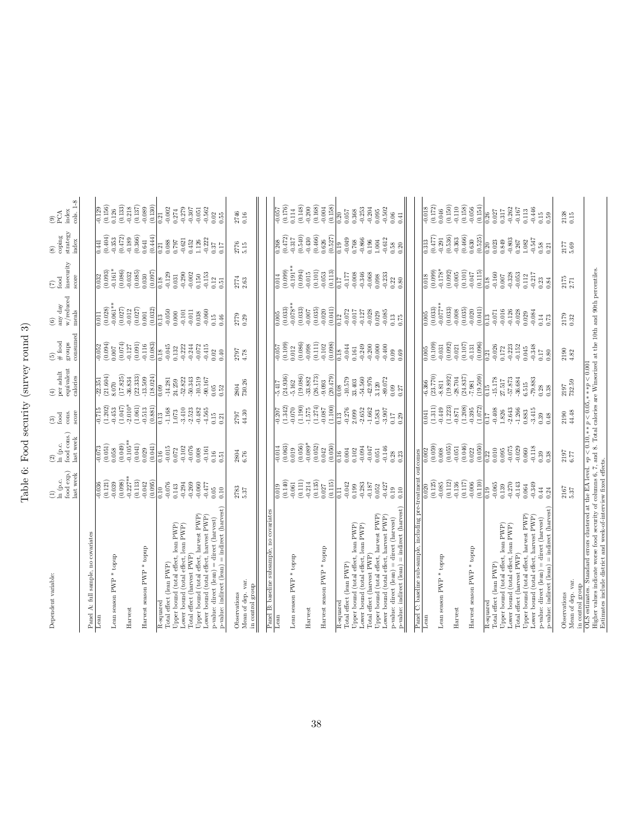Table 6: Food security (survey round 3) Table 6: Food security (survey round 3)

| Dependent variable:                                                                                                                                                                                                                                   | food exp.)<br>last week<br>ln (p.c.<br>$\hat{c}$                          | food cons.)<br>last week<br>$\frac{2}{\ln}$ (p.c.                                               | score<br>cons.<br>food<br>$\circledR$                  | equivalent<br>per adult<br>calories<br>$\circledcirc$                                 | consumed<br>$(5)$<br># food<br>groups                                                          | w/reduced<br>any day<br>meals<br>$\circledcirc$             | insecurity<br>score<br>food<br>$\widehat{\epsilon}$                                                | strategy<br>coping<br>index<br>$\circledast$                                                                          | cols. 1-8<br>index<br>РĆА<br>$\widehat{\circ}$                                |
|-------------------------------------------------------------------------------------------------------------------------------------------------------------------------------------------------------------------------------------------------------|---------------------------------------------------------------------------|-------------------------------------------------------------------------------------------------|--------------------------------------------------------|---------------------------------------------------------------------------------------|------------------------------------------------------------------------------------------------|-------------------------------------------------------------|----------------------------------------------------------------------------------------------------|-----------------------------------------------------------------------------------------------------------------------|-------------------------------------------------------------------------------|
| Panel A: full sample, no covariates                                                                                                                                                                                                                   |                                                                           |                                                                                                 |                                                        |                                                                                       |                                                                                                |                                                             |                                                                                                    |                                                                                                                       |                                                                               |
| Lean                                                                                                                                                                                                                                                  |                                                                           | $-0.073$                                                                                        |                                                        | 22.351                                                                                |                                                                                                | 0.011                                                       | 0.032                                                                                              | 0.441                                                                                                                 |                                                                               |
|                                                                                                                                                                                                                                                       | $\frac{0.036}{(0.121)}$                                                   | (0.051)                                                                                         | $-0.715$<br>$(1.202)$                                  | (21.604)                                                                              | $-0.052$<br>$(0.094)$                                                                          | (0.028)                                                     | (0.093)                                                                                            | (0.404)                                                                                                               | $\frac{-0.129}{(0.156)}$                                                      |
| Lean season $PWP$ * topup                                                                                                                                                                                                                             |                                                                           | 0.058                                                                                           | $-0.453$                                               | 8.070                                                                                 | 0.007                                                                                          | $-0.061**$                                                  | $-0.161*$                                                                                          |                                                                                                                       | (0.133)<br>0.126                                                              |
| Harvest                                                                                                                                                                                                                                               |                                                                           |                                                                                                 | $(1.047)$<br>$-2.010*$                                 |                                                                                       |                                                                                                | $\begin{array}{c} (0.027) \\ -0.012 \\ (0.027) \end{array}$ |                                                                                                    |                                                                                                                       |                                                                               |
|                                                                                                                                                                                                                                                       |                                                                           |                                                                                                 | $\left( 1.061\right)$ $-0.513$                         |                                                                                       |                                                                                                |                                                             |                                                                                                    |                                                                                                                       |                                                                               |
| Harvest season PWP <sup>*</sup> topup                                                                                                                                                                                                                 | $(0.039$<br>$(0.098)$<br>$(0.113)$<br>$(0.113)$<br>$(0.042)$<br>$(0.095)$ | $\begin{array}{l} (0.049)\\ -0.105^{**}\\ 0.041)\\ 0.029\\ 0.029\\ 0.041)\\ \hline \end{array}$ |                                                        | $\begin{array}{c} (17.825) \\ -36.834 \\ (22.333) \\ -13.509 \\ (18.024) \end{array}$ | $\begin{array}{c} (0.074) \\ (0.0127) \\ (0.091) \\ (1.109) \\ (0.083) \\ (0.083) \end{array}$ | $0.001$<br>$(0.032)$                                        | $\begin{array}{ l} (0.086)\\ (0.032)\\ (0.035)\\ (0.030)\\ (0.097)\\ (0.097)\\ \hline \end{array}$ | $\begin{array}{c} (0.353 \\ (0.472) \\ (0.472) \\ (0.366) \\ (0.366) \\ (0.441) \\ (0.441) \\ (0.441) \\ \end{array}$ | $\begin{array}{c} 0.218 \\ -0.137) \\ 0.137) \\ -0.089 \\ 0.130) \end{array}$ |
| $\overline{\text{R}}$ -squared                                                                                                                                                                                                                        | $\frac{0}{10}$                                                            |                                                                                                 | (0.881)<br>$\frac{3}{2}$                               | 0.09                                                                                  | 0.18                                                                                           | 0.13                                                        | 0.18                                                                                               |                                                                                                                       | 0.21                                                                          |
| Iotal effect (lean PWP)                                                                                                                                                                                                                               | $-0.076$                                                                  | $\begin{array}{c} 0.16 \\ -0.015 \end{array}$                                                   | $-1.168$                                               |                                                                                       | $-0.045$                                                                                       | $-0.050$                                                    |                                                                                                    | $\frac{0.21}{0.088}$                                                                                                  | $-0.002$                                                                      |
| Upper bound (total effect, lean PWP)                                                                                                                                                                                                                  | 0.143                                                                     | $0.072\,$                                                                                       | $1.073\,$                                              | $-14.281$<br>24.259                                                                   | 0.132                                                                                          | $0.000\,$                                                   | $-0.129$<br>$0.031$                                                                                |                                                                                                                       | $0.274\,$                                                                     |
| Lower bound (total effect, lean PWP)                                                                                                                                                                                                                  | $-0.294$                                                                  | $-0.102$                                                                                        | $-3.410$                                               | $-52.822$                                                                             | $-0.222$                                                                                       | $-0.101$                                                    | $-0.290$                                                                                           | $-0.621$                                                                                                              | $-0.279$                                                                      |
| Total effect (harvest PWP)                                                                                                                                                                                                                            | $-0.269$                                                                  | $-0.076$                                                                                        | $-2.523$                                               | $-50.343$                                                                             | $-0.244$                                                                                       | $-0.011$                                                    | $-0.002$                                                                                           | 0.452                                                                                                                 | $-0.307$                                                                      |
| Upper bound (total effect, harvest PWP)                                                                                                                                                                                                               | $-0.060$                                                                  | 0.008                                                                                           | $-0.482$                                               | $-10.519$                                                                             | $-0.072$                                                                                       | 0.038                                                       | 0.150                                                                                              | 1.126                                                                                                                 | $-0.051$                                                                      |
| Lower bound (total effect, harvest PWP)                                                                                                                                                                                                               | $-0.477$<br>0.05                                                          | $-0.161$<br>0.16                                                                                | $-4.565$<br>0.15                                       | $-90.167$<br>$0.05$                                                                   | $-0.415$<br>0.02                                                                               | 0.060                                                       | $-0.153$<br>$\overline{0.12}$                                                                      |                                                                                                                       | $-0.562$                                                                      |
| p-value: direct (lean) = direct (harvest)<br>p-value: indirect (lean) = indirect (harvest)                                                                                                                                                            | 0.10                                                                      | 0.51                                                                                            | 0.21                                                   | $\rm 0.52$                                                                            | 0.40                                                                                           | $0.15$<br>$0.46$                                            | 0.51                                                                                               | $\frac{-0.222}{0.37}$                                                                                                 | 0.02<br>0.55                                                                  |
| Mean of dep. var.<br>Observations                                                                                                                                                                                                                     | $2783$<br>$5.37$                                                          | $2804$<br>6.76                                                                                  | 2797<br>44.30                                          | $\frac{2804}{730.26}$                                                                 | 2797<br>4.78                                                                                   | 2779                                                        | $2774$<br>$2.63$                                                                                   | $\begin{array}{c} 2776 \\ 5.15 \end{array}$                                                                           | 2746<br>0.16                                                                  |
| in control group                                                                                                                                                                                                                                      |                                                                           |                                                                                                 |                                                        |                                                                                       |                                                                                                |                                                             |                                                                                                    |                                                                                                                       |                                                                               |
| Panel B: baseline subsample, no covariates                                                                                                                                                                                                            |                                                                           |                                                                                                 |                                                        |                                                                                       |                                                                                                |                                                             |                                                                                                    |                                                                                                                       |                                                                               |
| Lean                                                                                                                                                                                                                                                  | $\frac{610}{10}$                                                          | $-0.014$                                                                                        | $-0.207$                                               | -5.417                                                                                | $-0.057$                                                                                       | 0.005                                                       | 0.014                                                                                              |                                                                                                                       | $-0.057$                                                                      |
| Lean season PWP * topup                                                                                                                                                                                                                               | (0.140)<br>$\!0.061$                                                      | (0.063)<br>0.019                                                                                | (1.342)<br>$-0.070$                                    | (24.936)<br>$-5.162$                                                                  | (0.109)<br>0.012                                                                               | $-0.078**$<br>(0.033)                                       | $-0.191**$<br>(0.099)                                                                              | $\begin{array}{c} 0.268 \\ (0.472) \\ -0.317 \end{array}$                                                             | (0.176)<br>0.114                                                              |
|                                                                                                                                                                                                                                                       | (0.111)                                                                   | (0.056)                                                                                         | (1.190)                                                | (19.086)                                                                              | (0.086)                                                                                        | (0.033)                                                     | (0.094)                                                                                            | (0.540)                                                                                                               | (0.148)                                                                       |
| Harvest                                                                                                                                                                                                                                               | $-0.214$                                                                  | $-0.089*$                                                                                       | $-1.575$                                               | 33.882                                                                                | 0.098                                                                                          | $-0.007$                                                    | $-0.015$                                                                                           |                                                                                                                       | $-0.200$                                                                      |
| Harvest season PWP <sup>*</sup> topup                                                                                                                                                                                                                 | $\left(0.135\right)$ $0.027$                                              | (0.052)<br>0.042                                                                                | (1.274)                                                | (26.173)<br>$-9.093$                                                                  | (0.111)<br>0.102                                                                               | $\left(0.035\right)$ $-0.020$                               |                                                                                                    |                                                                                                                       | (0.168)<br>$-0.004$                                                           |
|                                                                                                                                                                                                                                                       | (0.115)                                                                   | (0.050)                                                                                         | (1.100)                                                | (20.479)                                                                              | (0.098)                                                                                        | (0.041)                                                     | $\begin{array}{c} (0.101) \\ 0.053 \\ (0.113) \end{array}$                                         | $-0.430$<br>$(0.466)$<br>$(0.626)$<br>$(0.527)$<br>$(0.527)$<br>$-0.049$<br>$-0.768$<br>$-0.366$                      | (0.158)                                                                       |
| R-squared                                                                                                                                                                                                                                             |                                                                           |                                                                                                 |                                                        |                                                                                       |                                                                                                |                                                             |                                                                                                    |                                                                                                                       |                                                                               |
| Total effect (lean PWP)                                                                                                                                                                                                                               | $\begin{array}{c} 0.11 \\ -0.042 \\ 0.199 \\ -0.283 \end{array}$          | $\begin{array}{c c} 16 \\ 16 \\ 0.004 \\ 0.102 \\ 0.103 \\ \hline \end{array}$                  | $\begin{array}{c} 0.13 \\ -0.276 \\ 2.099 \end{array}$ | $\begin{array}{c} 0.08 \\ -10.579 \\ 33.403 \end{array}$                              | $\begin{array}{c} 0.18 \\ -0.044 \\ 0.161 \end{array}$                                         | $\begin{array}{c} 0.12 \\ -0.072 \\ -0.017 \end{array}$     |                                                                                                    |                                                                                                                       | $0.20$<br>$0.057$<br>$0.368$                                                  |
| $\begin{array}{l} \text{Upper bound (total effect, lean PWP)} \\ \text{Lower bound (total effect, lean PWP)} \end{array}$                                                                                                                             |                                                                           |                                                                                                 | $-2.652$                                               |                                                                                       |                                                                                                |                                                             |                                                                                                    |                                                                                                                       |                                                                               |
| Total effect (harvest PWP)                                                                                                                                                                                                                            | $-0.187$                                                                  | $-0.047$                                                                                        | $-1.662$                                               | $-54.560$<br>$-42.976$                                                                | $-0.249$<br>$-0.200$                                                                           | $-0.127$<br>$-0.028$                                        |                                                                                                    |                                                                                                                       | $-0.253$<br>$-0.204$                                                          |
| Upper bound (total effect, harvest PWP)                                                                                                                                                                                                               | 0.052                                                                     | $0.051\,$                                                                                       | 0.583                                                  | 3.120                                                                                 | $-0.000$                                                                                       | 0.029                                                       | 0.098                                                                                              | $1.004\,$                                                                                                             | 0.095                                                                         |
| Lower bound (total effect, harvest PWP)                                                                                                                                                                                                               | $-0.427$                                                                  | $-0.146$                                                                                        | $-3.907$                                               | $-89.072$                                                                             | $-0.400$                                                                                       | $-0.085$                                                    | $-0.233$                                                                                           | $-0.612$                                                                                                              | $-0.502$                                                                      |
| p-value: indirect (lean) = indirect (harvest<br>p-value: direct (lean) = direct (harvest)                                                                                                                                                             | 0.19<br>$0.10$                                                            | $\begin{array}{c} 0.28 \\ 0.23 \end{array}$                                                     | $0.17$<br>$0.29$                                       | 0.09<br>0.27                                                                          | 0.09<br>0.69                                                                                   | $\begin{array}{c} 0.13 \\ 0.75 \end{array}$                 | 0.22<br>0.80                                                                                       | $0.58$<br>$0.20$                                                                                                      | 0.06<br>0.41                                                                  |
|                                                                                                                                                                                                                                                       |                                                                           |                                                                                                 |                                                        |                                                                                       |                                                                                                |                                                             |                                                                                                    |                                                                                                                       |                                                                               |
| Panel C: baseline sub-sample, including pre-                                                                                                                                                                                                          | reatment                                                                  | outcomes                                                                                        |                                                        |                                                                                       |                                                                                                |                                                             |                                                                                                    |                                                                                                                       |                                                                               |
| Lean                                                                                                                                                                                                                                                  | (0.125)<br>0.020                                                          | (0.059)<br>0.002                                                                                | (1.311)<br>0.041                                       | (23.770)<br>6.366                                                                     | $\overline{0.005}$<br>$(0.109)$                                                                | (0.033)<br>0.005                                            | (0.099)<br>0.018                                                                                   | $\frac{313}{2}$                                                                                                       | $-0.018$<br>$(0.172)$                                                         |
| Lean season $\mathrm{PWP}$ * topup                                                                                                                                                                                                                    | $-0.085$                                                                  | 0.008                                                                                           | $-0.449$                                               | $-8.811$                                                                              | 0.031                                                                                          | $-0.077**$                                                  | $-0.178*$                                                                                          | $\left(0.477\right)$ -0.291                                                                                           | 0.046                                                                         |
|                                                                                                                                                                                                                                                       | (0.112)                                                                   | (0.055)                                                                                         | $\left( 1.223\right)$ -0.871                           | (19.892)<br>28.704                                                                    | (0.092)                                                                                        | (0.033)                                                     | $\begin{array}{c} (0.092) \\ -0.005 \end{array}$                                                   | (0.536)<br>$-0.363$                                                                                                   | (0.150)                                                                       |
| Harvest                                                                                                                                                                                                                                               | (0.117)<br>0.136                                                          | (0.046)<br>$-0.051$                                                                             | (1.208)                                                | (24.837)                                                                              | (0.107)<br>$-0.021$                                                                            | (0.035)<br>$-0.008$                                         |                                                                                                    | (0.466)                                                                                                               | (0.158)<br>$-0.110$                                                           |
| Harvest season PWP <sup>*</sup> topup                                                                                                                                                                                                                 | $-0.006$                                                                  | 0.022                                                                                           | $-0.395$                                               | $7.981\,$                                                                             | 0.131                                                                                          | 0.020                                                       | $(0.101)$<br>$-0.047$                                                                              | 0.630                                                                                                                 | $-0.056$                                                                      |
|                                                                                                                                                                                                                                                       | (0.110)                                                                   | (0.050)                                                                                         | (1.072)                                                | (19.509)                                                                              | (0.096)                                                                                        | (0.041)                                                     | (0.115)                                                                                            | (0.525)                                                                                                               | (0.154)                                                                       |
| Total effect (lean PWP)<br>R-squared                                                                                                                                                                                                                  | $-0.065$<br>0.19                                                          | 0.010<br>0.22                                                                                   | $-0.408$<br>0.17                                       | $\begin{array}{r} 0.15 \\ -15.178 \\ 27.517 \\ -57.873 \end{array}$                   | 0.026<br>0.21                                                                                  | $\frac{13}{-0.071}$                                         | $\frac{0.18}{0.160}$                                                                               | $\frac{20}{0.28}$                                                                                                     | $\frac{26}{0.027}$                                                            |
|                                                                                                                                                                                                                                                       | 0.139                                                                     | 0.095                                                                                           | $1.826\,$                                              |                                                                                       |                                                                                                |                                                             |                                                                                                    |                                                                                                                       |                                                                               |
| Upper bound (total effect, lean $\mathrm{PWP})$ Lower bound (total effect, lean $\mathrm{PWP})$                                                                                                                                                       | $-0.270$                                                                  | $-0.075$                                                                                        | $-2.643$                                               |                                                                                       | $\begin{array}{c} 0.172 \\ -0.223 \\ -0.152 \end{array}$                                       | $-0.126$<br>$-0.028$<br>0.029                               | $-0.328$<br>$-0.053$                                                                               | $-0.803$ $0.267$                                                                                                      | $-0.262$                                                                      |
| Total effect (harvest PWP)                                                                                                                                                                                                                            | $-0.143$                                                                  | $-0.029$                                                                                        | $-1.266$                                               | $-36.684$                                                                             |                                                                                                |                                                             |                                                                                                    |                                                                                                                       | $-0.167$                                                                      |
| Upper bound (total effect, harvest PWP)<br>Lower bound (total effect, harvest PWP)                                                                                                                                                                    | $-0.349$<br>0.064                                                         | $-0.118$<br>$0.060\,$                                                                           | $-3.415$<br>0.883                                      | $6.515$<br>$-79.883$                                                                  | 0.045                                                                                          | $-0.084$                                                    | $-0.217$<br>0.112                                                                                  | 1.082                                                                                                                 | $-0.446$<br>0.113                                                             |
|                                                                                                                                                                                                                                                       | 0.44                                                                      |                                                                                                 |                                                        |                                                                                       | $-0.348$                                                                                       |                                                             |                                                                                                    |                                                                                                                       |                                                                               |
| p-value: direct (lean) = direct (harvest)<br>p-value: indirect (lean) = indirect (harvest<br>$p$ -value:                                                                                                                                              | 0.24                                                                      | 0.38                                                                                            | $0.39$<br>$0.48$                                       | $\frac{0.28}{0.38}$                                                                   | 0.80                                                                                           | $\begin{array}{c} 0.14 \\ 0.73 \end{array}$                 | $0.23$<br>$0.84$                                                                                   | $-0.547$<br>$0.58$<br>$0.21$                                                                                          | $\begin{array}{c} 0.15 \\ 0.59 \end{array}$                                   |
| Observations                                                                                                                                                                                                                                          |                                                                           |                                                                                                 | 2190                                                   |                                                                                       |                                                                                                |                                                             |                                                                                                    |                                                                                                                       |                                                                               |
| Mean of dep. var.<br>in control group                                                                                                                                                                                                                 | $\begin{array}{c} 2167 \\ 5.37 \end{array}$                               | $\begin{array}{c} 2197 \\ 6.77 \end{array}$                                                     | 44.48                                                  | $\frac{2197}{732.59}$                                                                 | $2190$<br>$4.82$                                                                               | 2179                                                        | $2175$<br>$2.71$                                                                                   | 2177<br>5.69                                                                                                          | $\begin{array}{c} 2138 \\ 0.15 \end{array}$                                   |
|                                                                                                                                                                                                                                                       |                                                                           |                                                                                                 |                                                        |                                                                                       |                                                                                                |                                                             |                                                                                                    |                                                                                                                       |                                                                               |
| OLS estimates. Standard errors clustered at the EA level. $*\rho < 0.10, *\ast \rho < 0.05, ***\ast \rho < 0.001$<br>Higher values indicate worse food security of columns 6, 7, and 8. Total calories are Winsorized at the 10th and 90th percentile |                                                                           |                                                                                                 |                                                        |                                                                                       |                                                                                                |                                                             |                                                                                                    |                                                                                                                       |                                                                               |
| Estimates include district and week-of-interview fixed effects.                                                                                                                                                                                       |                                                                           |                                                                                                 |                                                        |                                                                                       |                                                                                                |                                                             |                                                                                                    |                                                                                                                       |                                                                               |

Estimates include district and week-of-interview fixed effects.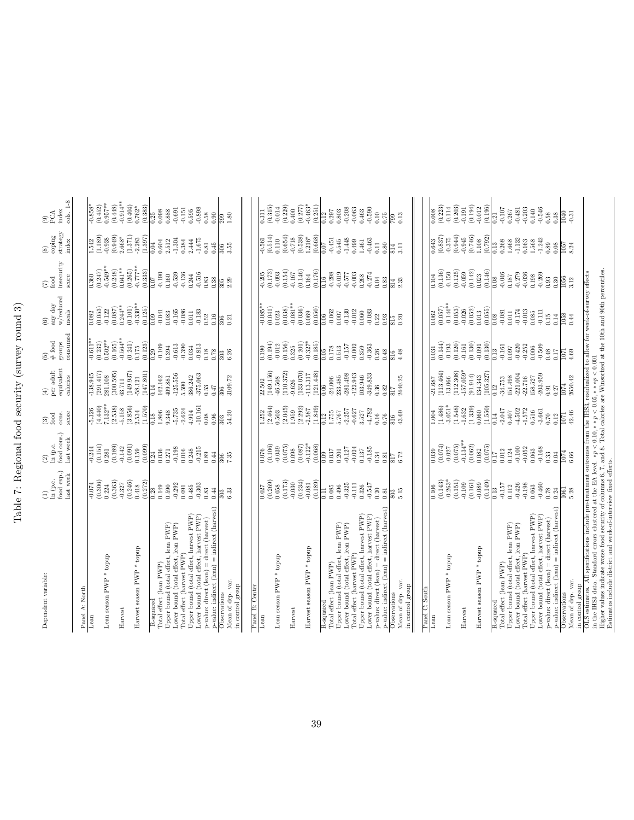Table 7: Regional food security (survey round 3) Table 7: Regional food security (survey round 3)

| Dependent variable:                                                                                                                                                                                                                          | $\begin{array}{l} (1)\\ \ln\ (p.c.\\ \text{food exp.})\\ \text{last week} \end{array}$ | $\begin{array}{l} (2)\\ \ln\left(\mathbf{p}.\mathbf{c}\right)\\ \text{food cons.})\\ \text{last week} \end{array}$                                                                                                                                                         | $\begin{array}{c} \text{(3)}\\ \text{food}\\ \text{cons.}\\ \text{score} \end{array}$                   | $\stackrel{\text{vec}~\text{adult}}{\text{equivalent}}$ equivalent<br>$\widehat{E}$                                                                  | $\begin{array}{l} (5)\\ \# \; {\rm food}\\ \hbox{groups}\\ \hbox{consumed}\\ \hbox{consumed} \end{array}$                                                                                                                                                                                                               | $\underset{\mathrm{weak}}{\mathrm{any}}$ day w/reduced<br>$\hat{c}$                                                                                                                                                                                                                                        | $\begin{array}{l} \dot{\rm food} \\ \rm insecurity \\ \rm score \end{array}$<br>$\widehat{\epsilon}$ | $\underset{\text{index}}{\text{coping}}$<br>$\circledast$                                                                                                                                                                                                                                           | cols. 1-8<br>index<br>$\underset{\text{PCA}}{\circ}$                                                                                                                                                                                                                                             |
|----------------------------------------------------------------------------------------------------------------------------------------------------------------------------------------------------------------------------------------------|----------------------------------------------------------------------------------------|----------------------------------------------------------------------------------------------------------------------------------------------------------------------------------------------------------------------------------------------------------------------------|---------------------------------------------------------------------------------------------------------|------------------------------------------------------------------------------------------------------------------------------------------------------|-------------------------------------------------------------------------------------------------------------------------------------------------------------------------------------------------------------------------------------------------------------------------------------------------------------------------|------------------------------------------------------------------------------------------------------------------------------------------------------------------------------------------------------------------------------------------------------------------------------------------------------------|------------------------------------------------------------------------------------------------------|-----------------------------------------------------------------------------------------------------------------------------------------------------------------------------------------------------------------------------------------------------------------------------------------------------|--------------------------------------------------------------------------------------------------------------------------------------------------------------------------------------------------------------------------------------------------------------------------------------------------|
| Panel A: North                                                                                                                                                                                                                               |                                                                                        |                                                                                                                                                                                                                                                                            |                                                                                                         |                                                                                                                                                      |                                                                                                                                                                                                                                                                                                                         |                                                                                                                                                                                                                                                                                                            |                                                                                                      |                                                                                                                                                                                                                                                                                                     |                                                                                                                                                                                                                                                                                                  |
| $\rm{Lean}$                                                                                                                                                                                                                                  | $\frac{1}{(0.306)}$<br>$(0.306)$                                                       | $\frac{-0.244}{(0.151)}$                                                                                                                                                                                                                                                   | $\frac{5.326}{(4.440)}$<br>$\frac{7.132**}{(2.538)}$                                                    | $\frac{-138.945}{(291.417)}$                                                                                                                         | $\frac{1}{10.611**}$<br>(0.232)<br>0.502**                                                                                                                                                                                                                                                                              | (0.053)<br>$\frac{82}{2}$                                                                                                                                                                                                                                                                                  | $\overline{0.360}$                                                                                   | $\frac{1.542}{(1.189)}$                                                                                                                                                                                                                                                                             | $\frac{0.858^*}{(0.452)}$                                                                                                                                                                                                                                                                        |
| Lean season PWP * topup                                                                                                                                                                                                                      |                                                                                        | 0.281                                                                                                                                                                                                                                                                      |                                                                                                         | 281.108                                                                                                                                              |                                                                                                                                                                                                                                                                                                                         | (0.087)                                                                                                                                                                                                                                                                                                    | $(0.247)$<br>$-0.549**$                                                                              | (619.949)                                                                                                                                                                                                                                                                                           | $0.957**$                                                                                                                                                                                                                                                                                        |
| Harvest                                                                                                                                                                                                                                      | $\begin{array}{c} (0.363) \\ -0.327 \\ (0.246) \end{array}$                            | (0.189)                                                                                                                                                                                                                                                                    |                                                                                                         | (300.595)<br>63.711                                                                                                                                  | $\begin{array}{c} (0.165) \\ -0.564^{**} \\ (0.241) \end{array}$                                                                                                                                                                                                                                                        | $0.244***$                                                                                                                                                                                                                                                                                                 | $0.641***$<br>(0.248)                                                                                | $2.668*$                                                                                                                                                                                                                                                                                            | $-0.914**$<br>(0.404)<br>(0.448)                                                                                                                                                                                                                                                                 |
| Harvest season PWP * topup                                                                                                                                                                                                                   | $0.418\,$                                                                              | (0.091)                                                                                                                                                                                                                                                                    | $-5.158$<br>$(3.856)$                                                                                   | (149.937)                                                                                                                                            | 0.175                                                                                                                                                                                                                                                                                                                   | $(0.101)$<br>-0.330**                                                                                                                                                                                                                                                                                      | $(0.265)$<br>$-0.777**$<br>$(0.333)$                                                                 | $\begin{array}{c} (1.371) \\ -2.283 \\ (1.397) \end{array}$                                                                                                                                                                                                                                         |                                                                                                                                                                                                                                                                                                  |
|                                                                                                                                                                                                                                              | (0.272)                                                                                | $(0.159)$<br>$(0.099)$                                                                                                                                                                                                                                                     | $2.534$<br>(1.570)                                                                                      | $-58.121$<br>(147.801)                                                                                                                               | (0.123)                                                                                                                                                                                                                                                                                                                 | (0.125)                                                                                                                                                                                                                                                                                                    |                                                                                                      |                                                                                                                                                                                                                                                                                                     | $0.762*$<br>(0.383)                                                                                                                                                                                                                                                                              |
| Total effect (lean PWP)<br>$\overline{\text{R-squared}}$                                                                                                                                                                                     | $\begin{bmatrix} 128 \\ 0.149 \\ 0.590 \\ 0.590 \\ 0.0292 \\ 0.091 \end{bmatrix}$      |                                                                                                                                                                                                                                                                            | $\frac{8}{18}$                                                                                          | 142.162<br>0.14                                                                                                                                      | $\frac{8}{29}$                                                                                                                                                                                                                                                                                                          | $-0.041$<br>0.09                                                                                                                                                                                                                                                                                           | 0.07                                                                                                 | 0.04                                                                                                                                                                                                                                                                                                | $\begin{array}{r} 0.25 \\ 0.098 \\ 0.088 \\ 0.889 \\ -0.691 \end{array}$                                                                                                                                                                                                                         |
| Upper bound (total effect, lean PWP)                                                                                                                                                                                                         |                                                                                        |                                                                                                                                                                                                                                                                            | 1.806<br>9.348                                                                                          | 409.881                                                                                                                                              | $\begin{array}{l} 1.09 \\ 0.394 \\ 0.613 \\ 0.390 \\ 0.390 \\ \vdots \end{array}$                                                                                                                                                                                                                                       | $\!0.083$                                                                                                                                                                                                                                                                                                  | $\begin{array}{c} 0.190 \\ 0.160 \\ 0.539 \\ 0.136 \end{array}$                                      | $\begin{array}{c} 0.604 \\ 2.512 \\ -1.304 \\ 0.384 \end{array}$                                                                                                                                                                                                                                    |                                                                                                                                                                                                                                                                                                  |
| Lower bound (total effect, lean PWP)<br>Total effect (harvest PWP)                                                                                                                                                                           |                                                                                        |                                                                                                                                                                                                                                                                            | $-5.735$<br>$-2.624$                                                                                    | $-125.556$<br>5.590                                                                                                                                  |                                                                                                                                                                                                                                                                                                                         | $-0.165$                                                                                                                                                                                                                                                                                                   |                                                                                                      |                                                                                                                                                                                                                                                                                                     | $-0.151$                                                                                                                                                                                                                                                                                         |
| Upper bound (total effect, harvest PWP)                                                                                                                                                                                                      | 0.485                                                                                  | 0.248                                                                                                                                                                                                                                                                      | 4.914                                                                                                   | 386.242                                                                                                                                              |                                                                                                                                                                                                                                                                                                                         | 0.011                                                                                                                                                                                                                                                                                                      | 0.244                                                                                                |                                                                                                                                                                                                                                                                                                     |                                                                                                                                                                                                                                                                                                  |
| Lower bound (total effect, harvest PWP)                                                                                                                                                                                                      | $-0.303$                                                                               | $-0.215$                                                                                                                                                                                                                                                                   | $-10.161$                                                                                               | -375.063                                                                                                                                             | $-0.813$                                                                                                                                                                                                                                                                                                                | $-0.183$                                                                                                                                                                                                                                                                                                   | $-0.516$                                                                                             | $2.444$<br>-1.675                                                                                                                                                                                                                                                                                   | $0.595$<br>$-0.898$<br>$0.58$                                                                                                                                                                                                                                                                    |
| p-value: indirect (lean) = indirect (harvest)<br>p-value: direct (lean) = direct (harvest)                                                                                                                                                   | 0.83<br>0.44                                                                           | 0.89<br>0.44                                                                                                                                                                                                                                                               | 0.08<br>0.96                                                                                            | 0.53<br>0.47                                                                                                                                         | $0.18\,$<br>0.78                                                                                                                                                                                                                                                                                                        | $\begin{array}{c} 0.52 \\ 0.16 \end{array}$                                                                                                                                                                                                                                                                | $\!0.83\!$<br>0.38                                                                                   | $\!0.81$<br>$0.45\,$                                                                                                                                                                                                                                                                                | $0.90\,$                                                                                                                                                                                                                                                                                         |
| Mean of dep. var.<br>in control group<br>Observations                                                                                                                                                                                        | 303<br>6.33                                                                            | $\frac{306}{7.35}$                                                                                                                                                                                                                                                         | 54.20                                                                                                   | 3109.72<br>306                                                                                                                                       | $\frac{3}{303}$                                                                                                                                                                                                                                                                                                         | $\frac{306}{0.21}$                                                                                                                                                                                                                                                                                         | $\frac{305}{2.29}$                                                                                   | 306<br>3.55                                                                                                                                                                                                                                                                                         | $\frac{9}{2.80}$                                                                                                                                                                                                                                                                                 |
|                                                                                                                                                                                                                                              |                                                                                        |                                                                                                                                                                                                                                                                            |                                                                                                         |                                                                                                                                                      |                                                                                                                                                                                                                                                                                                                         |                                                                                                                                                                                                                                                                                                            |                                                                                                      |                                                                                                                                                                                                                                                                                                     |                                                                                                                                                                                                                                                                                                  |
| Panel B: Center                                                                                                                                                                                                                              |                                                                                        |                                                                                                                                                                                                                                                                            |                                                                                                         |                                                                                                                                                      |                                                                                                                                                                                                                                                                                                                         |                                                                                                                                                                                                                                                                                                            |                                                                                                      |                                                                                                                                                                                                                                                                                                     |                                                                                                                                                                                                                                                                                                  |
| $_{\rm Lean}$                                                                                                                                                                                                                                | $\begin{array}{c} 0.027 \\ (0.269) \\ 0.058 \\ (0.173) \end{array}$                    | $\begin{array}{c} 0.076 \\ 0.106) \\ 0.039 \\ 0.075) \end{array}$                                                                                                                                                                                                          | $\begin{array}{c} 1.252 \\ (2.464) \\ 0.503 \\ (2.045) \end{array}$                                     | $22.502$<br>(149.156)                                                                                                                                | $\begin{array}{c} \hline 190 \\ (0.194) \\ (0.191) \\ 0.012 \\ (0.156) \end{array}$                                                                                                                                                                                                                                     | $\frac{0.085^{**}}{(0.041)}$<br>0.023                                                                                                                                                                                                                                                                      | $\begin{array}{r} -0.205 \\ -0.173) \\ -0.093 \\ -0.154) \\ -0.167 \\ 0.146) \end{array}$            | $\begin{array}{c} 0.561 \\ 0.514) \\ 0.110 \\ 0.654) \end{array}$                                                                                                                                                                                                                                   | $\begin{array}{r} \  \  \, 0.315 \\ 0.315) \\ 0.014 \\ 0.0229 \end{array}$                                                                                                                                                                                                                       |
| Lean season $\mathrm{PWP}$ * topup                                                                                                                                                                                                           |                                                                                        |                                                                                                                                                                                                                                                                            |                                                                                                         | 46.508                                                                                                                                               |                                                                                                                                                                                                                                                                                                                         |                                                                                                                                                                                                                                                                                                            |                                                                                                      |                                                                                                                                                                                                                                                                                                     |                                                                                                                                                                                                                                                                                                  |
| Harvest                                                                                                                                                                                                                                      |                                                                                        |                                                                                                                                                                                                                                                                            | 1.959                                                                                                   | $(110.372)$<br>$-9.626$                                                                                                                              | 0.325                                                                                                                                                                                                                                                                                                                   | $-0.081**$<br>(0.038)                                                                                                                                                                                                                                                                                      |                                                                                                      |                                                                                                                                                                                                                                                                                                     | 0.400                                                                                                                                                                                                                                                                                            |
|                                                                                                                                                                                                                                              |                                                                                        |                                                                                                                                                                                                                                                                            |                                                                                                         | (133.070)                                                                                                                                            |                                                                                                                                                                                                                                                                                                                         | (0.036)                                                                                                                                                                                                                                                                                                    |                                                                                                      |                                                                                                                                                                                                                                                                                                     |                                                                                                                                                                                                                                                                                                  |
| Harvest season PWP <sup>*</sup> topup                                                                                                                                                                                                        | $\begin{bmatrix} 3 & 3 & 3 \\ 0 & 3 & 3 \\ 0 & 0 & 0 \\ 0 & 0 & 0 \end{bmatrix}$       | $(0.098$<br>$(0.087)$<br>$-0.122$ <sup>*</sup><br>$(0.068)$                                                                                                                                                                                                                | $\begin{array}{c} (2.292) \\ -2.587 \\ (1.849) \end{array}$                                             | (121.448)<br>$-113.317$                                                                                                                              | $\begin{array}{c} (0.201) \\ 0.327^* \\ (0.185) \end{array}$                                                                                                                                                                                                                                                            | (0.050)<br>0.069                                                                                                                                                                                                                                                                                           | $0.164$<br>$(0.176)$                                                                                 | $(0.538)$<br>$(0.538)$<br>$1.216$<br>$(0.668)$                                                                                                                                                                                                                                                      | $\begin{array}{c} (0.277) \\ -0.463^* \\ (0.251) \end{array}$                                                                                                                                                                                                                                    |
| R-squared                                                                                                                                                                                                                                    | $\overline{11}$                                                                        |                                                                                                                                                                                                                                                                            | $\begin{array}{ c c }\hline 0.12 & 0.12 \\ 1.755 & 0.767 \\ \hline 5.767 & 0.767 \\ \hline \end{array}$ | $\frac{8}{0.06}$                                                                                                                                     |                                                                                                                                                                                                                                                                                                                         | $\frac{1}{0.06}$                                                                                                                                                                                                                                                                                           |                                                                                                      | $\frac{20.0}{7}$                                                                                                                                                                                                                                                                                    | $\overline{0.12}$                                                                                                                                                                                                                                                                                |
| Total effect (lean PWP)                                                                                                                                                                                                                      | $0.085$<br>$0.496$                                                                     |                                                                                                                                                                                                                                                                            |                                                                                                         | $-24.006$                                                                                                                                            | $\frac{0.05}{0.178}$                                                                                                                                                                                                                                                                                                    |                                                                                                                                                                                                                                                                                                            | $\frac{16}{0.16}$<br>-0.298<br>-0.019                                                                |                                                                                                                                                                                                                                                                                                     | $\begin{array}{c} 0.297 \\ 10.803 \end{array}$                                                                                                                                                                                                                                                   |
| $\begin{array}{l} \text{Upper bound (total effect, lean PWP)}\\ \text{Lower bound (total effect, lean PWP)} \end{array}$                                                                                                                     | $-0.325$                                                                               | $\begin{array}{c} 0.09 \\ 0.037 \\ 0.201 \\ 0.127 \end{array}$                                                                                                                                                                                                             | 2.257                                                                                                   | 281.498<br>233.485                                                                                                                                   | $-0.157$                                                                                                                                                                                                                                                                                                                | $0.007\,$                                                                                                                                                                                                                                                                                                  | $-0.577$                                                                                             | $-0.451$<br>$0.545$<br>$-1.448$                                                                                                                                                                                                                                                                     | $-0.208$                                                                                                                                                                                                                                                                                         |
| Total effect (harvest PWP)                                                                                                                                                                                                                   | $-0.111$                                                                               |                                                                                                                                                                                                                                                                            | 0.627                                                                                                   | $-122.943$                                                                                                                                           | $-0.002$                                                                                                                                                                                                                                                                                                                | $-0.130$                                                                                                                                                                                                                                                                                                   | $-0.003$                                                                                             | 0.499                                                                                                                                                                                                                                                                                               | $-0.063$                                                                                                                                                                                                                                                                                         |
| $\begin{array}{l} \text{Upper bound (total effect, harvest PWP)} \\ \text{Lower bound (total effect, harvest PWP)} \end{array}$                                                                                                              | $0.326$<br>$-0.547$                                                                    | $\begin{array}{c} 0.024 \\ 0.137 \\ -0.185 \end{array}$                                                                                                                                                                                                                    | 3.527                                                                                                   | 103.946                                                                                                                                              | 0.359                                                                                                                                                                                                                                                                                                                   | $0.060$<br>$-0.083$                                                                                                                                                                                                                                                                                        | $0.268$<br>$-0.274$                                                                                  | $1.461\,$                                                                                                                                                                                                                                                                                           | $0.463$<br>$-0.590$                                                                                                                                                                                                                                                                              |
| p-value: direct (lean) = direct (harvest)                                                                                                                                                                                                    |                                                                                        | 0.34                                                                                                                                                                                                                                                                       | $-4.782$                                                                                                | $-349.833$                                                                                                                                           | $-0.363$                                                                                                                                                                                                                                                                                                                | 0.22                                                                                                                                                                                                                                                                                                       | $0.04\,$                                                                                             | $-0.463$<br>$0.11$                                                                                                                                                                                                                                                                                  |                                                                                                                                                                                                                                                                                                  |
| $=$ indirect (harvest)<br>p-value: indirect (lean)                                                                                                                                                                                           |                                                                                        | $_{0.81}$                                                                                                                                                                                                                                                                  | $\begin{array}{c} 0.16 \\ 0.76 \end{array}$                                                             | $\begin{array}{c} 0.36 \\ 0.82 \end{array}$                                                                                                          |                                                                                                                                                                                                                                                                                                                         |                                                                                                                                                                                                                                                                                                            | $\!0.83$                                                                                             | $0.80\,$                                                                                                                                                                                                                                                                                            |                                                                                                                                                                                                                                                                                                  |
| Mean of dep. var.<br>$\frac{r}{\hbox{Observations}}$                                                                                                                                                                                         | $\frac{87}{100}$                                                                       | $\frac{817}{6.72}$                                                                                                                                                                                                                                                         | 43.69<br>816                                                                                            | 817<br>2440.25                                                                                                                                       | $rac{88}{0.36}$<br>$rac{48}{80}$<br>$rac{48}{4}$                                                                                                                                                                                                                                                                        | $rac{3}{815}$<br>0.20                                                                                                                                                                                                                                                                                      | $\frac{14}{814}$                                                                                     | $\frac{14}{3.11}$                                                                                                                                                                                                                                                                                   | $\frac{25}{25}$                                                                                                                                                                                                                                                                                  |
| in control group                                                                                                                                                                                                                             |                                                                                        |                                                                                                                                                                                                                                                                            |                                                                                                         |                                                                                                                                                      |                                                                                                                                                                                                                                                                                                                         |                                                                                                                                                                                                                                                                                                            |                                                                                                      |                                                                                                                                                                                                                                                                                                     |                                                                                                                                                                                                                                                                                                  |
| Panel C: South                                                                                                                                                                                                                               |                                                                                        |                                                                                                                                                                                                                                                                            |                                                                                                         |                                                                                                                                                      |                                                                                                                                                                                                                                                                                                                         |                                                                                                                                                                                                                                                                                                            |                                                                                                      |                                                                                                                                                                                                                                                                                                     |                                                                                                                                                                                                                                                                                                  |
| $\mbox{\it Len}$                                                                                                                                                                                                                             |                                                                                        |                                                                                                                                                                                                                                                                            |                                                                                                         |                                                                                                                                                      |                                                                                                                                                                                                                                                                                                                         | 0.062                                                                                                                                                                                                                                                                                                      |                                                                                                      |                                                                                                                                                                                                                                                                                                     |                                                                                                                                                                                                                                                                                                  |
| Lean season $\text{PWP}$ * topup                                                                                                                                                                                                             |                                                                                        | $\begin{bmatrix} 0.99\\ 0.039\\ 0.051\\ 0.07\\ 0.07\\ 0.08\\ 0.08\\ 0.01\\ 0.00\\ 0.00\\ 0.01\\ 0.01\\ 0.01\\ 0.01\\ 0.01\\ 0.01\\ 0.01\\ 0.01\\ 0.00\\ 0.00\\ 0.01\\ 0.01\\ 0.01\\ 0.00\\ 0.00\\ 0.01\\ 0.01\\ 0.00\\ 0.00\\ 0.00\\ 0.00\\ 0.00\\ 0.00\\ 0.00\\ 0.00\\ 0$ |                                                                                                         | $\begin{array}{r l} \hline 111.687 \\ (113.464) \\ (113.666) \\ (112.308) \\ (112.308) \\ (112.308) \\ (105.327) \\ (106.327) \\ \hline \end{array}$ | $\begin{array}{r l} \hline 0.031 \\[-4pt] 0.144) \\[-4pt] 0.149 \\[-4pt] 0.120) \\[-4pt] 0.130) \\[-4pt] 0.130) \\[-4pt] 0.130) \\[-4pt] 0.130) \\[-4pt] 0.130 \\[-4pt] 0.130 \\[-4pt] 0.13 \\[-4pt] 0.13 \\[-4pt] 0.13 \\[-4pt] 0.13 \\[-4pt] 0.13 \\[-4pt] 0.13 \\[-4pt] 0.13 \\[-4pt] 0.13 \\[-4pt] 0.13 \\[-4pt] 0$ | $\left(\begin{smallmatrix} 0.05\\ 0.14\end{smallmatrix}\right)_{\begin{smallmatrix} 4\\ 4\\ 0.05\\ 0.05\\ 0.05\\ 0.03\\ 0.003\\ 0.008\\ 0.008\\ 0.008\\ 0.008\\ 0.001\\ 0.008\\ 0.011\\ 0.011\\ 0.011\\ 0.011\\ 0.011\\ 0.011\\ 0.014\\ 0.014\\ 0.014\\ 0.014\\ 0.014\\ 0.014\\ 0.014\\ 0.014\\ 0.014\\ 0$ |                                                                                                      | $\begin{array}{r} 0.643 \\ 0.837 \\ 0.944 \\ 0.944 \\ 0.945 \\ 0.769 \\ 0.769 \\ 0.769 \\ 0.888 \\ 0.722 \\ 0.868 \\ 0.868 \\ 0.132 \\ 0.334 \\ 0.434 \\ 0.749 \\ 0.769 \\ 0.769 \\ 0.764 \\ 0.742 \\ 0.742 \\ 0.744 \\ 0.742 \\ 0.744 \\ 0.742 \\ 0.744 \\ 0.744 \\ 0.742 \\ 0.744 \\ 0.744 \\ 0.$ | $\begin{array}{r} 0.008\\[-4pt] 0.0233\\[-4pt] 0.233\\[-4pt] 0.233\\[-4pt] 0.233\\[-4pt] 0.233\\[-4pt] 0.233\\[-4pt] 0.233\\[-4pt] 0.233\\[-4pt] 0.233\\[-4pt] 0.233\\[-4pt] 0.233\\[-4pt] 0.233\\[-4pt] 0.233\\[-4pt] 0.233\\[-4pt] 0.233\\[-4pt] 0.233\\[-4pt] 0.233\\[-4pt] 0.233\\[-4pt] 0.$ |
|                                                                                                                                                                                                                                              |                                                                                        |                                                                                                                                                                                                                                                                            |                                                                                                         |                                                                                                                                                      |                                                                                                                                                                                                                                                                                                                         |                                                                                                                                                                                                                                                                                                            |                                                                                                      |                                                                                                                                                                                                                                                                                                     |                                                                                                                                                                                                                                                                                                  |
| Harvest                                                                                                                                                                                                                                      |                                                                                        |                                                                                                                                                                                                                                                                            |                                                                                                         |                                                                                                                                                      |                                                                                                                                                                                                                                                                                                                         |                                                                                                                                                                                                                                                                                                            |                                                                                                      |                                                                                                                                                                                                                                                                                                     |                                                                                                                                                                                                                                                                                                  |
| Harvest season PWP * topup                                                                                                                                                                                                                   |                                                                                        |                                                                                                                                                                                                                                                                            |                                                                                                         |                                                                                                                                                      |                                                                                                                                                                                                                                                                                                                         |                                                                                                                                                                                                                                                                                                            |                                                                                                      |                                                                                                                                                                                                                                                                                                     |                                                                                                                                                                                                                                                                                                  |
|                                                                                                                                                                                                                                              |                                                                                        |                                                                                                                                                                                                                                                                            |                                                                                                         |                                                                                                                                                      |                                                                                                                                                                                                                                                                                                                         |                                                                                                                                                                                                                                                                                                            |                                                                                                      |                                                                                                                                                                                                                                                                                                     |                                                                                                                                                                                                                                                                                                  |
| $\begin{tabular}{l} R-squared \\ Total effect (lean PWP) \end{tabular}$                                                                                                                                                                      |                                                                                        |                                                                                                                                                                                                                                                                            |                                                                                                         | $\frac{1}{0.12}$                                                                                                                                     |                                                                                                                                                                                                                                                                                                                         |                                                                                                                                                                                                                                                                                                            |                                                                                                      |                                                                                                                                                                                                                                                                                                     |                                                                                                                                                                                                                                                                                                  |
|                                                                                                                                                                                                                                              |                                                                                        |                                                                                                                                                                                                                                                                            |                                                                                                         | $-34.753$<br>151.498<br>-221.004                                                                                                                     | $\begin{array}{c} -0.161 \\ 0.097 \end{array}$                                                                                                                                                                                                                                                                          |                                                                                                                                                                                                                                                                                                            |                                                                                                      |                                                                                                                                                                                                                                                                                                     |                                                                                                                                                                                                                                                                                                  |
| Upper bound (total effect, lean PWP) Lower bound (total effect, lean PWP) Total effect (harvest PWP)                                                                                                                                         |                                                                                        |                                                                                                                                                                                                                                                                            |                                                                                                         |                                                                                                                                                      | $-0.420$<br>$-0.252$<br>$-0.509$                                                                                                                                                                                                                                                                                        |                                                                                                                                                                                                                                                                                                            |                                                                                                      |                                                                                                                                                                                                                                                                                                     |                                                                                                                                                                                                                                                                                                  |
|                                                                                                                                                                                                                                              |                                                                                        |                                                                                                                                                                                                                                                                            |                                                                                                         | $-22.716$                                                                                                                                            |                                                                                                                                                                                                                                                                                                                         |                                                                                                                                                                                                                                                                                                            |                                                                                                      |                                                                                                                                                                                                                                                                                                     |                                                                                                                                                                                                                                                                                                  |
|                                                                                                                                                                                                                                              |                                                                                        |                                                                                                                                                                                                                                                                            | $-3.661$                                                                                                | 158.527<br>-203.959                                                                                                                                  |                                                                                                                                                                                                                                                                                                                         |                                                                                                                                                                                                                                                                                                            |                                                                                                      |                                                                                                                                                                                                                                                                                                     |                                                                                                                                                                                                                                                                                                  |
| Upper bound (total effect, harvest PWP)<br>Lower bound (total effect, harvest PWP)<br>p-value: direct (lean) = direct (harvest)<br>p-value: indirect (lean) = indirect (harvest)                                                             | $0.78\,$                                                                               |                                                                                                                                                                                                                                                                            | $0.70\,$                                                                                                | $\!0.91\!$                                                                                                                                           | $\frac{48}{1100}$<br>$\frac{17}{100}$                                                                                                                                                                                                                                                                                   |                                                                                                                                                                                                                                                                                                            | 0.30                                                                                                 |                                                                                                                                                                                                                                                                                                     | $388$<br>$-327$<br>$-327$                                                                                                                                                                                                                                                                        |
| Observations                                                                                                                                                                                                                                 |                                                                                        |                                                                                                                                                                                                                                                                            | $\frac{0.12}{1071}$                                                                                     | $\frac{0.27}{1074}$                                                                                                                                  |                                                                                                                                                                                                                                                                                                                         |                                                                                                                                                                                                                                                                                                            |                                                                                                      |                                                                                                                                                                                                                                                                                                     |                                                                                                                                                                                                                                                                                                  |
| Mean of dep. var.                                                                                                                                                                                                                            | $rac{31}{100}$                                                                         | $rac{3}{1074}$                                                                                                                                                                                                                                                             | 42.46                                                                                                   | 2650.42                                                                                                                                              |                                                                                                                                                                                                                                                                                                                         |                                                                                                                                                                                                                                                                                                            | $\frac{1056}{3.12}$                                                                                  |                                                                                                                                                                                                                                                                                                     |                                                                                                                                                                                                                                                                                                  |
| in control group<br>OLS estimates. All specifications include pre-treatment outcomes from the IHS3, residualized to allow for week-of-survey effects<br>OLS estimates. All specifications clustered at the EA level. $\ast p < 0.10, \ast \$ |                                                                                        |                                                                                                                                                                                                                                                                            |                                                                                                         |                                                                                                                                                      |                                                                                                                                                                                                                                                                                                                         |                                                                                                                                                                                                                                                                                                            |                                                                                                      |                                                                                                                                                                                                                                                                                                     |                                                                                                                                                                                                                                                                                                  |
|                                                                                                                                                                                                                                              |                                                                                        |                                                                                                                                                                                                                                                                            |                                                                                                         |                                                                                                                                                      |                                                                                                                                                                                                                                                                                                                         |                                                                                                                                                                                                                                                                                                            |                                                                                                      |                                                                                                                                                                                                                                                                                                     |                                                                                                                                                                                                                                                                                                  |
|                                                                                                                                                                                                                                              |                                                                                        |                                                                                                                                                                                                                                                                            |                                                                                                         |                                                                                                                                                      |                                                                                                                                                                                                                                                                                                                         |                                                                                                                                                                                                                                                                                                            |                                                                                                      |                                                                                                                                                                                                                                                                                                     |                                                                                                                                                                                                                                                                                                  |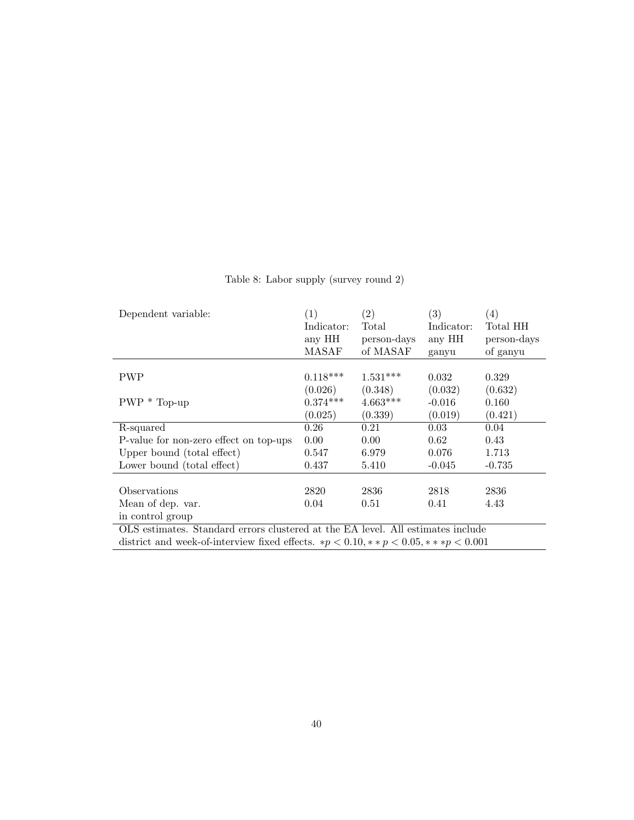| Dependent variable:                                                                                         | (1)            | $\left( 2\right)$ | (3)        | $\left( 4\right)$ |
|-------------------------------------------------------------------------------------------------------------|----------------|-------------------|------------|-------------------|
|                                                                                                             | Indicator:     | Total             | Indicator: | Total HH          |
|                                                                                                             | any HH         | person-days       | any HH     | person-days       |
|                                                                                                             | MASAF          | of MASAF          | ganyu      | of ganyu          |
|                                                                                                             |                |                   |            |                   |
| <b>PWP</b>                                                                                                  | $0.118***$     | $1.531***$        | 0.032      | 0.329             |
|                                                                                                             | (0.026)        | (0.348)           | (0.032)    | (0.632)           |
| $PWP * Top-up$                                                                                              | $0.374***$     | $4.663***$        | $-0.016$   | 0.160             |
|                                                                                                             | (0.025)        | (0.339)           | (0.019)    | (0.421)           |
| R-squared                                                                                                   | 0.26           | 0.21              | 0.03       | 0.04              |
| P-value for non-zero effect on top-ups                                                                      | $0.00^{\circ}$ | 0.00              | 0.62       | 0.43              |
| Upper bound (total effect)                                                                                  | 0.547          | 6.979             | 0.076      | 1.713             |
| Lower bound (total effect)                                                                                  | 0.437          | 5.410             | $-0.045$   | $-0.735$          |
|                                                                                                             |                |                   |            |                   |
| Observations                                                                                                | 2820           | 2836              | 2818       | 2836              |
| Mean of dep. var.                                                                                           | 0.04           | 0.51              | 0.41       | 4.43              |
| in control group                                                                                            |                |                   |            |                   |
| OLS estimates. Standard errors clustered at the EA level. All estimates include                             |                |                   |            |                   |
| district and week-of-interview fixed effects. $\ast p < 0.10, \ast \ast p < 0.05, \ast \ast \ast p < 0.001$ |                |                   |            |                   |

Table 8: Labor supply (survey round 2)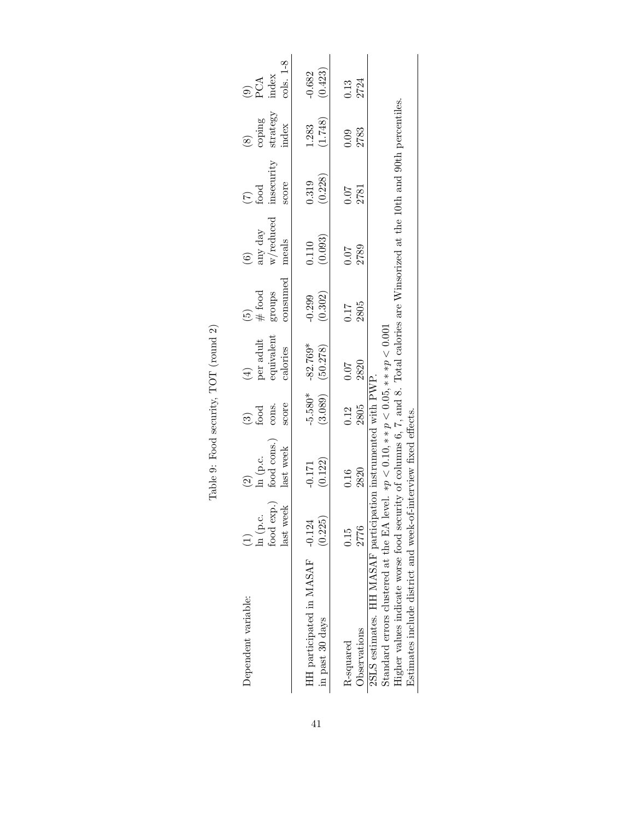| Dependent variable:                                                                                                                                                                                                                                                                                           | food exp.)<br>last week<br>ln (p.c. | food cons.)<br>last week<br>$\ln$ (p.c.                         | score<br>cons.<br>$\frac{1}{2}$ | equivalent<br>per adult<br>calories<br>$\left(\frac{1}{2}\right)$ | consumed<br>$#$ food<br>groups<br>έ | $\ensuremath{ {\rm w} /\rm{reduced} }$<br>any day<br>meals<br>$\widehat{6}$ | insecurity<br>score<br>$\sum_{\text{food}}$ | ${\rm strategy} \atop {\rm index}$<br>coping | $PCA$<br>PCA<br>index<br>cols. 1-8 |
|---------------------------------------------------------------------------------------------------------------------------------------------------------------------------------------------------------------------------------------------------------------------------------------------------------------|-------------------------------------|-----------------------------------------------------------------|---------------------------------|-------------------------------------------------------------------|-------------------------------------|-----------------------------------------------------------------------------|---------------------------------------------|----------------------------------------------|------------------------------------|
| HH participated in MASAF -0.124<br>in past 30 days                                                                                                                                                                                                                                                            | (0.225)                             | (0.122)<br>$-0.171$                                             | $-5.580*$<br>(3.089)            | $-82.769*$<br>(50.278)                                            | (0.302)<br>$-0.299$                 | (0.093)<br>0.110                                                            | (0.228)<br>0.319                            | (1.748)<br>1.283                             | (0.423)<br>$-0.682$                |
| Observations<br>R-squared                                                                                                                                                                                                                                                                                     | 2776<br>0.15                        | 2820<br>0.16                                                    | 2805<br>0.12                    | 2820<br>0.07                                                      | $\frac{0.17}{2805}$                 | 2789<br>0.07                                                                | $\frac{0.07}{2781}$                         | 2783<br>0.09                                 | $0.13$<br>$2724$                   |
| Higher values indicate worse food security of columns 6, 7, and 8. Total calories are Winsorized at the 10th and 90th percentiles.<br>2SLS estimates. HH MASAF participation instrumented with PWP.<br>Estimates include district and week-of-interview fixed effects.<br>Standard errors clustered at the EA |                                     | level. $\ast p < 0.10, \ast \ast p < 0.05, \ast \ast p < 0.001$ |                                 |                                                                   |                                     |                                                                             |                                             |                                              |                                    |

Table 9: Food security, TOT (round 2) Table 9: Food security, TOT (round 2)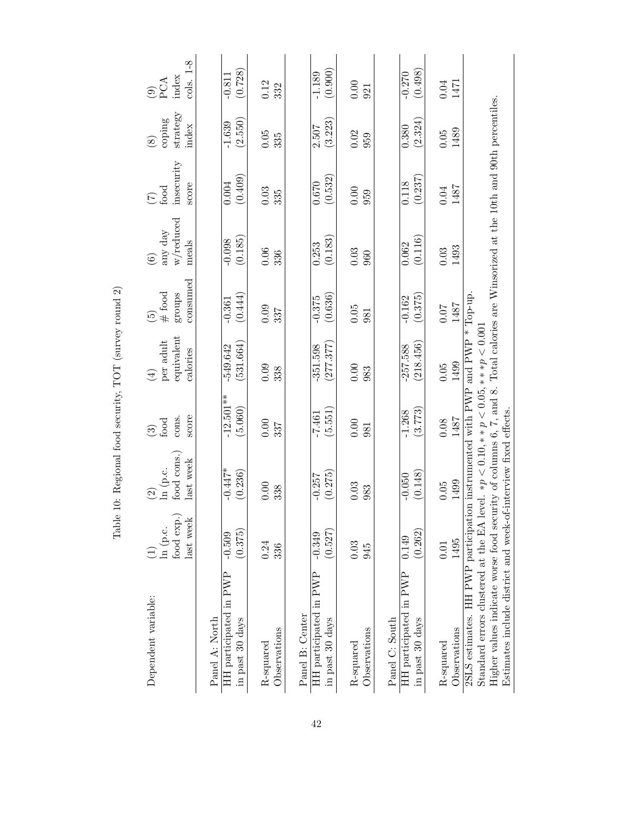| Dependent variable:                                                                                                                                                                                                                                                                                                           | food exp.<br>last week<br>ln (p.c. | food cons.<br>last week<br>ln (p.c.<br>$\widehat{\Omega}$ | score<br>cons.<br>food<br>$\widehat{\mathfrak{S}}$ | equivalent<br>per adult<br>calories<br>$\bigoplus$ | consumed<br>$#$ food<br>groups<br>$\widetilde{\Xi}$ | w/reduced<br>any day<br>meals<br>$\circledcirc$ | insecurity<br>score<br>food<br>$\widehat{\mathcal{L}}$ | strategy<br>coping<br>index<br>$\circledast$ | cols. 1-8<br>index<br>PCA<br>$\widehat{e}$ |
|-------------------------------------------------------------------------------------------------------------------------------------------------------------------------------------------------------------------------------------------------------------------------------------------------------------------------------|------------------------------------|-----------------------------------------------------------|----------------------------------------------------|----------------------------------------------------|-----------------------------------------------------|-------------------------------------------------|--------------------------------------------------------|----------------------------------------------|--------------------------------------------|
| HH participated in PWP<br>Panel A: North<br>in past 30 days                                                                                                                                                                                                                                                                   | (0.375)<br>$-0.509$                | $-0.447*$<br>(0.236)                                      | $-12.501**$<br>(5.060)                             | (531.664)<br>-549.642                              | (0.444)<br>$-0.361$                                 | (0.185)<br>$-0.098$                             | (0.409)<br>0.004                                       | (2.550)<br>$-1.639$                          | (0.728)<br>$-0.811$                        |
| Observations<br>R-squared                                                                                                                                                                                                                                                                                                     | 0.24<br>336                        | 0.00<br>338                                               | 0.00<br>337                                        | 0.09<br>338                                        | 0.09<br>337                                         | 0.06<br>336                                     | 0.03<br>335                                            | $0.05\,$<br>335                              | 0.12<br>332                                |
| HH participated in PWP<br>Panel B: Center<br>in past 30 days                                                                                                                                                                                                                                                                  | (0.527)<br>$-0.349$                | (0.275)<br>$-0.257$                                       | (5.551)<br>$-7.461$                                | (277.377)<br>$-351.598$                            | (0.636)<br>$-0.375$                                 | (0.183)<br>0.253                                | (0.532)<br>0.670                                       | (3.223)<br>2.507                             | (0.900)<br>$-1.189$                        |
| Observations<br>R-squared                                                                                                                                                                                                                                                                                                     | 0.03<br>945                        | 0.03<br>983                                               | 0.00<br>981                                        | 0.00<br>983                                        | $0.05$<br>981                                       | 0.03<br>960                                     | 0.00<br>959                                            | 0.02<br>959                                  | 0.00<br>921                                |
| HH participated in PWP<br>in past 30 days<br>Panel C: South                                                                                                                                                                                                                                                                   | (0.262)<br>0.149                   | (0.148)<br>$-0.050$                                       | (3.773)<br>$-1.268$                                | (218.456)<br>$-257.588$                            | (0.375)<br>$-0.162$                                 | (0.116)<br>0.062                                | (0.237)<br>0.118                                       | (2.324)<br>0.380                             | (0.498)<br>$-0.270$                        |
| Observations<br>R-squared                                                                                                                                                                                                                                                                                                     | 1495<br>$0.01\,$                   | 1499<br>$0.05$                                            | 1487<br>0.08                                       | 1499<br>$0.05\,$                                   | 1487<br><b>10.0</b>                                 | 1493<br>0.03                                    | 1487<br>$0.04\,$                                       | 1489<br>$0.05$                               | $0.04\,$<br>1471                           |
| Higher values indicate worse food security of columns 6, 7, and 8. Total calories are Winsorized at the 10th and 90th percentiles.<br>2SLS estimates. HH PWP participation instrumented with PWP and PWP $*$ Top-up.<br>Estimates include district and week-of-interview fixed effects<br>Standard errors clustered at the EA |                                    | level. $* p < 0.10, * p < 0.05, * p < 0.001$              |                                                    |                                                    |                                                     |                                                 |                                                        |                                              |                                            |

Table 10: Regional food security, TOT (survey round 2) Table 10: Regional food security, TOT (survey round 2)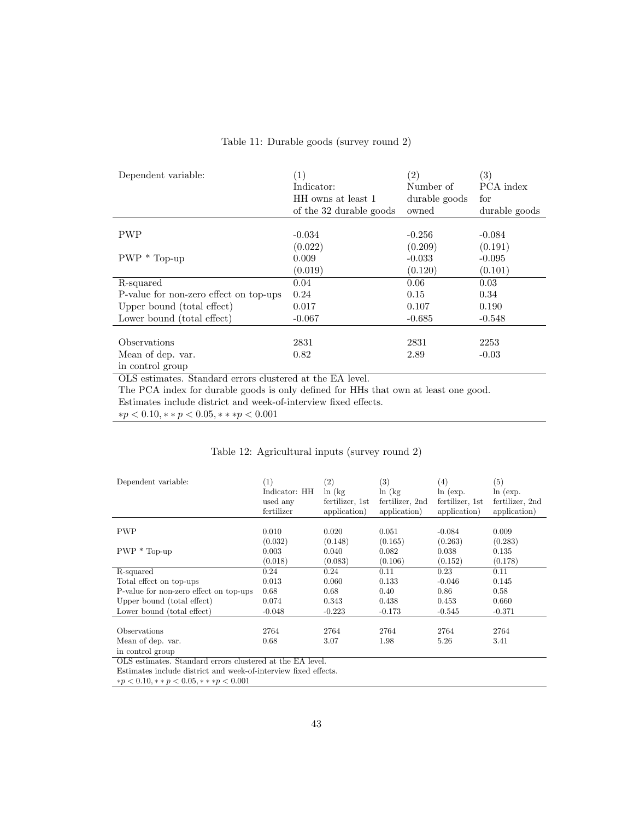| Dependent variable:                    | (1)                     | (2)           | $\left( 3\right)$ |
|----------------------------------------|-------------------------|---------------|-------------------|
|                                        | Indicator:              | Number of     | PCA index         |
|                                        | HH owns at least 1      | durable goods | for               |
|                                        | of the 32 durable goods | owned         | durable goods     |
|                                        |                         |               |                   |
| <b>PWP</b>                             | $-0.034$                | $-0.256$      | $-0.084$          |
|                                        | (0.022)                 | (0.209)       | (0.191)           |
| $PWP * Top-up$                         | 0.009                   | $-0.033$      | $-0.095$          |
|                                        | (0.019)                 | (0.120)       | (0.101)           |
| R-squared                              | 0.04                    | 0.06          | 0.03              |
| P-value for non-zero effect on top-ups | 0.24                    | 0.15          | 0.34              |
| Upper bound (total effect)             | 0.017                   | 0.107         | 0.190             |
| Lower bound (total effect)             | $-0.067$                | $-0.685$      | $-0.548$          |
|                                        |                         |               |                   |
| Observations                           | 2831                    | 2831          | 2253              |
| Mean of dep. var.                      | 0.82                    | 2.89          | $-0.03$           |
| in control group                       |                         |               |                   |

### Table 11: Durable goods (survey round 2)

OLS estimates. Standard errors clustered at the EA level.

The PCA index for durable goods is only defined for HHs that own at least one good.

Estimates include district and week-of-interview fixed effects.

 $*p < 0.10, *p < 0.05, **p < 0.001$ 

## Table 12: Agricultural inputs (survey round 2)

| Dependent variable:                    | (1)<br>Indicator: HH<br>used any<br>fertilizer | $\left( 2\right)$<br>$\ln(kg)$<br>fertilizer, 1st<br>application) | (3)<br>ln(kg)<br>fertilizer, 2nd<br>application) | (4)<br>ln (exp.<br>fertilizer, 1st<br>application) | $\left( 5\right)$<br>ln (exp.<br>fertilizer, 2nd<br>application) |
|----------------------------------------|------------------------------------------------|-------------------------------------------------------------------|--------------------------------------------------|----------------------------------------------------|------------------------------------------------------------------|
|                                        |                                                |                                                                   |                                                  |                                                    |                                                                  |
| <b>PWP</b>                             | 0.010                                          | 0.020                                                             | 0.051                                            | $-0.084$                                           | 0.009                                                            |
|                                        | (0.032)                                        | (0.148)                                                           | (0.165)                                          | (0.263)                                            | (0.283)                                                          |
| $PWP * Top-up$                         | 0.003                                          | 0.040                                                             | 0.082                                            | 0.038                                              | 0.135                                                            |
|                                        | (0.018)                                        | (0.083)                                                           | (0.106)                                          | (0.152)                                            | (0.178)                                                          |
| R-squared                              | 0.24                                           | 0.24                                                              | 0.11                                             | 0.23                                               | 0.11                                                             |
| Total effect on top-ups                | 0.013                                          | 0.060                                                             | 0.133                                            | $-0.046$                                           | 0.145                                                            |
| P-value for non-zero effect on top-ups | 0.68                                           | 0.68                                                              | 0.40                                             | 0.86                                               | 0.58                                                             |
| Upper bound (total effect)             | 0.074                                          | 0.343                                                             | 0.438                                            | 0.453                                              | 0.660                                                            |
| Lower bound (total effect)             | $-0.048$                                       | $-0.223$                                                          | $-0.173$                                         | $-0.545$                                           | $-0.371$                                                         |
|                                        |                                                |                                                                   |                                                  |                                                    |                                                                  |
| <b>Observations</b>                    | 2764                                           | 2764                                                              | 2764                                             | 2764                                               | 2764                                                             |
| Mean of dep. var.                      | 0.68                                           | 3.07                                                              | 1.98                                             | 5.26                                               | 3.41                                                             |
| in control group                       |                                                |                                                                   |                                                  |                                                    |                                                                  |

OLS estimates. Standard errors clustered at the EA level.

Estimates include district and week-of-interview fixed effects.

 ${\ast}p < 0.10, {\ast} {\ast} \, p < 0.05, {\ast} {\ast} {\ast} \, p < 0.001$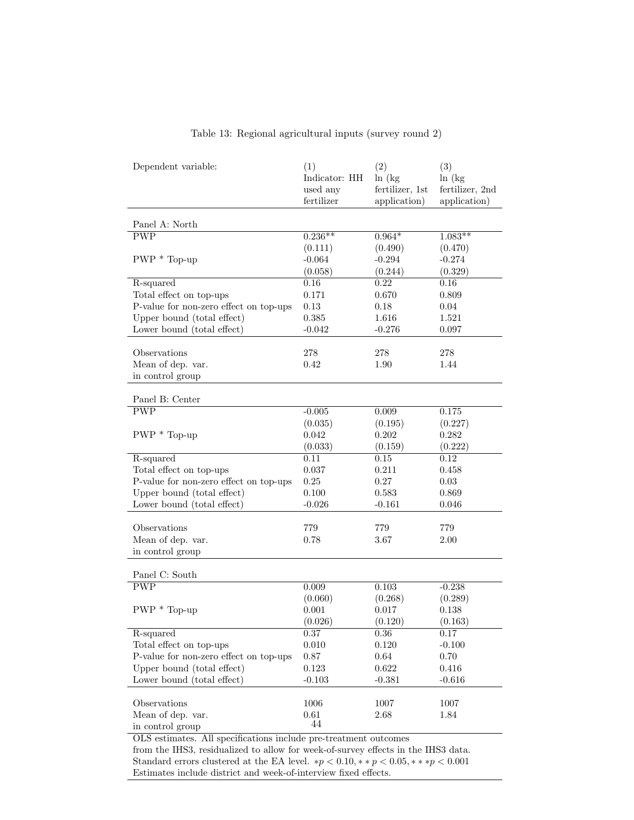| Dependent variable:                                                               | (1)<br>Indicator: HH<br>used any<br>fertilizer | (2)<br>ln(kg)<br>fertilizer, 1st<br>application) | (3)<br>ln(kg)<br>fertilizer, 2nd<br>application) |
|-----------------------------------------------------------------------------------|------------------------------------------------|--------------------------------------------------|--------------------------------------------------|
| Panel A: North                                                                    |                                                |                                                  |                                                  |
| <b>PWP</b>                                                                        | $0.236**$                                      | $0.964*$                                         | $1.083**$                                        |
|                                                                                   | (0.111)                                        | (0.490)                                          | (0.470)                                          |
| $PWP * Top-up$                                                                    | $-0.064$                                       | $-0.294$                                         | $-0.274$                                         |
|                                                                                   | (0.058)                                        | (0.244)                                          | (0.329)                                          |
| R-squared                                                                         | 0.16                                           | $0.22\,$                                         | 0.16                                             |
| Total effect on top-ups                                                           | 0.171                                          | 0.670                                            | 0.809                                            |
| P-value for non-zero effect on top-ups                                            | 0.13                                           | 0.18                                             | 0.04                                             |
| Upper bound (total effect)                                                        | 0.385                                          | 1.616                                            | 1.521                                            |
| Lower bound (total effect)                                                        | $-0.042$                                       | $-0.276$                                         | 0.097                                            |
|                                                                                   |                                                |                                                  |                                                  |
| Observations                                                                      | 278                                            | 278                                              | 278                                              |
| Mean of dep. var.                                                                 | 0.42                                           | 1.90                                             | 1.44                                             |
| in control group                                                                  |                                                |                                                  |                                                  |
| Panel B: Center                                                                   |                                                |                                                  |                                                  |
| $\overline{\text{PWP}}$                                                           | $-0.005$                                       | 0.009                                            | 0.175                                            |
|                                                                                   | (0.035)                                        | (0.195)                                          | (0.227)                                          |
| $PWP * Top-up$                                                                    | 0.042                                          | 0.202                                            | 0.282                                            |
|                                                                                   | (0.033)                                        | (0.159)                                          | (0.222)                                          |
| R-squared                                                                         | 0.11                                           | 0.15                                             | 0.12                                             |
| Total effect on top-ups                                                           | 0.037                                          | 0.211                                            | 0.458                                            |
| P-value for non-zero effect on top-ups                                            | 0.25                                           | 0.27                                             | 0.03                                             |
| Upper bound (total effect)                                                        | 0.100                                          | 0.583                                            | 0.869                                            |
| Lower bound (total effect)                                                        | $-0.026$                                       | $-0.161$                                         | 0.046                                            |
|                                                                                   |                                                |                                                  |                                                  |
| Observations                                                                      | 779                                            | 779                                              | 779                                              |
| Mean of dep. var.                                                                 | 0.78                                           | 3.67                                             | 2.00                                             |
| in control group                                                                  |                                                |                                                  |                                                  |
| Panel C: South                                                                    |                                                |                                                  |                                                  |
| $\overline{\text{PWP}}$                                                           | 0.009                                          | 0.103                                            | $-0.238$                                         |
|                                                                                   | (0.060)                                        | (0.268)                                          | (0.289)                                          |
| $PWP * Top-up$                                                                    | 0.001                                          | 0.017                                            | 0.138                                            |
|                                                                                   | (0.026)                                        | (0.120)                                          | (0.163)                                          |
| R-squared                                                                         | 0.37                                           | 0.36                                             | 0.17                                             |
| Total effect on top-ups                                                           | 0.010                                          | 0.120                                            | $-0.100$                                         |
| P-value for non-zero effect on top-ups                                            | 0.87                                           | 0.64                                             | 0.70                                             |
| Upper bound (total effect)                                                        | 0.123                                          | 0.622                                            | 0.416                                            |
| Lower bound (total effect)                                                        | $-0.103$                                       | $-0.381$                                         | $-0.616$                                         |
|                                                                                   |                                                |                                                  |                                                  |
| Observations<br>Mean of dep. var.                                                 | 1006<br>0.61                                   | 1007<br>2.68                                     | 1007<br>1.84                                     |
| in control group                                                                  | 44                                             |                                                  |                                                  |
| OLS estimates. All specifications include pre-treatment outcomes                  |                                                |                                                  |                                                  |
| from the IHS3, residualized to allow for week-of-survey effects in the IHS3 data. |                                                |                                                  |                                                  |

# Table 13: Regional agricultural inputs (survey round 2)

from the IHS3, residualized to allow for week-of-survey effects in the IHS3 data. Standard errors clustered at the EA level.  $*p < 0.10, **p < 0.05, ***p < 0.001$ Estimates include district and week-of-interview fixed effects.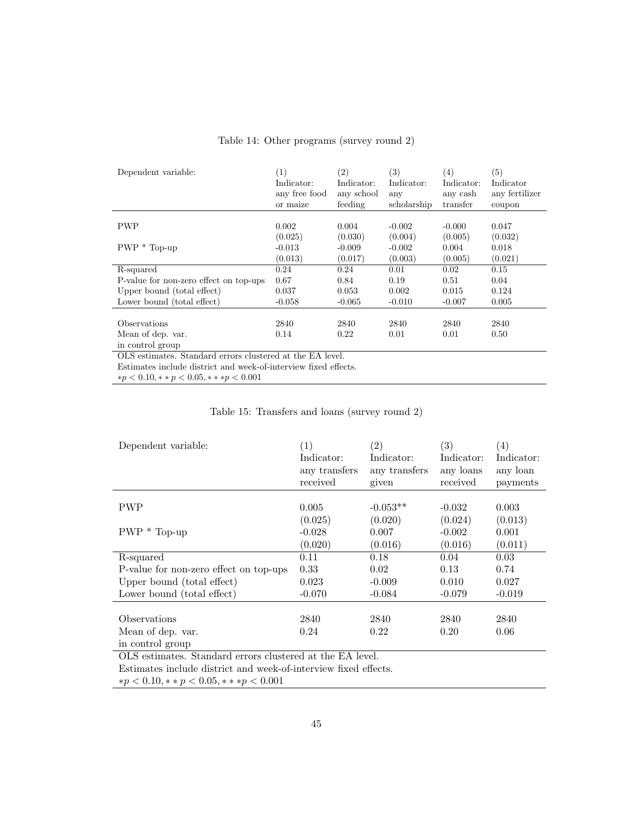| Dependent variable:                                             | (1)<br>Indicator:<br>any free food<br>or maize | (2)<br>Indicator:<br>any school<br>feeding | (3)<br>Indicator:<br>any<br>scholarship | (4)<br>Indicator:<br>any cash<br>transfer | (5)<br>Indicator<br>any fertilizer<br>coupon |
|-----------------------------------------------------------------|------------------------------------------------|--------------------------------------------|-----------------------------------------|-------------------------------------------|----------------------------------------------|
|                                                                 |                                                |                                            |                                         |                                           |                                              |
| <b>PWP</b>                                                      | 0.002                                          | 0.004                                      | $-0.002$                                | $-0.000$                                  | 0.047                                        |
|                                                                 | (0.025)                                        | (0.030)                                    | (0.004)                                 | (0.005)                                   | (0.032)                                      |
| $PWP * Top-up$                                                  | $-0.013$                                       | $-0.009$                                   | $-0.002$                                | 0.004                                     | 0.018                                        |
|                                                                 | (0.013)                                        | (0.017)                                    | (0.003)                                 | (0.005)                                   | (0.021)                                      |
| R-squared                                                       | 0.24                                           | 0.24                                       | 0.01                                    | 0.02                                      | 0.15                                         |
| P-value for non-zero effect on top-ups                          | 0.67                                           | 0.84                                       | 0.19                                    | 0.51                                      | 0.04                                         |
| Upper bound (total effect)                                      | 0.037                                          | 0.053                                      | 0.002                                   | 0.015                                     | 0.124                                        |
| Lower bound (total effect)                                      | $-0.058$                                       | $-0.065$                                   | $-0.010$                                | $-0.007$                                  | 0.005                                        |
|                                                                 |                                                |                                            |                                         |                                           |                                              |
| Observations                                                    | 2840                                           | 2840                                       | 2840                                    | 2840                                      | 2840                                         |
| Mean of dep. var.                                               | 0.14                                           | 0.22                                       | 0.01                                    | 0.01                                      | 0.50                                         |
| in control group                                                |                                                |                                            |                                         |                                           |                                              |
| OLS estimates. Standard errors clustered at the EA level.       |                                                |                                            |                                         |                                           |                                              |
| Estimates include district and week-of-interview fixed effects. |                                                |                                            |                                         |                                           |                                              |

### Table 14: Other programs (survey round 2)

 ${\ast}p < 0.10, {\ast} {\ast} \, p < 0.05, {\ast} {\ast} {\ast} \, p < 0.001$ 

## Table 15: Transfers and loans (survey round 2)

| (1)<br>Indicator:<br>any transfers<br>received | $\left( 2\right)$<br>Indicator:<br>any transfers<br>given                  | $\left( 3\right)$<br>Indicator:<br>any loans<br>received | (4)<br>Indicator:<br>any loan<br>payments |
|------------------------------------------------|----------------------------------------------------------------------------|----------------------------------------------------------|-------------------------------------------|
|                                                |                                                                            |                                                          |                                           |
|                                                |                                                                            |                                                          | 0.003                                     |
| (0.025)                                        | (0.020)                                                                    | (0.024)                                                  | (0.013)                                   |
| $-0.028$                                       | 0.007                                                                      | $-0.002$                                                 | 0.001                                     |
| (0.020)                                        | (0.016)                                                                    | (0.016)                                                  | (0.011)                                   |
| 0.11                                           | 0.18                                                                       | 0.04                                                     | 0.03                                      |
| 0.33                                           | 0.02                                                                       | 0.13                                                     | 0.74                                      |
| 0.023                                          | $-0.009$                                                                   | 0.010                                                    | 0.027                                     |
| $-0.070$                                       | $-0.084$                                                                   | $-0.079$                                                 | $-0.019$                                  |
|                                                |                                                                            |                                                          |                                           |
| 2840                                           | 2840                                                                       | 2840                                                     | 2840                                      |
| 0.24                                           | 0.22                                                                       | 0.20                                                     | 0.06                                      |
|                                                |                                                                            |                                                          |                                           |
|                                                | 0.005<br>$\sim$ $\sim$ $\sim$ $\sim$ $\sim$ $\sim$<br>$\sim$ $\sim$ $\sim$ | $-0.053**$<br>$\sim$                                     | $-0.032$                                  |

OLS estimates. Standard errors clustered at the EA level.

Estimates include district and week-of-interview fixed effects.

 ${\ast}p < 0.10, {\ast} {\ast} \, p < 0.05, {\ast} {\ast} {\ast} \, p < 0.001$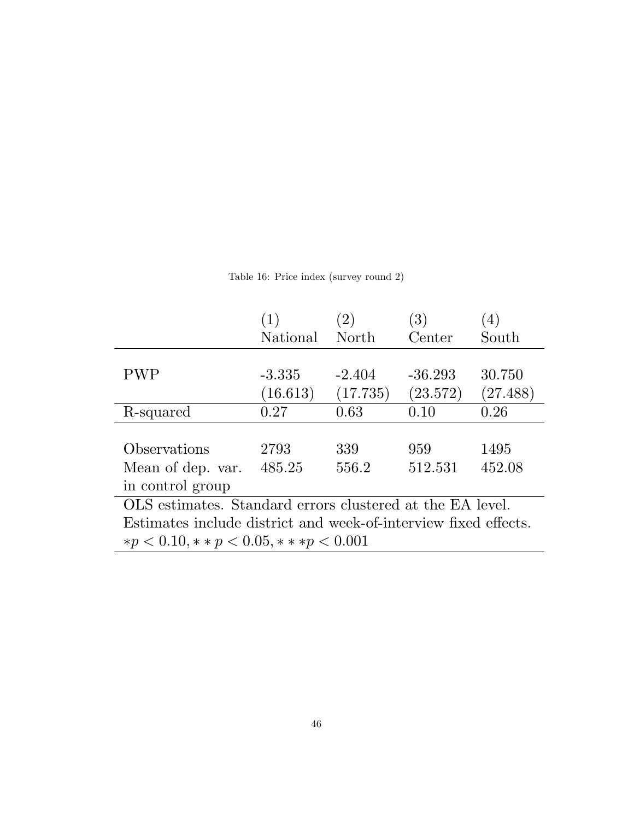|                                                                 |          | (2)      | $\left( 3\right)$ |          |
|-----------------------------------------------------------------|----------|----------|-------------------|----------|
|                                                                 | National | North    | Center            | South    |
|                                                                 |          |          |                   |          |
| <b>PWP</b>                                                      | $-3.335$ | $-2.404$ | $-36.293$         | 30.750   |
|                                                                 | (16.613) | (17.735) | (23.572)          | (27.488) |
| R-squared                                                       | 0.27     | 0.63     | 0.10              | 0.26     |
|                                                                 |          |          |                   |          |
| Observations                                                    | 2793     | 339      | 959               | 1495     |
| Mean of dep. var.                                               | 485.25   | 556.2    | 512.531           | 452.08   |
| in control group                                                |          |          |                   |          |
| OLS estimates. Standard errors clustered at the EA level.       |          |          |                   |          |
| Estimates include district and week-of-interview fixed effects. |          |          |                   |          |
| $* p < 0.10, ** p < 0.05, *** p < 0.001$                        |          |          |                   |          |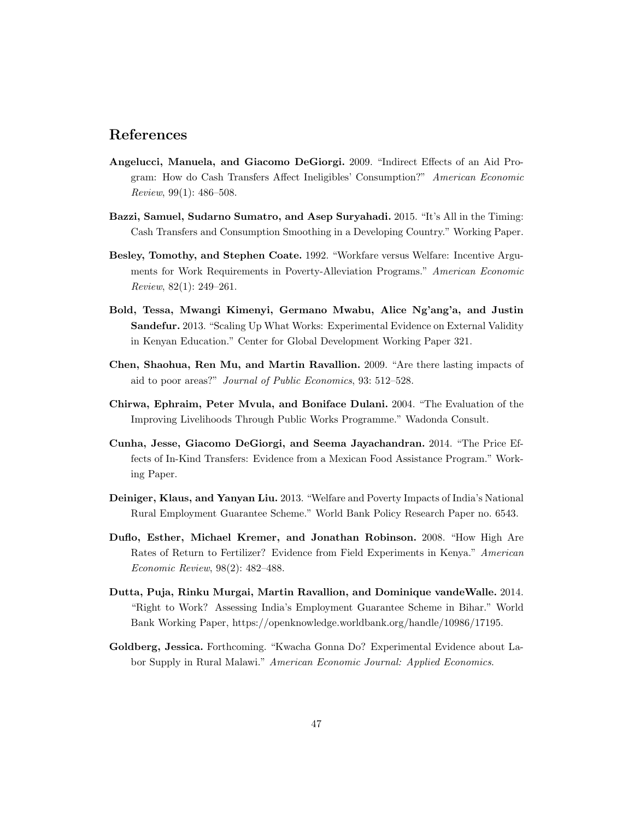# References

- Angelucci, Manuela, and Giacomo DeGiorgi. 2009. "Indirect Effects of an Aid Program: How do Cash Transfers Affect Ineligibles' Consumption?" American Economic Review, 99(1): 486–508.
- Bazzi, Samuel, Sudarno Sumatro, and Asep Suryahadi. 2015. "It's All in the Timing: Cash Transfers and Consumption Smoothing in a Developing Country." Working Paper.
- Besley, Tomothy, and Stephen Coate. 1992. "Workfare versus Welfare: Incentive Arguments for Work Requirements in Poverty-Alleviation Programs." American Economic Review, 82(1): 249–261.
- Bold, Tessa, Mwangi Kimenyi, Germano Mwabu, Alice Ng'ang'a, and Justin Sandefur. 2013. "Scaling Up What Works: Experimental Evidence on External Validity in Kenyan Education." Center for Global Development Working Paper 321.
- Chen, Shaohua, Ren Mu, and Martin Ravallion. 2009. "Are there lasting impacts of aid to poor areas?" Journal of Public Economics, 93: 512–528.
- Chirwa, Ephraim, Peter Mvula, and Boniface Dulani. 2004. "The Evaluation of the Improving Livelihoods Through Public Works Programme." Wadonda Consult.
- Cunha, Jesse, Giacomo DeGiorgi, and Seema Jayachandran. 2014. "The Price Effects of In-Kind Transfers: Evidence from a Mexican Food Assistance Program." Working Paper.
- Deiniger, Klaus, and Yanyan Liu. 2013. "Welfare and Poverty Impacts of India's National Rural Employment Guarantee Scheme." World Bank Policy Research Paper no. 6543.
- Duflo, Esther, Michael Kremer, and Jonathan Robinson. 2008. "How High Are Rates of Return to Fertilizer? Evidence from Field Experiments in Kenya." American Economic Review, 98(2): 482–488.
- Dutta, Puja, Rinku Murgai, Martin Ravallion, and Dominique vandeWalle. 2014. "Right to Work? Assessing India's Employment Guarantee Scheme in Bihar." World Bank Working Paper, https://openknowledge.worldbank.org/handle/10986/17195.
- Goldberg, Jessica. Forthcoming. "Kwacha Gonna Do? Experimental Evidence about Labor Supply in Rural Malawi." American Economic Journal: Applied Economics.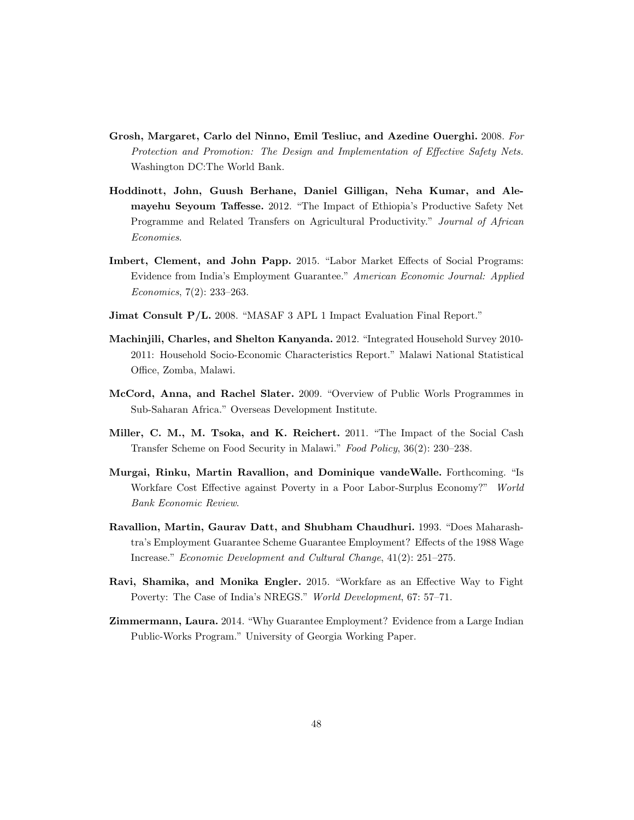- Grosh, Margaret, Carlo del Ninno, Emil Tesliuc, and Azedine Ouerghi. 2008. For Protection and Promotion: The Design and Implementation of Effective Safety Nets. Washington DC:The World Bank.
- Hoddinott, John, Guush Berhane, Daniel Gilligan, Neha Kumar, and Alemayehu Seyoum Taffesse. 2012. "The Impact of Ethiopia's Productive Safety Net Programme and Related Transfers on Agricultural Productivity." Journal of African Economies.
- Imbert, Clement, and John Papp. 2015. "Labor Market Effects of Social Programs: Evidence from India's Employment Guarantee." American Economic Journal: Applied Economics, 7(2): 233–263.
- Jimat Consult P/L. 2008. "MASAF 3 APL 1 Impact Evaluation Final Report."
- Machinjili, Charles, and Shelton Kanyanda. 2012. "Integrated Household Survey 2010- 2011: Household Socio-Economic Characteristics Report." Malawi National Statistical Office, Zomba, Malawi.
- McCord, Anna, and Rachel Slater. 2009. "Overview of Public Worls Programmes in Sub-Saharan Africa." Overseas Development Institute.
- Miller, C. M., M. Tsoka, and K. Reichert. 2011. "The Impact of the Social Cash Transfer Scheme on Food Security in Malawi." Food Policy, 36(2): 230–238.
- Murgai, Rinku, Martin Ravallion, and Dominique vandeWalle. Forthcoming. "Is Workfare Cost Effective against Poverty in a Poor Labor-Surplus Economy?" World Bank Economic Review.
- Ravallion, Martin, Gaurav Datt, and Shubham Chaudhuri. 1993. "Does Maharashtra's Employment Guarantee Scheme Guarantee Employment? Effects of the 1988 Wage Increase." Economic Development and Cultural Change, 41(2): 251–275.
- Ravi, Shamika, and Monika Engler. 2015. "Workfare as an Effective Way to Fight Poverty: The Case of India's NREGS." World Development, 67: 57–71.
- Zimmermann, Laura. 2014. "Why Guarantee Employment? Evidence from a Large Indian Public-Works Program." University of Georgia Working Paper.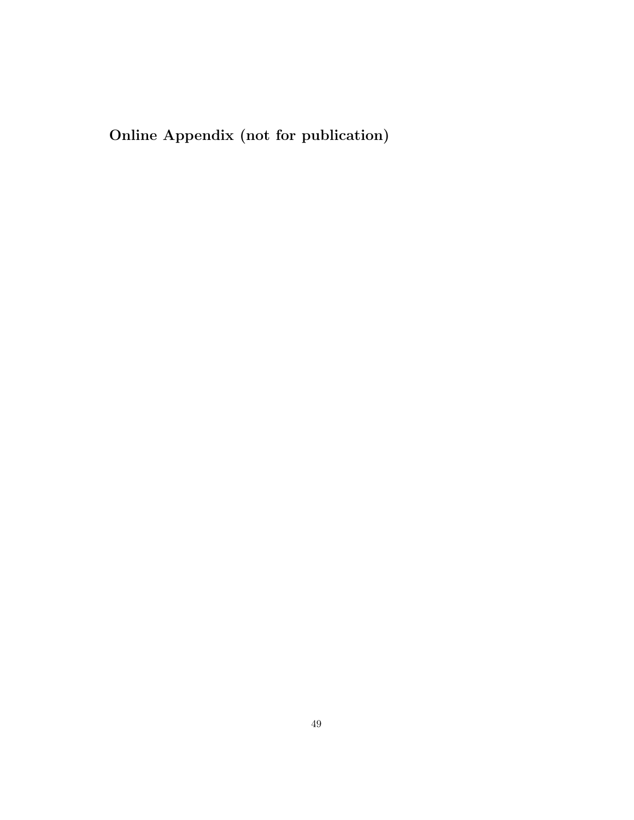Online Appendix (not for publication)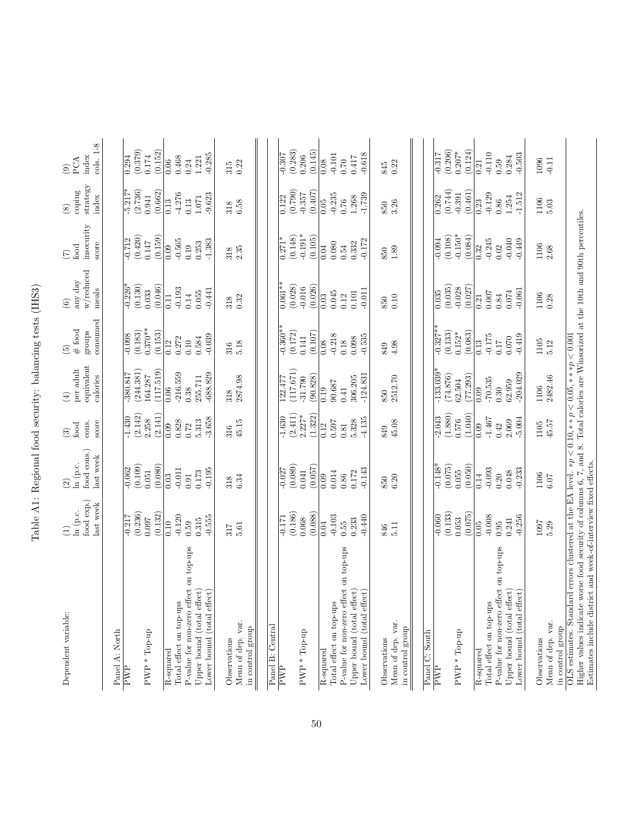| $\frac{1}{2}$<br>١<br>Í<br>ĺ<br>l                                                                    |
|------------------------------------------------------------------------------------------------------|
| I<br>į                                                                                               |
| l<br>ı<br>J<br>j                                                                                     |
| ֖֖֖ׅ֖֖֚֚֚֚֚֚֚֚֚֚֚֚֚֚֚֚֚֚֚֬֡֡֡֡֬֝֬֝֓֞֡֡֡֬֓֞֡֡֬֓֞֬֓֞֬֓֞֓֬֝֓֬֝֓֞֬֝֓֞֬֝֬֝֓֞֬֝֬֝֬֓֞֬֝֬֝֬֝֬<br>i<br>i<br>) |
| i i<br>֡֜֕֜֜                                                                                         |
| $\sim$ $\sim$ $\sim$ $\sim$ $\sim$ $\sim$<br>l<br>I<br>l                                             |
|                                                                                                      |
| J                                                                                                    |

| Dependent variable:                                                                                                                | food exp.)<br>last week<br>$\ln$ (p.c.<br>$\bigoplus$ | food cons.)<br>last week<br>ln (p.c.<br>$\widehat{2}$ | score<br>cons.<br>food<br>$\odot$ | equivalent<br>per adult<br>calories<br>$\bigoplus$ | consumed<br>$\begin{array}{c} (5) \\ \# \text{ food} \end{array}$<br>groups | w/reduced<br>any day<br>meals<br>$\odot$ | insecurity<br>score<br>food<br>$\widetilde{C}$ | $strategy$<br>coping<br>index<br>$\circled{s}$ | cols. 1-8<br>index<br>PCA<br>$\odot$ |
|------------------------------------------------------------------------------------------------------------------------------------|-------------------------------------------------------|-------------------------------------------------------|-----------------------------------|----------------------------------------------------|-----------------------------------------------------------------------------|------------------------------------------|------------------------------------------------|------------------------------------------------|--------------------------------------|
| Panel A: North                                                                                                                     |                                                       |                                                       |                                   |                                                    |                                                                             |                                          |                                                |                                                |                                      |
| PWP                                                                                                                                | $-0.217$                                              | $-0.062$                                              | $-1.430$                          | -380.847                                           | $-0.098$                                                                    | $-0.226*$                                | $-0.712$                                       | $-5.217*$                                      | 0.294                                |
|                                                                                                                                    | (0.236)                                               | (0.109)                                               | (2.142)                           | (244.381)                                          | (0.183)                                                                     | (0.130)                                  | (0.420)                                        | (2.736)                                        | (0.379)                              |
| PWP * Top-up                                                                                                                       | (0.132)<br>160.0                                      | (0.080)<br>0.051                                      | (2.141)<br>2.258                  | (117.519)<br>164.287                               | $0.370**$<br>(0.153)                                                        | (0.046)<br>0.033                         | (0.159)<br>0.147                               | (0.662)<br>0.941                               | (0.152)<br>0.174                     |
|                                                                                                                                    |                                                       |                                                       |                                   |                                                    |                                                                             |                                          |                                                |                                                |                                      |
| Total effect on top-ups<br>R-squared                                                                                               | $-0.120$<br>0.10                                      | $-0.011$<br>0.03                                      | 0.828<br>0.09                     | $-216.559$<br>0.06                                 | 0.272<br>0.12                                                               | $-0.193$<br>0.11                         | $-0.565$<br>0.09                               | $-4.276$<br>0.13                               | 0.468<br>0.06                        |
| P-value for non-zero effect on top-ups                                                                                             | 0.59                                                  | 0.91                                                  | 0.72                              | 0.38                                               | 0.10                                                                        | 0.14                                     | 0.19                                           | 0.13                                           | 0.24                                 |
| Upper bound (total effect)                                                                                                         | 0.315                                                 | 0.173                                                 | 5.313                             | 255.711                                            | 0.584                                                                       | 0.055                                    | 0.253                                          | 1.071                                          | 1.221                                |
| Lower bound (total effect)                                                                                                         | $-0.555$                                              | $-0.195$                                              | $-3.658$                          | $-688.829$                                         | $-0.039$                                                                    | $-0.441$                                 | $-1.383$                                       | $-9.623$                                       | $-0.285$                             |
| Observations                                                                                                                       | 317                                                   | 318                                                   | 316                               | 318                                                | 316                                                                         | 318                                      | 318                                            | 318                                            | 315                                  |
| Mean of dep. var.<br>in control group                                                                                              | 5.61                                                  | 6.34                                                  | 45.15                             | 2874.98                                            | 5.18                                                                        | 0.32                                     | 2.35                                           | 6.58                                           | 0.22                                 |
|                                                                                                                                    |                                                       |                                                       |                                   |                                                    |                                                                             |                                          |                                                |                                                |                                      |
| Panel B: Central                                                                                                                   |                                                       |                                                       |                                   |                                                    |                                                                             |                                          |                                                |                                                |                                      |
| PWP                                                                                                                                | $-0.171$                                              | $-0.027$                                              | $-1.630$                          | 122.477                                            | $-0.360**$                                                                  | $0.061**$                                | $0.271*$                                       | 0.122                                          | $-0.307$                             |
|                                                                                                                                    | (0.186)                                               | (0.089)                                               | (2.411)                           | (117.671)                                          | (0.172)                                                                     | (0.028)                                  | (0.148)                                        | (0.790)                                        | (0.283)                              |
| PWP * Top-up                                                                                                                       | 0.068                                                 | 0.041                                                 | $2.227*$                          | $-31.790$                                          | 0.141                                                                       | $-0.016$                                 | $-0.191*$                                      | $-0.357$                                       | 0.206                                |
|                                                                                                                                    | (0.088)                                               | (0.057)                                               | (1.322)                           | (90.828)                                           | (0.107)                                                                     | (0.026)                                  | (0.105)                                        | (0.407)                                        | (0.145)                              |
| R-squared                                                                                                                          | 0.04                                                  | 0.09                                                  | 0.12                              | 0.19                                               | 0.08                                                                        | 0.03                                     | 0.04                                           | 0.05                                           | 0.08                                 |
| Total effect on top-ups                                                                                                            | $-0.103$                                              | 0.014                                                 | 0.597                             | 90.687                                             | $-0.218$                                                                    | 0.045                                    | 0.080                                          | $-0.235$                                       | $-0.101$                             |
| P-value for non-zero effect on top-ups                                                                                             | 0.55                                                  | 0.86                                                  | $\rm 0.81$                        | 0.41                                               | 0.18                                                                        | 0.12                                     | 0.54                                           | 0.76                                           | $0.70$                               |
| Upper bound (total effect)                                                                                                         | 0.233                                                 | 0.172                                                 | 5.328                             | 306.205                                            | 0.098                                                                       | 0.101                                    | 0.332                                          | 1.268                                          | 0.417                                |
| Lower bound (total effect)                                                                                                         | $-0.440$                                              | $-0.143$                                              | 4.135                             | $-124.831$                                         | $-0.535$                                                                    | $-0.011$                                 | $-0.172$                                       | $-1.739$                                       | $-0.618$                             |
| Observations                                                                                                                       | 846                                                   | 850                                                   | 849                               | 850                                                | 849                                                                         | 850                                      | 850                                            | 850                                            | 845                                  |
| Mean of dep. var.                                                                                                                  | 5.11                                                  | 6.20                                                  | 45.08                             | 2512.70                                            | 4.98                                                                        | $0.10\,$                                 | $1.89\,$                                       | 3.26                                           | 0.22                                 |
| in control group                                                                                                                   |                                                       |                                                       |                                   |                                                    |                                                                             |                                          |                                                |                                                |                                      |
| Panel C: South                                                                                                                     |                                                       |                                                       |                                   |                                                    |                                                                             |                                          |                                                |                                                |                                      |
| PWP                                                                                                                                | $-0.060$                                              | $-0.148*$                                             | $-2.043$                          | $-133.039$ <sup>2</sup>                            | $-0.327**$                                                                  | 0.035                                    | $-0.094$                                       | 0.262                                          | $-0.317$                             |
|                                                                                                                                    | (0.133)                                               | (0.075)                                               | (1.880)                           | (74.876)                                           | (0.133)                                                                     | (0.035)                                  | (0.108)                                        | (0.744)                                        | (0.206)                              |
| $PWP * Top-up$                                                                                                                     | 0.053                                                 | 0.055                                                 | 0.576                             | 62.504                                             | $0.152*$                                                                    | $-0.028$                                 | $-0.150*$                                      | $-0.391$                                       | $0.207*$                             |
|                                                                                                                                    | (0.075)                                               | (0.050)                                               | (1.040)                           | (77.293)                                           | (0.083)                                                                     | (0.027)                                  | (0.084)                                        | (0.461)                                        | (0.124)                              |
| R-squared                                                                                                                          | 0.05                                                  | 0.14                                                  | 0.09                              | 0.09                                               | 0.13                                                                        | 0.21                                     | 0.32                                           | 0.23                                           | 0.21                                 |
| Total effect on top-ups                                                                                                            | $-0.008$                                              | $-0.093$                                              | $-1.467$                          | $-70.535$                                          | $-0.175$                                                                    | $0.007\,$                                | $-0.245$                                       | $-0.129$                                       | $-0.110$                             |
| P-value for non-zero effect on top-ups                                                                                             | 0.95                                                  | 0.20                                                  | 0.42                              | 0.30                                               | 0.17                                                                        | $\!0.84\!$                               | 0.02                                           | 0.86                                           | 0.59                                 |
| Upper bound (total effect)                                                                                                         | 0.241                                                 | 0.048                                                 | 2.069                             | 62.959                                             | 0.070                                                                       | 0.074                                    | $-0.040$                                       | 1.254                                          | 0.284                                |
| Lower bound (total effect)                                                                                                         | $-0.256$                                              | $-0.233$                                              | $-5.004$                          | $-204.029$                                         | $-0.419$                                                                    | $-0.061$                                 | $-0.449$                                       | $-1.512$                                       | $-0.503$                             |
| Observations                                                                                                                       | 1007                                                  | 1106                                                  | 1105                              | 1106                                               | 1105                                                                        | 1106                                     | 1106                                           | 1106                                           | 1096                                 |
| Mean of dep. var.                                                                                                                  | 5.29                                                  | $6.07$                                                | 45.57                             | 2482.46                                            | 5.12                                                                        | 0.28                                     | 2.68                                           | 5.03                                           | $-0.11$                              |
| in control group                                                                                                                   |                                                       |                                                       |                                   |                                                    |                                                                             |                                          |                                                |                                                |                                      |
| OLS estimates. Standard errors clustered at the EA level. *p < 0.10, **p < 0.05, **p < 0.001                                       |                                                       |                                                       |                                   |                                                    |                                                                             |                                          |                                                |                                                |                                      |
| Higher values indicate worse food security of columns 6, 7, and 8. Total calories are Winsorized at the 10th and 90th percentiles. |                                                       |                                                       |                                   |                                                    |                                                                             |                                          |                                                |                                                |                                      |
| Estimates include district and week-of-interview fixed effects.                                                                    |                                                       |                                                       |                                   |                                                    |                                                                             |                                          |                                                |                                                |                                      |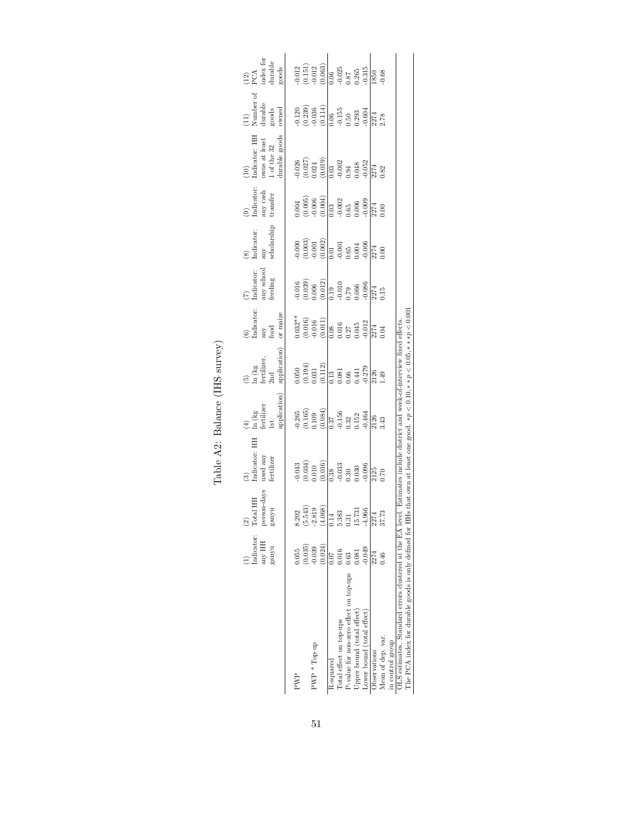|                                                                                                                                                                                                                                                                                |                                  |                                                                                                                                                      | Table A2: Balance (IHS survey)                                                                                                    |                                                                                         |                                                                                                                                              |                                                                                                                                       |                                                                                                                                          |                                                                                                                                                                                                                                                                          |                                                                                                                                                                                                                                                                                                               |                                                                                                                                                  |                                                                                                                               |                                                                                                                                            |
|--------------------------------------------------------------------------------------------------------------------------------------------------------------------------------------------------------------------------------------------------------------------------------|----------------------------------|------------------------------------------------------------------------------------------------------------------------------------------------------|-----------------------------------------------------------------------------------------------------------------------------------|-----------------------------------------------------------------------------------------|----------------------------------------------------------------------------------------------------------------------------------------------|---------------------------------------------------------------------------------------------------------------------------------------|------------------------------------------------------------------------------------------------------------------------------------------|--------------------------------------------------------------------------------------------------------------------------------------------------------------------------------------------------------------------------------------------------------------------------|---------------------------------------------------------------------------------------------------------------------------------------------------------------------------------------------------------------------------------------------------------------------------------------------------------------|--------------------------------------------------------------------------------------------------------------------------------------------------|-------------------------------------------------------------------------------------------------------------------------------|--------------------------------------------------------------------------------------------------------------------------------------------|
|                                                                                                                                                                                                                                                                                | Indicator:<br>HH yna<br>n/urs8   | person-days<br>$_{\rm tal}$ HH<br>ganyu<br>$\frac{\partial}{\partial \alpha}$                                                                        | Indicator: HH<br>$% \left\langle \left( \lambda_{\mathrm{eff}}\right) \right\rangle _{L}$ used any<br>ම                           | application<br>$\begin{array}{l} \hbox{In (kg)}\\ \hbox{fertilizer} \end{array}$<br>1st | application<br>$\begin{array}{l} \text{(5)} \\ \text{ln (kg} \\ \text{fertilizer}, \\ \text{2nd} \end{array}$                                | $(6)$<br>Indicator:<br>or maize<br>any<br>food                                                                                        | any school feeding<br>Indicator:                                                                                                         | $\mathop{\mathrm{any}}\limits_{\mathrm{scholarship}}$<br>Indicator:                                                                                                                                                                                                      | $\begin{array}{c} (9)\\ \text{Indicator:} \end{array}$<br>any cash<br>transfer                                                                                                                                                                                                                                | Indicator: HH<br>durable goods<br>% owns at least $1$ of the $32\,$<br>$\widehat{E}$                                                             | $\begin{array}{c}\n(11) \\ Number of \\ durable\n\end{array}$<br>owned<br>goods                                               | $(12)$<br>PCA<br>index for<br>durable<br>goods                                                                                             |
| PWP                                                                                                                                                                                                                                                                            | 0.055                            |                                                                                                                                                      |                                                                                                                                   |                                                                                         |                                                                                                                                              |                                                                                                                                       |                                                                                                                                          |                                                                                                                                                                                                                                                                          | 0.004                                                                                                                                                                                                                                                                                                         |                                                                                                                                                  |                                                                                                                               |                                                                                                                                            |
| PWP * Top-up                                                                                                                                                                                                                                                                   | (0.024)<br>$(0.035)$<br>$-0.039$ | $\begin{array}{c} 8.202 \\ (5.543) \\ -2.819 \\ (4.068) \end{array}$                                                                                 | $\begin{array}{l} 0.043 \\ 0.034) \\ 0.010 \\ 0.016) \\ 0.38 \\ 0.33 \\ 0.030 \\ 0.030 \\ 0.030 \\ 0.030 \\ 0.036 \\ \end{array}$ | $\begin{array}{c} 0.265 \\ (0.165) \\ 0.109 \\ (0.084) \end{array}$                     | $\begin{array}{l} (0.050\\ (0.194)\\ (0.031\\ (0.011\\ (0.13\\ 0.081\\ (0.081\\ 0.041\\ (0.41\\ -0.279\\ -0.279\\ -0.279\\ 1126 \end{array}$ | $\begin{array}{c} 0.032^{**} \\ (0.016) \\ (0.016) \\ (0.016) \\ (0.011) \\ (0.016) \\ 0.037 \\ 0.045 \\ 0.043 \\ -0.012 \end{array}$ | $\begin{array}{l} 0.016 \\ 0.039) \\ 0.006 \\ 0.012) \\ 0.19 \\ 0.19 \\ -0.010 \\ 0.066 \\ -0.086 \\ -0.086 \\ 0.15 \\ 0.15 \end{array}$ | $\begin{array}{c} 0.000\\ 0.003\\ 0.001\\ 0.002\\ 0.001\\ 0.01\\ 0.003\\ 0.004\\ 0.004\\ 0.006\\ 0.006\\ 0.006\\ 0.006\\ 0.007\\ 0.00\\ 0.00\\ 0.00\\ 0.00\\ 0.00\\ 0.00\\ 0.00\\ 0.00\\ 0.00\\ 0.00\\ 0.00\\ 0.00\\ 0.00\\ 0.00\\ 0.00\\ 0.00\\ 0.00\\ 0.00\\ 0.00\\ 0$ | $\begin{array}{l} (0.005) \\ 0.006 \\ -0.004 \\ 0.03 \\ -0.002 \\ 0.65 \\ 0.006 \\ -0.009 \\ 0.004 \\ 0.006 \\ 0.009 \\ 0.00 \\ 0.00 \\ 0.00 \\ 0.00 \\ 0.00 \\ 0.00 \\ 0.00 \\ 0.00 \\ 0.00 \\ 0.00 \\ 0.00 \\ 0.00 \\ 0.00 \\ 0.00 \\ 0.00 \\ 0.00 \\ 0.00 \\ 0.00 \\ 0.00 \\ 0.00 \\ 0.00 \\ 0.00 \\ 0.00$ | $\begin{array}{c} 0.026 \\ (0.027) \\ (0.024) \\ (0.019) \\ (0.019) \\ (0.03) \\ (0.03) \\ (0.04) \\ (0.04) \\ (0.052) \\ (0.82) \\ \end{array}$ | 0.120<br>$(0.239)$<br>$(0.239)$<br>$-0.036$<br>$-0.114$<br>$-0.55$<br>$-0.593$<br>$-0.604$<br>$-0.293$<br>$-0.604$<br>$-0.78$ | $\begin{array}{c} 0.012 \\ (0.151) \\ 0.012 \\ \hline (0.063) \\ (0.063) \\ 0.087 \\ 0.265 \\ -0.315 \\ \hline 1850 \\ \hline \end{array}$ |
| Total effect on top-ups<br>R-squared                                                                                                                                                                                                                                           | 0.016<br>0.07                    |                                                                                                                                                      |                                                                                                                                   |                                                                                         |                                                                                                                                              |                                                                                                                                       |                                                                                                                                          |                                                                                                                                                                                                                                                                          |                                                                                                                                                                                                                                                                                                               |                                                                                                                                                  |                                                                                                                               |                                                                                                                                            |
| P-value for non-zero effect on top-ups<br>Upper bound (total effect                                                                                                                                                                                                            | 0.081<br>0.63                    | $\overline{0.14}$<br>$\overline{0.383}$<br>$\overline{0.31}$<br>$\overline{15.731}$<br>$\overline{4.966}$<br>$\overline{3274}$<br>$\overline{37.73}$ |                                                                                                                                   | $\begin{array}{c} 0.37 \\ -0.156 \\ 0.32 \\ 0.152 \end{array}$                          |                                                                                                                                              |                                                                                                                                       |                                                                                                                                          |                                                                                                                                                                                                                                                                          |                                                                                                                                                                                                                                                                                                               |                                                                                                                                                  |                                                                                                                               |                                                                                                                                            |
| Lower bound (total effect)                                                                                                                                                                                                                                                     | $-0.049$                         |                                                                                                                                                      |                                                                                                                                   | 0.464                                                                                   |                                                                                                                                              |                                                                                                                                       |                                                                                                                                          |                                                                                                                                                                                                                                                                          |                                                                                                                                                                                                                                                                                                               |                                                                                                                                                  |                                                                                                                               |                                                                                                                                            |
| Observations                                                                                                                                                                                                                                                                   | 2274                             |                                                                                                                                                      | 2125<br>0.70                                                                                                                      | 2126                                                                                    |                                                                                                                                              | 2274<br>0.04                                                                                                                          |                                                                                                                                          |                                                                                                                                                                                                                                                                          |                                                                                                                                                                                                                                                                                                               |                                                                                                                                                  |                                                                                                                               |                                                                                                                                            |
| Mean of dep. var.<br>in control group                                                                                                                                                                                                                                          | 0.46                             |                                                                                                                                                      |                                                                                                                                   | 3.43                                                                                    | 1.49                                                                                                                                         |                                                                                                                                       |                                                                                                                                          |                                                                                                                                                                                                                                                                          |                                                                                                                                                                                                                                                                                                               |                                                                                                                                                  |                                                                                                                               | 0.68                                                                                                                                       |
| The PCA index for durable goods is only defined for HHs that own at least one good. $\ast p < 0.10, \ast \ast p < 0.05, \ast \ast \ast p < 0.001$<br>OLS estimates. Standard errors clustered at the EA level. Estimates include district and week-of-interview fixed effects. |                                  |                                                                                                                                                      |                                                                                                                                   |                                                                                         |                                                                                                                                              |                                                                                                                                       |                                                                                                                                          |                                                                                                                                                                                                                                                                          |                                                                                                                                                                                                                                                                                                               |                                                                                                                                                  |                                                                                                                               |                                                                                                                                            |

|                                | $\widehat{\mathbf{c}}$ |
|--------------------------------|------------------------|
| Table A2: Balance (IHS survey) |                        |
|                                |                        |
|                                |                        |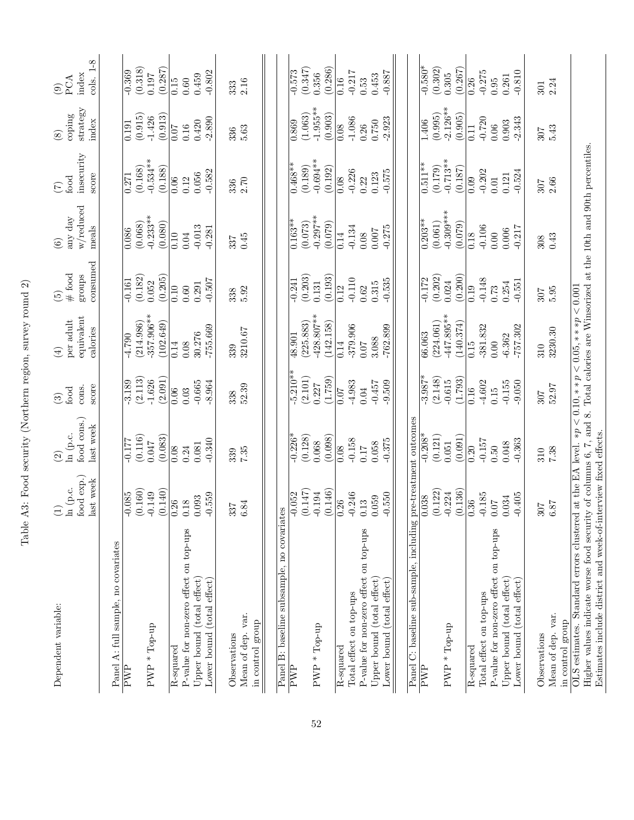| Dependent variable:                                                                                                                     | ln (p.c.<br>$\begin{pmatrix} 1 \end{pmatrix}$ | ln (p.c.<br>$\widehat{\mathfrak{D}}$ | food<br>$\widehat{c}$ | per adult<br>$\left( 4\right)$ | $\#$ food<br>$\widetilde{5}$ | any day<br>$\odot$    | food<br>$\widetilde{C}$ | coping<br>$\circledS$ | PCA<br>$\odot$     |
|-----------------------------------------------------------------------------------------------------------------------------------------|-----------------------------------------------|--------------------------------------|-----------------------|--------------------------------|------------------------------|-----------------------|-------------------------|-----------------------|--------------------|
|                                                                                                                                         | food exp.)<br>last week                       | food cons.)<br>last week             | score<br>cons.        | equivalent<br>calories         | consumed<br>groups           | w/reduced<br>meals    | insecurity<br>score     | strategy<br>index     | cols. 1-8<br>index |
| Panel A: full sample, no covariates                                                                                                     |                                               |                                      |                       |                                |                              |                       |                         |                       |                    |
| $\overline{\text{FWP}}$                                                                                                                 | $-0.085$                                      | $-0.177$                             | $-3.189$              | $-4.790$                       | $-0.161$                     | 0.086                 | 0.271                   | 0.191                 | $-0.369$           |
| PWP * Top-up                                                                                                                            | (0.160)<br>$-0.149$                           | (0.116)<br>0.047                     | (2.113)<br>$-1.626$   | 357.906**<br>(214.986)         | (0.182)<br>0.052             | $-0.233**$<br>(0.068) | $-0.534***$<br>(0.168)  | (0.915)<br>$-1.426$   | (0.318)<br>0.197   |
|                                                                                                                                         | (0.140)                                       | (0.083)                              | (2.091)               | (102.649)                      | (0.205)                      | (0.080)               | (0.188)                 | (0.913)               | (0.287)            |
| R-squared                                                                                                                               | 0.26                                          | 0.08                                 | 0.06                  | 0.14                           | 0.10                         | 0.10                  | 0.06                    | 0.07                  | 0.15               |
| P-value for non-zero effect on top-ups                                                                                                  | 0.18                                          | 0.24                                 | 0.03                  | 0.08                           | $0.60\,$                     | 0.04                  | 0.12                    | 0.16                  | $0.60\,$           |
| Upper bound (total effect)                                                                                                              | 0.093                                         | 0.081                                | $-0.665$              | 30.276                         | 0.291                        | $-0.013$              | 0.056                   | 0.420                 | 0.459              |
| Lower bound (total effect)                                                                                                              | $-0.559$                                      | $-0.340$                             | $-8.964$              | $-755.669$                     | $-0.507$                     | $-0.281$              | $-0.582$                | $-2.890$              | $-0.802$           |
|                                                                                                                                         |                                               |                                      |                       |                                |                              |                       |                         |                       |                    |
| Observations                                                                                                                            | 337                                           | 339                                  | 338                   | 339                            | 338                          | 337                   | 336                     | 336                   | 333                |
| Mean of dep. var.                                                                                                                       | 6.84                                          | 7.35                                 | 52.39                 | 3210.67                        | 5.92                         | 0.45                  | 2.70                    | $5.63\,$              | 2.16               |
| in control group                                                                                                                        |                                               |                                      |                       |                                |                              |                       |                         |                       |                    |
|                                                                                                                                         |                                               |                                      |                       |                                |                              |                       |                         |                       |                    |
| Panel B: baseline subsample, no covariat                                                                                                | S9.                                           |                                      |                       |                                |                              |                       |                         |                       |                    |
| PWP                                                                                                                                     | $-0.052$                                      | $-0.226*$                            | $-5.210**$            | 48.901                         | $-0.241$                     | $0.163**$             | $0.468**$               | $\frac{869}{360}$     | $-0.573$           |
|                                                                                                                                         | (0.147)                                       | (0.128)                              | (2.101)               | (225.883)                      | (0.203)                      | (0.073)               | (0.189)                 | (1.063)               | (0.347)            |
| PWP * Top-up                                                                                                                            | $-0.194$                                      | 0.068                                | 0.227                 | $-428.807**$                   | 0.131                        | $-0.297**$            | $-0.694**$              | $-1.955***$           | 0.356              |
|                                                                                                                                         | (0.146)                                       | (0.098)                              | (1.759)               | (142.158)                      | (0.193)                      | (0.079)               | (0.192)                 | (0.903)               | (0.286)            |
| R-squared                                                                                                                               | $\overline{0.26}$                             | 0.08                                 | 0.07                  | 0.14                           | 0.12                         | 0.14                  | 0.08                    | 0.08                  | 0.16               |
| Total effect on top-ups                                                                                                                 | $-0.246$                                      | $-0.158$                             | $-4.983$              | $-379.906$                     | $-0.110$                     | $-0.134$              | $-0.226$                | $-1.086$              | $-0.217$           |
| P-value for non-zero effect on top-ups                                                                                                  | 0.13                                          | 0.17                                 | 0.04                  | $0.07$                         | 0.62                         | 0.08                  | 0.22                    | 0.26                  | 0.53               |
| Upper bound $(\text{total effect})$                                                                                                     | 0.059                                         | 0.058                                | $-0.457$              | 3.088                          | 0.315                        | 0.007                 | 0.123                   | 0.750                 | 0.453              |
| Lower bound (total effect)                                                                                                              | $-0.550$                                      | $-0.375$                             | $-9.509$              | $-762.899$                     | $-0.535$                     | $-0.275$              | $-0.575$                | $-2.923$              | $-0.887$           |
|                                                                                                                                         |                                               |                                      |                       |                                |                              |                       |                         |                       |                    |
| Panel C: baseline sub-sample, including                                                                                                 |                                               | pre-treatment outcomes               |                       |                                |                              |                       |                         |                       |                    |
| FWP                                                                                                                                     | 0.038                                         | $-0.208*$                            | $-3.987*$             | 66.063                         | $-0.172$                     | $0.203**$             | $0.511**$               | $1.40\overline{6}$    | $-0.580*$          |
|                                                                                                                                         | (0.122)                                       | (0.121)                              | (2.148)               | (224.061)                      | (0.202)                      | (0.061)               | (0.179)                 | (0.995)               | (0.302)            |
| $PWP * Top-up$                                                                                                                          | $-0.224$                                      | 0.051                                | $-0.615$              | $447.895***$                   | 0.024                        | $-0.309***$           | $-0.713**$              | $-2.126**$            | 0.305              |
|                                                                                                                                         | (0.136)                                       | (0.091)                              | (1.793)               | (140.374)                      | (0.200)                      | (0.079)               | (0.187)                 | (0.905)               | (0.267)            |
| R-squared                                                                                                                               | $\overline{0.36}$                             | $\overline{0.20}$                    | 0.16                  | 0.15                           | 0.19                         | 0.18                  | $\overline{0.09}$       | 0.11                  | $\overline{0.26}$  |
| Total effect on top-ups                                                                                                                 | $-0.185$                                      | $-0.157$                             | $-4.602$              | $-381.832$                     | $-0.148$                     | $-0.106$              | $-0.202$                | $-0.720$              | $-0.275$           |
| P-value for non-zero effect on top-ups                                                                                                  | $0.07\,$                                      | $0.50\,$                             | 0.15                  | 0.00                           | 0.73                         | 0.00                  | 0.01                    | 0.06                  | $0.95\,$           |
| Upper bound (total effect)                                                                                                              | 0.034                                         | 0.048                                | $-0.155$              | $-6.362$                       | 0.254                        | 0.006                 | 0.121                   | 0.903                 | 0.261              |
| Lower bound (total effect)                                                                                                              | $-0.405$                                      | $-0.363$                             | $-9.050$              | $-757.302$                     | $-0.551$                     | $-0.217$              | $-0.524$                | $-2.343$              | $-0.810$           |
| Observations                                                                                                                            | 307                                           | 310                                  | 307                   | 310                            | 307                          | 308                   | 307                     | 307                   | 301                |
| Mean of dep. var.                                                                                                                       | 6.87                                          | $7.38\,$                             | 52.97                 | 3230.30                        | $5.95\,$                     | 0.43                  | 2.66                    | 5.43                  | 2.24               |
| in control group                                                                                                                        |                                               |                                      |                       |                                |                              |                       |                         |                       |                    |
| OLS estimates. Standard errors clustered at the EA level. $\ast p \lt 0.10, \ast \ast p \lt 0.05, \ast \ast \ast p \lt 0.001$           |                                               |                                      |                       |                                |                              |                       |                         |                       |                    |
| Higher values indicate worse food security of columns $6, 7$ , and $8.$ Total calories are Winsorized at the 10th and 90th percentiles. |                                               |                                      |                       |                                |                              |                       |                         |                       |                    |
| Estimates include district and week-of-interview fixed effects.                                                                         |                                               |                                      |                       |                                |                              |                       |                         |                       |                    |

Table A3: Food security (Northern region, survey round 2) Table A3: Food security (Northern region, survey round 2)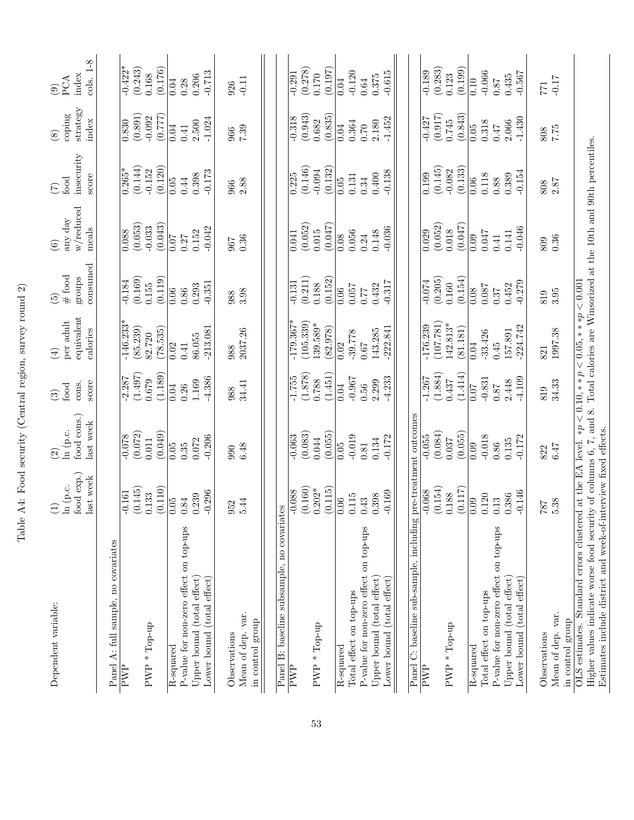| Dependent variable:                                                                                                                                                                                                                                                       | food exp.)<br>last week<br>ln (p.c.<br>$\widehat{\Xi}$ | food cons.)<br>last week<br>ln (p.c.<br>$\widehat{c}$ | score<br>cons.<br>food<br>$\widehat{\mathcal{E}}$ | equivalent<br>per adult<br>calories<br>$\bigoplus$ | consumed<br>$\#$ food<br>groups<br>$\widetilde{\mathfrak{G}}$ | w/reduced<br>any day<br>meals<br>$\widehat{\mathfrak{S}}$ | insecurity<br>score<br>$_{\rm food}$<br>$(\zeta)$ | strategy<br>coping<br>index<br>$\circledS$ | cols. 1-8<br>index<br>PCA<br>$\widehat{\mathcal{E}}$ |
|---------------------------------------------------------------------------------------------------------------------------------------------------------------------------------------------------------------------------------------------------------------------------|--------------------------------------------------------|-------------------------------------------------------|---------------------------------------------------|----------------------------------------------------|---------------------------------------------------------------|-----------------------------------------------------------|---------------------------------------------------|--------------------------------------------|------------------------------------------------------|
| Panel A: full sample, no covariates                                                                                                                                                                                                                                       |                                                        |                                                       |                                                   |                                                    |                                                               |                                                           |                                                   |                                            |                                                      |
| $\overline{\text{FWP}}$                                                                                                                                                                                                                                                   | (0.145)<br>$-0.161$                                    | (0.072)<br>$820^{0}$                                  | (1.497)<br>2.287                                  | $-146.233$<br>(85.239)                             | (0.169)<br>$-0.184$                                           | (0.053)<br>0.088                                          | (0.144)<br>$\frac{1}{0.265}$                      | (0.891)<br>$0.\overline{830}$              | $-0.422*$<br>(0.243)                                 |
| $PWP * Top-up$                                                                                                                                                                                                                                                            | (0.110)<br>0.133                                       | (0.049)<br>0.011                                      | (1.189)<br>0.679                                  | (78.535)<br>82.720                                 | (0.119)<br>0.155                                              | (0.043)<br>$-0.033$                                       | (0.120)<br>$-0.152$                               | (777)<br>$-0.092$                          | (0.176)<br>0.168                                     |
|                                                                                                                                                                                                                                                                           |                                                        |                                                       |                                                   |                                                    |                                                               |                                                           |                                                   |                                            |                                                      |
| P-value for non-zero effect on top-ups<br>R-squared                                                                                                                                                                                                                       | 0.05<br>0.84                                           | 0.05<br>$0.35\,$                                      | 0.04<br>0.26                                      | 0.02<br>0.41                                       | 0.06<br>$0.86\,$                                              | 0.07<br>0.27                                              | 0.44<br>0.05                                      | 0.04<br>0.41                               | 0.28<br>0.04                                         |
| Upper bound (total effect)                                                                                                                                                                                                                                                | 0.239                                                  | 0.072                                                 | 1.169                                             | 86.055                                             | 0.293                                                         | 0.152                                                     | 0.398                                             | 2.500                                      | 0.206                                                |
| Lower bound (total effect)                                                                                                                                                                                                                                                | $-0.296$                                               | $-0.206$                                              | $-4.386$                                          | $-213.081$                                         | $-0.351$                                                      | $-0.042$                                                  | $-0.173$                                          | $-1.024$                                   | $-0.713$                                             |
|                                                                                                                                                                                                                                                                           |                                                        |                                                       |                                                   |                                                    |                                                               |                                                           |                                                   |                                            |                                                      |
| Observations                                                                                                                                                                                                                                                              | 952                                                    | 990                                                   | 988                                               | 988                                                | 988                                                           | 967                                                       | 966                                               | 966                                        | 926                                                  |
| Mean of dep. var.                                                                                                                                                                                                                                                         | 5.44                                                   | 6.48                                                  | 34.41                                             | 2037.26                                            | 3.98                                                          | 0.36                                                      | 2.88                                              | $7.39\,$                                   | $-0.11$                                              |
| in control group                                                                                                                                                                                                                                                          |                                                        |                                                       |                                                   |                                                    |                                                               |                                                           |                                                   |                                            |                                                      |
|                                                                                                                                                                                                                                                                           |                                                        |                                                       |                                                   |                                                    |                                                               |                                                           |                                                   |                                            |                                                      |
| Panel B: baseline subsample, no covariates                                                                                                                                                                                                                                |                                                        |                                                       |                                                   |                                                    |                                                               |                                                           |                                                   |                                            |                                                      |
| PWP                                                                                                                                                                                                                                                                       | $-0.088$                                               | $-0.063$                                              | $-1.755$                                          | $-179.367*$                                        | $-0.131$                                                      | 0.041                                                     | 0.225                                             | $-0.\overline{318}$                        | $-0.291$                                             |
|                                                                                                                                                                                                                                                                           | (0.160)                                                | (0.083)                                               | (1.878)                                           | (105.339)                                          | (0.211)                                                       | (0.052)                                                   | (0.146)                                           | (0.943)                                    | (0.278)                                              |
| $PWP * Top-up$                                                                                                                                                                                                                                                            | $0.202*$                                               | 0.044                                                 | 0.788                                             | 139.589*                                           | 0.188                                                         | 0.015                                                     | $-0.094$                                          | 0.682                                      | 0.170                                                |
|                                                                                                                                                                                                                                                                           | (0.115)                                                | (0.055)                                               | (1.451)                                           | (82.978)                                           | (0.152)                                                       | (0.047)                                                   | (0.132)                                           | (0.835)                                    | (0.197)                                              |
| R-squared                                                                                                                                                                                                                                                                 | 0.06                                                   | 0.05                                                  | 0.04                                              | 0.02                                               | 0.06                                                          | 0.08                                                      | 0.05                                              | 0.04                                       | 0.04                                                 |
| Total effect on top-ups                                                                                                                                                                                                                                                   | 0.115                                                  | $-0.019$                                              | $-0.967$                                          | $-39.778$                                          | $0.057\,$                                                     | 0.056                                                     | 0.131                                             | 0.364                                      | $-0.120$                                             |
| P-value for non-zero effect on top-ups                                                                                                                                                                                                                                    | 0.43                                                   | 0.81                                                  | $0.56\,$                                          | $0.67\,$                                           | <b>77.0</b>                                                   | 0.24                                                      | 0.34                                              | 0.70                                       | 0.64                                                 |
| Upper bound (total effect)                                                                                                                                                                                                                                                | 0.398                                                  | 0.134                                                 | 2.299                                             | 143.285                                            | 0.432                                                         | 0.148                                                     | 0.400                                             | 2.180                                      | 0.375                                                |
| Lower bound (total effect)                                                                                                                                                                                                                                                | $-0.169$                                               | $-0.172$                                              | $-4.233$                                          | $-222.841$                                         | $-0.317$                                                      | $-0.036$                                                  | $-0.138$                                          | $-1.452$                                   | $-0.615$                                             |
|                                                                                                                                                                                                                                                                           |                                                        |                                                       |                                                   |                                                    |                                                               |                                                           |                                                   |                                            |                                                      |
| C: baseline sub-sample, including<br>Panel                                                                                                                                                                                                                                |                                                        | pre-treatment outcomes                                |                                                   |                                                    |                                                               |                                                           |                                                   |                                            |                                                      |
| PWP                                                                                                                                                                                                                                                                       | $-0.068$                                               | $-0.055$                                              | $-1.267$                                          | $-176.239$                                         | $-0.074$                                                      | $\overline{0.029}$                                        | $\overline{0.199}$                                | $-0.427$                                   | $-0.189$                                             |
|                                                                                                                                                                                                                                                                           | (0.154)                                                | (0.084)                                               | (1.884)                                           | (107.781)                                          | (0.205)                                                       | (0.052)                                                   | (0.145)                                           | (0.917)                                    | (0.283)                                              |
| $PWP * Top-up$                                                                                                                                                                                                                                                            | 0.188                                                  | 0.037                                                 | 0.437                                             | $142.813*$                                         | 0.160                                                         | 0.018                                                     | $-0.082$                                          | 0.745                                      | 0.123                                                |
|                                                                                                                                                                                                                                                                           | (0.117)                                                | (0.055)                                               | (1.414)                                           | (81.181)                                           | (0.154)                                                       | (0.047)                                                   | (0.133)                                           | (0.843)                                    | (0.199)                                              |
| R-squared                                                                                                                                                                                                                                                                 | 0.09                                                   | 0.09                                                  | 70.07                                             | 0.04                                               | 0.08                                                          | 0.09                                                      | 0.06                                              | 0.05                                       | 0.10                                                 |
| Total effect on top-ups                                                                                                                                                                                                                                                   | 0.120                                                  | $-0.018$                                              | $-0.831$                                          | -33.426                                            | 0.087                                                         | 0.047                                                     | 0.118                                             | 0.318                                      | $-0.066$                                             |
| P-value for non-zero effect on top-ups                                                                                                                                                                                                                                    | 0.13                                                   | $0.86\,$                                              | $78.0\,$                                          | 0.45                                               | 0.37                                                          | 0.41                                                      | 0.88                                              | 747                                        | 0.87                                                 |
| Upper bound (total effect)                                                                                                                                                                                                                                                | 0.386                                                  | 0.135                                                 | 2.448                                             | 157.891                                            | 0.452                                                         | 0.141                                                     | 0.389                                             | 2.066                                      | 0.435                                                |
| Lower bound (total effect)                                                                                                                                                                                                                                                | $-0.146$                                               | $-0.172$                                              | $-4.109$                                          | $-224.742$                                         | $-0.279$                                                      | $-0.046$                                                  | $-0.154$                                          | $-1.430$                                   | $-0.567$                                             |
| Observations                                                                                                                                                                                                                                                              | 787                                                    | 822                                                   | 819                                               | 821                                                | 819                                                           | 809                                                       | 808                                               | 808                                        | <b>LZZ</b>                                           |
| Mean of dep. var.                                                                                                                                                                                                                                                         | 5.38                                                   | 6.47                                                  | $34.33\,$                                         | 1997.38                                            | 3.95                                                          | 0.36                                                      | 2.87                                              | 7.75                                       | $-0.17$                                              |
| in control group                                                                                                                                                                                                                                                          |                                                        |                                                       |                                                   |                                                    |                                                               |                                                           |                                                   |                                            |                                                      |
| Higher values indicate worse food security of columns $6, 7$ , and $8$ . Total calories are Winsorized at the 10th and 90th percentiles.<br>OLS estimates. Standard errors clustered at the EA level. $\ast p \lt 0.10, \ast \ast p \lt 0.05, \ast \ast \ast p \lt 0.001$ |                                                        |                                                       |                                                   |                                                    |                                                               |                                                           |                                                   |                                            |                                                      |
| Estimates include district and week-of-interview fixed effects.                                                                                                                                                                                                           |                                                        |                                                       |                                                   |                                                    |                                                               |                                                           |                                                   |                                            |                                                      |
|                                                                                                                                                                                                                                                                           |                                                        |                                                       |                                                   |                                                    |                                                               |                                                           |                                                   |                                            |                                                      |

Table A4: Food security (Central region, survey round 2) Table A4: Food security (Central region, survey round 2)